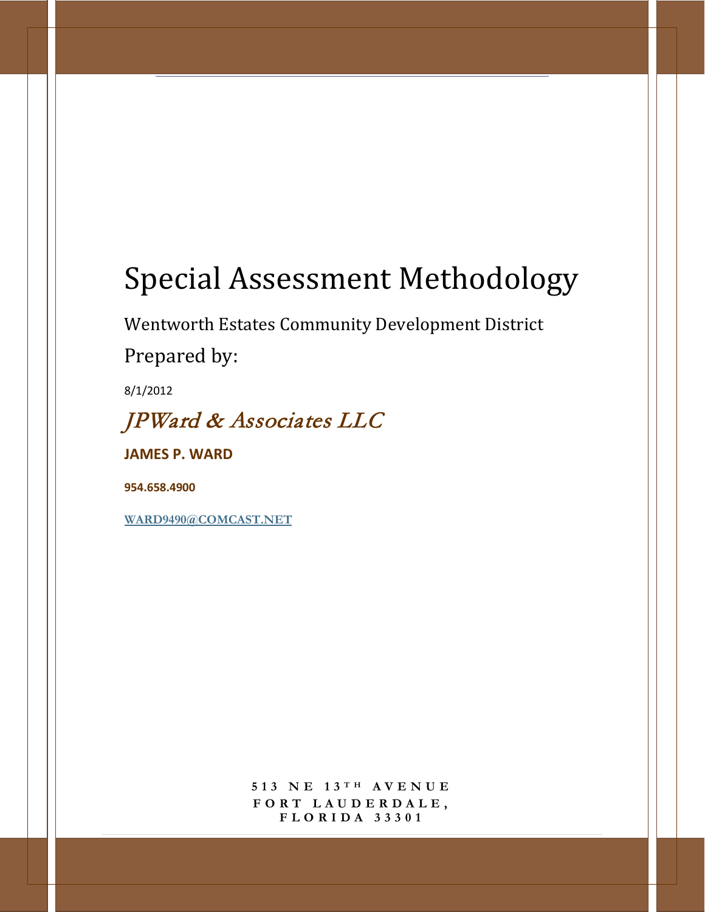# Special Assessment Methodology

Wentworth Estates Community Development District Prepared by:

8/1/2012

JPWard & Associates LLC

**JAMES P. WARD**

**954.658.4900**

**[WARD9490@COMCAST.NET](mailto:ward9490@comcast.net)**

**513 NE 13 T H AVENUE FORT LAUDERDALE, FLORIDA 33301**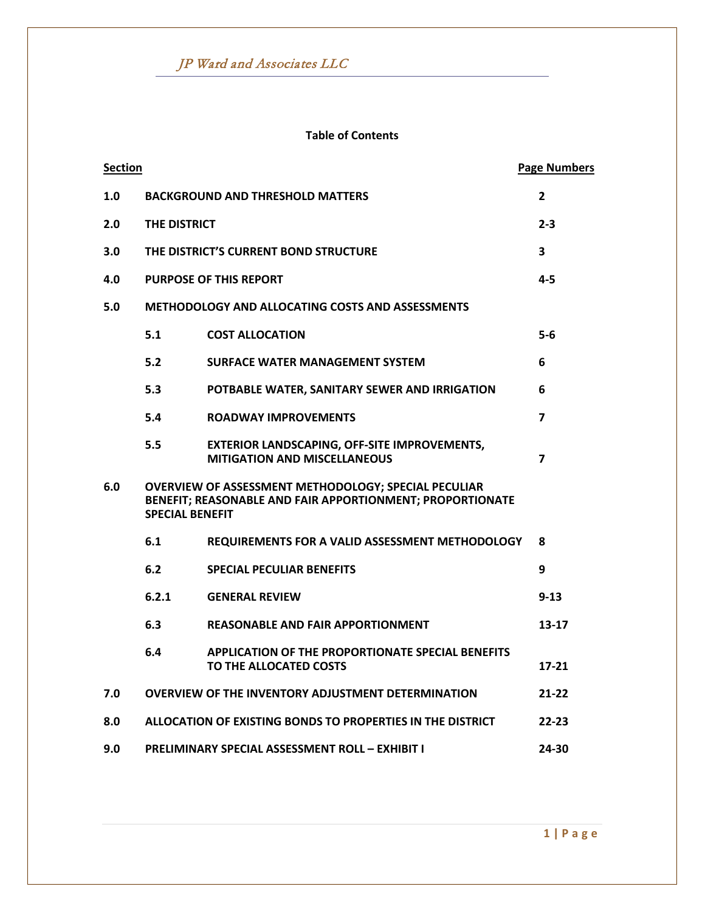# **Table of Contents**

| <b>Section</b> |                        |                                                                                                                          | <b>Page Numbers</b>     |
|----------------|------------------------|--------------------------------------------------------------------------------------------------------------------------|-------------------------|
| 1.0            |                        | <b>BACKGROUND AND THRESHOLD MATTERS</b>                                                                                  | $\overline{2}$          |
| 2.0            | THE DISTRICT           |                                                                                                                          | $2 - 3$                 |
| 3.0            |                        | THE DISTRICT'S CURRENT BOND STRUCTURE                                                                                    | 3                       |
| 4.0            |                        | <b>PURPOSE OF THIS REPORT</b>                                                                                            | 4-5                     |
| 5.0            |                        | <b>METHODOLOGY AND ALLOCATING COSTS AND ASSESSMENTS</b>                                                                  |                         |
|                | 5.1                    | <b>COST ALLOCATION</b>                                                                                                   | $5-6$                   |
|                | 5.2                    | <b>SURFACE WATER MANAGEMENT SYSTEM</b>                                                                                   | 6                       |
|                | 5.3                    | POTBABLE WATER, SANITARY SEWER AND IRRIGATION                                                                            | 6                       |
|                | 5.4                    | <b>ROADWAY IMPROVEMENTS</b>                                                                                              | $\overline{\mathbf{z}}$ |
|                | 5.5                    | <b>EXTERIOR LANDSCAPING, OFF-SITE IMPROVEMENTS,</b><br><b>MITIGATION AND MISCELLANEOUS</b>                               | $\overline{\mathbf{z}}$ |
| 6.0            | <b>SPECIAL BENEFIT</b> | <b>OVERVIEW OF ASSESSMENT METHODOLOGY; SPECIAL PECULIAR</b><br>BENEFIT; REASONABLE AND FAIR APPORTIONMENT; PROPORTIONATE |                         |
|                | 6.1                    | REQUIREMENTS FOR A VALID ASSESSMENT METHODOLOGY                                                                          | 8                       |
|                | 6.2                    | <b>SPECIAL PECULIAR BENEFITS</b>                                                                                         | 9                       |
|                | 6.2.1                  | <b>GENERAL REVIEW</b>                                                                                                    | $9 - 13$                |
|                | 6.3                    | <b>REASONABLE AND FAIR APPORTIONMENT</b>                                                                                 | $13 - 17$               |
|                | 6.4                    | <b>APPLICATION OF THE PROPORTIONATE SPECIAL BENEFITS</b><br>TO THE ALLOCATED COSTS                                       | $17 - 21$               |
| 7.0            |                        | <b>OVERVIEW OF THE INVENTORY ADJUSTMENT DETERMINATION</b>                                                                | $21 - 22$               |
| 8.0            |                        | <b>ALLOCATION OF EXISTING BONDS TO PROPERTIES IN THE DISTRICT</b>                                                        | 22-23                   |
| 9.0            |                        | <b>PRELIMINARY SPECIAL ASSESSMENT ROLL - EXHIBIT I</b>                                                                   | 24-30                   |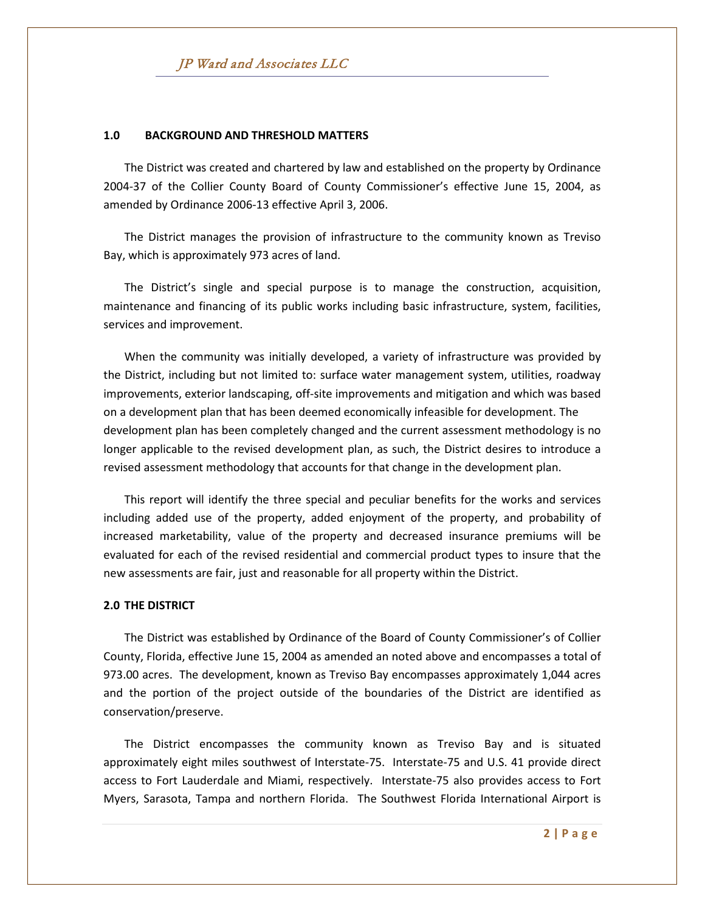# **1.0 BACKGROUND AND THRESHOLD MATTERS**

The District was created and chartered by law and established on the property by Ordinance 2004-37 of the Collier County Board of County Commissioner's effective June 15, 2004, as amended by Ordinance 2006-13 effective April 3, 2006.

The District manages the provision of infrastructure to the community known as Treviso Bay, which is approximately 973 acres of land.

The District's single and special purpose is to manage the construction, acquisition, maintenance and financing of its public works including basic infrastructure, system, facilities, services and improvement.

When the community was initially developed, a variety of infrastructure was provided by the District, including but not limited to: surface water management system, utilities, roadway improvements, exterior landscaping, off-site improvements and mitigation and which was based on a development plan that has been deemed economically infeasible for development. The development plan has been completely changed and the current assessment methodology is no longer applicable to the revised development plan, as such, the District desires to introduce a revised assessment methodology that accounts for that change in the development plan.

This report will identify the three special and peculiar benefits for the works and services including added use of the property, added enjoyment of the property, and probability of increased marketability, value of the property and decreased insurance premiums will be evaluated for each of the revised residential and commercial product types to insure that the new assessments are fair, just and reasonable for all property within the District.

# **2.0 THE DISTRICT**

The District was established by Ordinance of the Board of County Commissioner's of Collier County, Florida, effective June 15, 2004 as amended an noted above and encompasses a total of 973.00 acres. The development, known as Treviso Bay encompasses approximately 1,044 acres and the portion of the project outside of the boundaries of the District are identified as conservation/preserve.

The District encompasses the community known as Treviso Bay and is situated approximately eight miles southwest of Interstate-75. Interstate-75 and U.S. 41 provide direct access to Fort Lauderdale and Miami, respectively. Interstate-75 also provides access to Fort Myers, Sarasota, Tampa and northern Florida. The Southwest Florida International Airport is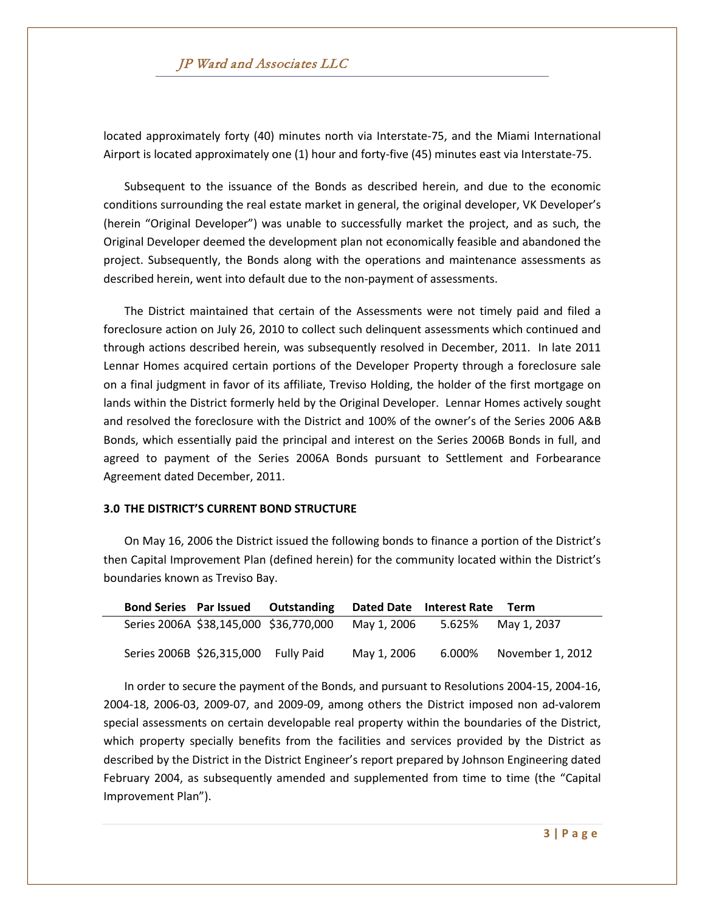located approximately forty (40) minutes north via Interstate-75, and the Miami International Airport is located approximately one (1) hour and forty-five (45) minutes east via Interstate-75.

Subsequent to the issuance of the Bonds as described herein, and due to the economic conditions surrounding the real estate market in general, the original developer, VK Developer's (herein "Original Developer") was unable to successfully market the project, and as such, the Original Developer deemed the development plan not economically feasible and abandoned the project. Subsequently, the Bonds along with the operations and maintenance assessments as described herein, went into default due to the non-payment of assessments.

The District maintained that certain of the Assessments were not timely paid and filed a foreclosure action on July 26, 2010 to collect such delinquent assessments which continued and through actions described herein, was subsequently resolved in December, 2011. In late 2011 Lennar Homes acquired certain portions of the Developer Property through a foreclosure sale on a final judgment in favor of its affiliate, Treviso Holding, the holder of the first mortgage on lands within the District formerly held by the Original Developer. Lennar Homes actively sought and resolved the foreclosure with the District and 100% of the owner's of the Series 2006 A&B Bonds, which essentially paid the principal and interest on the Series 2006B Bonds in full, and agreed to payment of the Series 2006A Bonds pursuant to Settlement and Forbearance Agreement dated December, 2011.

# **3.0 THE DISTRICT'S CURRENT BOND STRUCTURE**

On May 16, 2006 the District issued the following bonds to finance a portion of the District's then Capital Improvement Plan (defined herein) for the community located within the District's boundaries known as Treviso Bay.

|  |                                      | <b>Bond Series Par Issued Outstanding</b> |             | Dated Date Interest Rate Term |                    |
|--|--------------------------------------|-------------------------------------------|-------------|-------------------------------|--------------------|
|  |                                      | Series 2006A \$38,145,000 \$36,770,000    | May 1, 2006 |                               | 5.625% May 1, 2037 |
|  | Series 2006B \$26,315,000 Fully Paid |                                           | May 1, 2006 | 6.000%                        | November 1. 2012   |

In order to secure the payment of the Bonds, and pursuant to Resolutions 2004-15, 2004-16, 2004-18, 2006-03, 2009-07, and 2009-09, among others the District imposed non ad-valorem special assessments on certain developable real property within the boundaries of the District, which property specially benefits from the facilities and services provided by the District as described by the District in the District Engineer's report prepared by Johnson Engineering dated February 2004, as subsequently amended and supplemented from time to time (the "Capital Improvement Plan").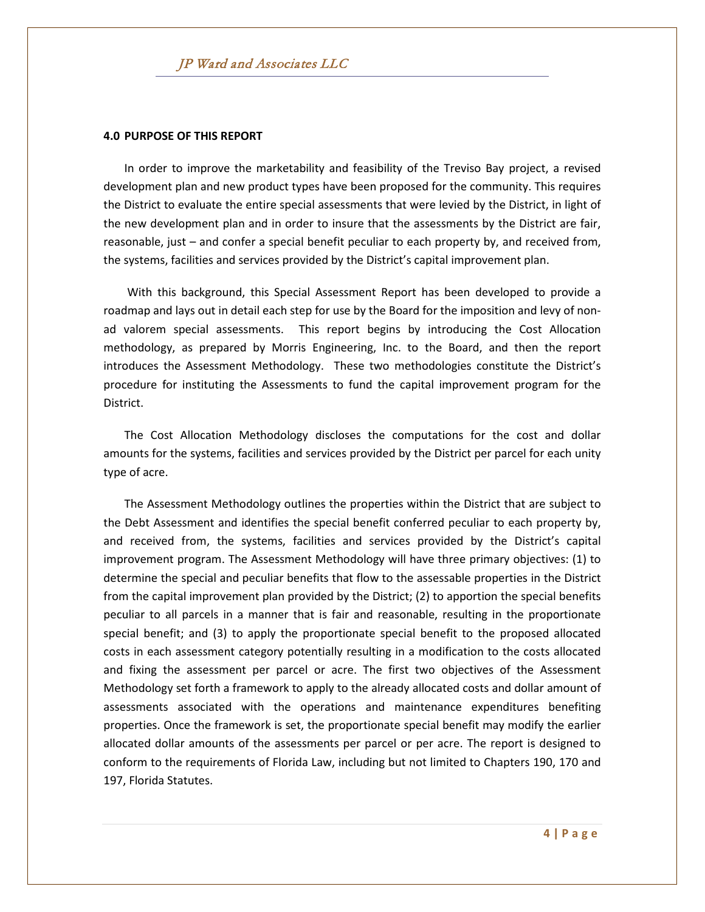#### **4.0 PURPOSE OF THIS REPORT**

In order to improve the marketability and feasibility of the Treviso Bay project, a revised development plan and new product types have been proposed for the community. This requires the District to evaluate the entire special assessments that were levied by the District, in light of the new development plan and in order to insure that the assessments by the District are fair, reasonable, just – and confer a special benefit peculiar to each property by, and received from, the systems, facilities and services provided by the District's capital improvement plan.

With this background, this Special Assessment Report has been developed to provide a roadmap and lays out in detail each step for use by the Board for the imposition and levy of nonad valorem special assessments. This report begins by introducing the Cost Allocation methodology, as prepared by Morris Engineering, Inc. to the Board, and then the report introduces the Assessment Methodology. These two methodologies constitute the District's procedure for instituting the Assessments to fund the capital improvement program for the District.

The Cost Allocation Methodology discloses the computations for the cost and dollar amounts for the systems, facilities and services provided by the District per parcel for each unity type of acre.

The Assessment Methodology outlines the properties within the District that are subject to the Debt Assessment and identifies the special benefit conferred peculiar to each property by, and received from, the systems, facilities and services provided by the District's capital improvement program. The Assessment Methodology will have three primary objectives: (1) to determine the special and peculiar benefits that flow to the assessable properties in the District from the capital improvement plan provided by the District; (2) to apportion the special benefits peculiar to all parcels in a manner that is fair and reasonable, resulting in the proportionate special benefit; and (3) to apply the proportionate special benefit to the proposed allocated costs in each assessment category potentially resulting in a modification to the costs allocated and fixing the assessment per parcel or acre. The first two objectives of the Assessment Methodology set forth a framework to apply to the already allocated costs and dollar amount of assessments associated with the operations and maintenance expenditures benefiting properties. Once the framework is set, the proportionate special benefit may modify the earlier allocated dollar amounts of the assessments per parcel or per acre. The report is designed to conform to the requirements of Florida Law, including but not limited to Chapters 190, 170 and 197, Florida Statutes.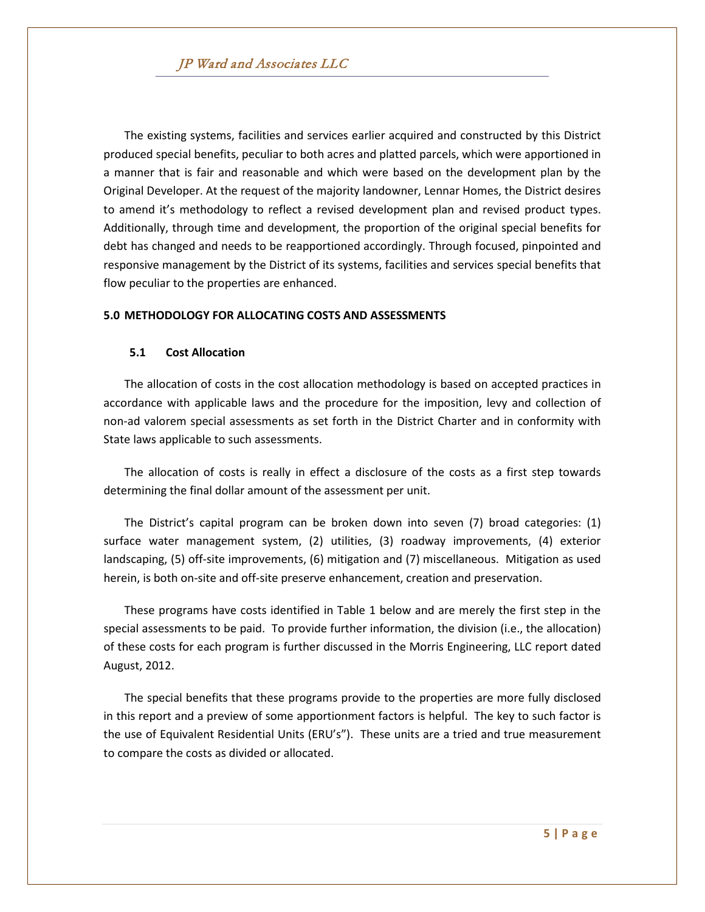The existing systems, facilities and services earlier acquired and constructed by this District produced special benefits, peculiar to both acres and platted parcels, which were apportioned in a manner that is fair and reasonable and which were based on the development plan by the Original Developer. At the request of the majority landowner, Lennar Homes, the District desires to amend it's methodology to reflect a revised development plan and revised product types. Additionally, through time and development, the proportion of the original special benefits for debt has changed and needs to be reapportioned accordingly. Through focused, pinpointed and responsive management by the District of its systems, facilities and services special benefits that flow peculiar to the properties are enhanced.

## **5.0 METHODOLOGY FOR ALLOCATING COSTS AND ASSESSMENTS**

# **5.1 Cost Allocation**

The allocation of costs in the cost allocation methodology is based on accepted practices in accordance with applicable laws and the procedure for the imposition, levy and collection of non-ad valorem special assessments as set forth in the District Charter and in conformity with State laws applicable to such assessments.

The allocation of costs is really in effect a disclosure of the costs as a first step towards determining the final dollar amount of the assessment per unit.

The District's capital program can be broken down into seven (7) broad categories: (1) surface water management system, (2) utilities, (3) roadway improvements, (4) exterior landscaping, (5) off-site improvements, (6) mitigation and (7) miscellaneous. Mitigation as used herein, is both on-site and off-site preserve enhancement, creation and preservation.

These programs have costs identified in Table 1 below and are merely the first step in the special assessments to be paid. To provide further information, the division (i.e., the allocation) of these costs for each program is further discussed in the Morris Engineering, LLC report dated August, 2012.

The special benefits that these programs provide to the properties are more fully disclosed in this report and a preview of some apportionment factors is helpful. The key to such factor is the use of Equivalent Residential Units (ERU's"). These units are a tried and true measurement to compare the costs as divided or allocated.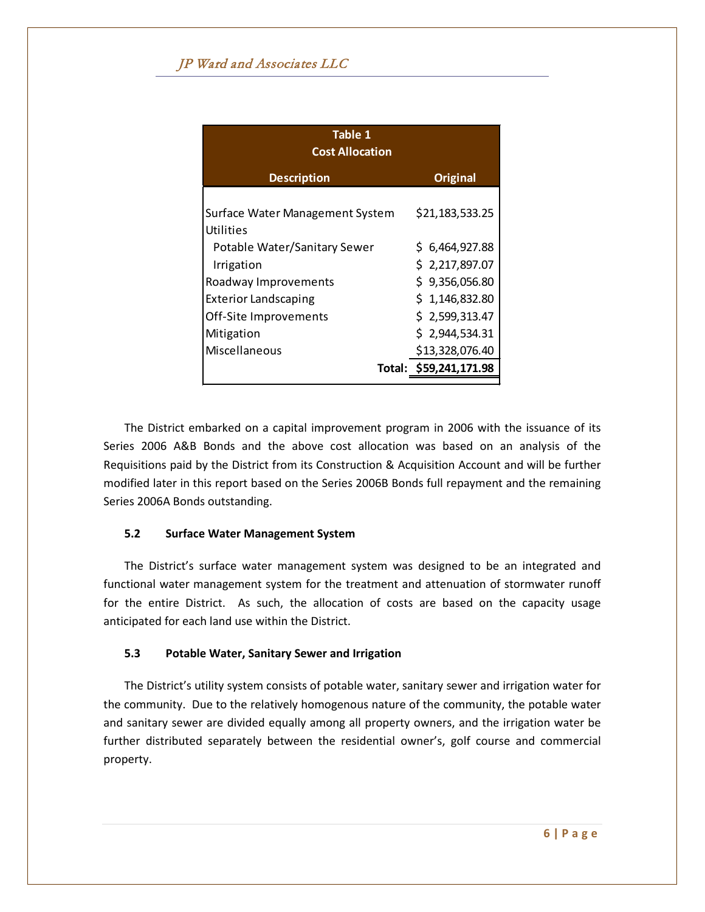| Table 1<br><b>Cost Allocation</b>                    |                                   |
|------------------------------------------------------|-----------------------------------|
| <b>Description</b>                                   | <b>Original</b>                   |
| Surface Water Management System<br>Utilities         | \$21,183,533.25                   |
| Potable Water/Sanitary Sewer<br>Irrigation           | \$6,464,927.88<br>\$2,217,897.07  |
| Roadway Improvements                                 | \$9,356,056.80                    |
| <b>Exterior Landscaping</b><br>Off-Site Improvements | \$1,146,832.80<br>\$2,599,313.47  |
| Mitigation<br>Miscellaneous                          | \$2,944,534.31<br>\$13,328,076.40 |
|                                                      | Total: \$59,241,171.98            |

The District embarked on a capital improvement program in 2006 with the issuance of its Series 2006 A&B Bonds and the above cost allocation was based on an analysis of the Requisitions paid by the District from its Construction & Acquisition Account and will be further modified later in this report based on the Series 2006B Bonds full repayment and the remaining Series 2006A Bonds outstanding.

# **5.2 Surface Water Management System**

The District's surface water management system was designed to be an integrated and functional water management system for the treatment and attenuation of stormwater runoff for the entire District. As such, the allocation of costs are based on the capacity usage anticipated for each land use within the District.

# **5.3 Potable Water, Sanitary Sewer and Irrigation**

The District's utility system consists of potable water, sanitary sewer and irrigation water for the community. Due to the relatively homogenous nature of the community, the potable water and sanitary sewer are divided equally among all property owners, and the irrigation water be further distributed separately between the residential owner's, golf course and commercial property.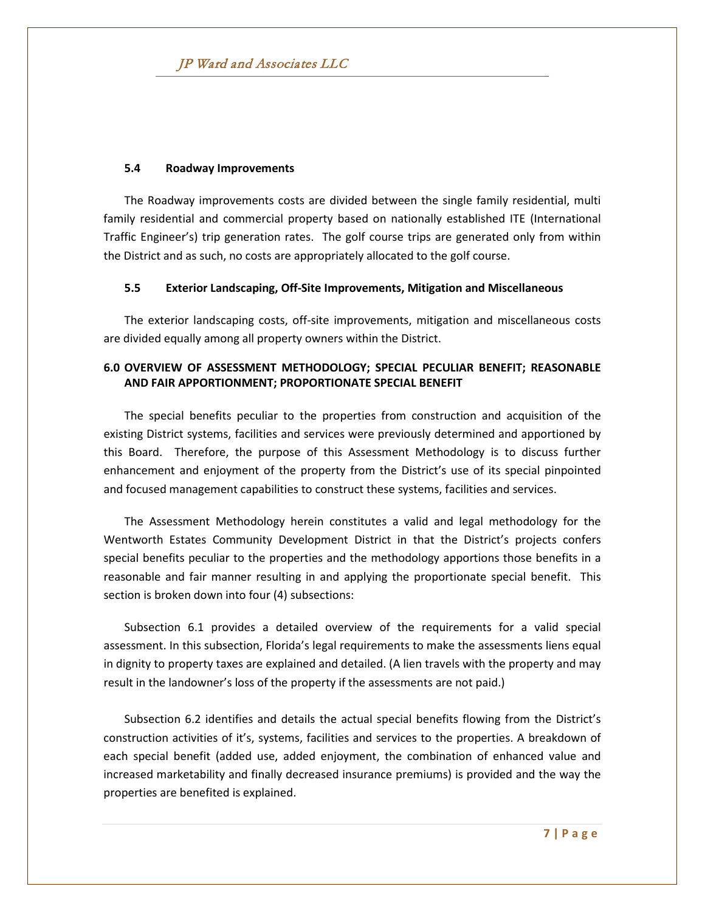#### **5.4 Roadway Improvements**

The Roadway improvements costs are divided between the single family residential, multi family residential and commercial property based on nationally established ITE (International Traffic Engineer's) trip generation rates. The golf course trips are generated only from within the District and as such, no costs are appropriately allocated to the golf course.

#### **5.5 Exterior Landscaping, Off-Site Improvements, Mitigation and Miscellaneous**

The exterior landscaping costs, off-site improvements, mitigation and miscellaneous costs are divided equally among all property owners within the District.

# **6.0 OVERVIEW OF ASSESSMENT METHODOLOGY; SPECIAL PECULIAR BENEFIT; REASONABLE AND FAIR APPORTIONMENT; PROPORTIONATE SPECIAL BENEFIT**

The special benefits peculiar to the properties from construction and acquisition of the existing District systems, facilities and services were previously determined and apportioned by this Board. Therefore, the purpose of this Assessment Methodology is to discuss further enhancement and enjoyment of the property from the District's use of its special pinpointed and focused management capabilities to construct these systems, facilities and services.

The Assessment Methodology herein constitutes a valid and legal methodology for the Wentworth Estates Community Development District in that the District's projects confers special benefits peculiar to the properties and the methodology apportions those benefits in a reasonable and fair manner resulting in and applying the proportionate special benefit. This section is broken down into four (4) subsections:

Subsection 6.1 provides a detailed overview of the requirements for a valid special assessment. In this subsection, Florida's legal requirements to make the assessments liens equal in dignity to property taxes are explained and detailed. (A lien travels with the property and may result in the landowner's loss of the property if the assessments are not paid.)

Subsection 6.2 identifies and details the actual special benefits flowing from the District's construction activities of it's, systems, facilities and services to the properties. A breakdown of each special benefit (added use, added enjoyment, the combination of enhanced value and increased marketability and finally decreased insurance premiums) is provided and the way the properties are benefited is explained.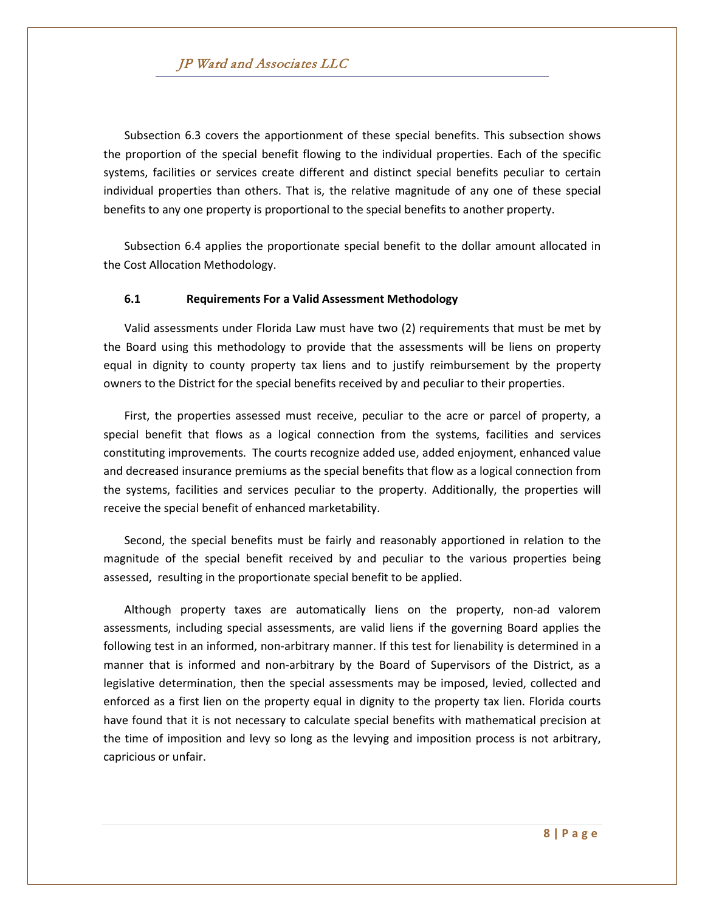Subsection 6.3 covers the apportionment of these special benefits. This subsection shows the proportion of the special benefit flowing to the individual properties. Each of the specific systems, facilities or services create different and distinct special benefits peculiar to certain individual properties than others. That is, the relative magnitude of any one of these special benefits to any one property is proportional to the special benefits to another property.

Subsection 6.4 applies the proportionate special benefit to the dollar amount allocated in the Cost Allocation Methodology.

# **6.1 Requirements For a Valid Assessment Methodology**

Valid assessments under Florida Law must have two (2) requirements that must be met by the Board using this methodology to provide that the assessments will be liens on property equal in dignity to county property tax liens and to justify reimbursement by the property owners to the District for the special benefits received by and peculiar to their properties.

First, the properties assessed must receive, peculiar to the acre or parcel of property, a special benefit that flows as a logical connection from the systems, facilities and services constituting improvements. The courts recognize added use, added enjoyment, enhanced value and decreased insurance premiums as the special benefits that flow as a logical connection from the systems, facilities and services peculiar to the property. Additionally, the properties will receive the special benefit of enhanced marketability.

Second, the special benefits must be fairly and reasonably apportioned in relation to the magnitude of the special benefit received by and peculiar to the various properties being assessed, resulting in the proportionate special benefit to be applied.

Although property taxes are automatically liens on the property, non-ad valorem assessments, including special assessments, are valid liens if the governing Board applies the following test in an informed, non-arbitrary manner. If this test for lienability is determined in a manner that is informed and non-arbitrary by the Board of Supervisors of the District, as a legislative determination, then the special assessments may be imposed, levied, collected and enforced as a first lien on the property equal in dignity to the property tax lien. Florida courts have found that it is not necessary to calculate special benefits with mathematical precision at the time of imposition and levy so long as the levying and imposition process is not arbitrary, capricious or unfair.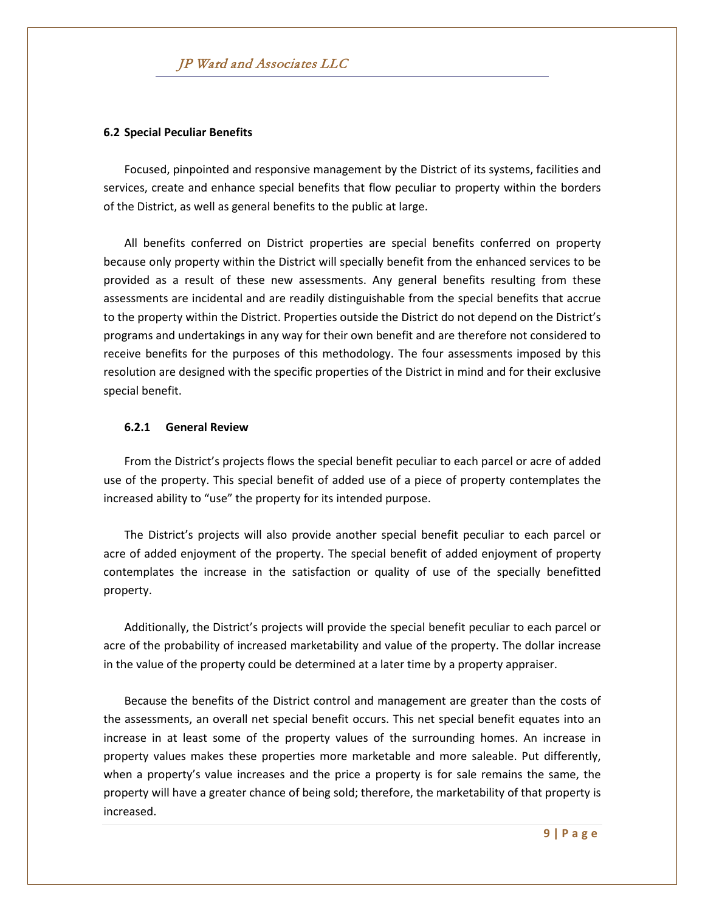## **6.2 Special Peculiar Benefits**

Focused, pinpointed and responsive management by the District of its systems, facilities and services, create and enhance special benefits that flow peculiar to property within the borders of the District, as well as general benefits to the public at large.

All benefits conferred on District properties are special benefits conferred on property because only property within the District will specially benefit from the enhanced services to be provided as a result of these new assessments. Any general benefits resulting from these assessments are incidental and are readily distinguishable from the special benefits that accrue to the property within the District. Properties outside the District do not depend on the District's programs and undertakings in any way for their own benefit and are therefore not considered to receive benefits for the purposes of this methodology. The four assessments imposed by this resolution are designed with the specific properties of the District in mind and for their exclusive special benefit.

#### **6.2.1 General Review**

From the District's projects flows the special benefit peculiar to each parcel or acre of added use of the property. This special benefit of added use of a piece of property contemplates the increased ability to "use" the property for its intended purpose.

The District's projects will also provide another special benefit peculiar to each parcel or acre of added enjoyment of the property. The special benefit of added enjoyment of property contemplates the increase in the satisfaction or quality of use of the specially benefitted property.

Additionally, the District's projects will provide the special benefit peculiar to each parcel or acre of the probability of increased marketability and value of the property. The dollar increase in the value of the property could be determined at a later time by a property appraiser.

Because the benefits of the District control and management are greater than the costs of the assessments, an overall net special benefit occurs. This net special benefit equates into an increase in at least some of the property values of the surrounding homes. An increase in property values makes these properties more marketable and more saleable. Put differently, when a property's value increases and the price a property is for sale remains the same, the property will have a greater chance of being sold; therefore, the marketability of that property is increased.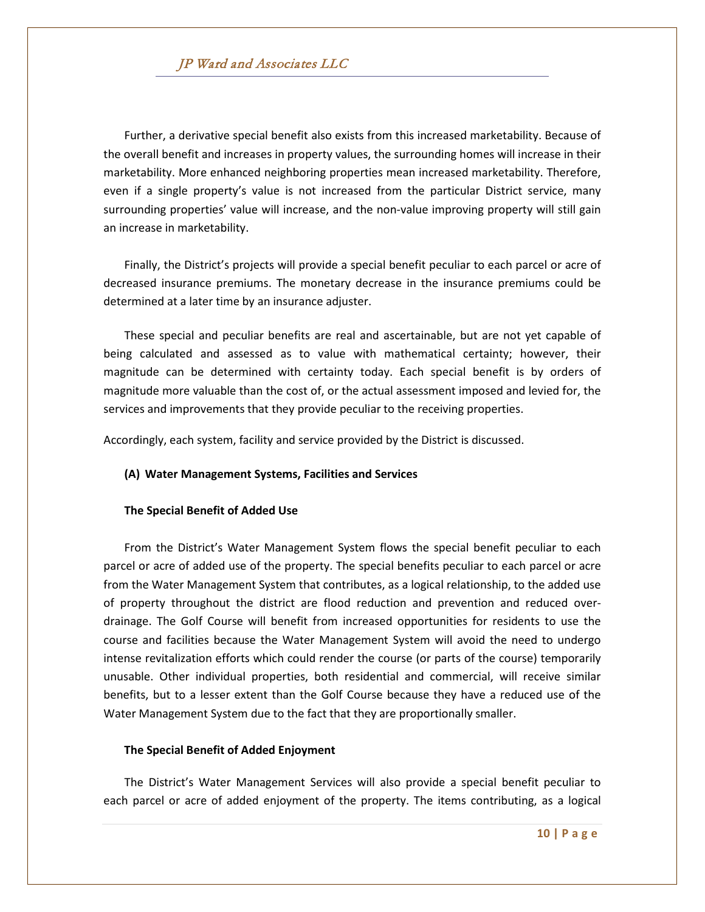Further, a derivative special benefit also exists from this increased marketability. Because of the overall benefit and increases in property values, the surrounding homes will increase in their marketability. More enhanced neighboring properties mean increased marketability. Therefore, even if a single property's value is not increased from the particular District service, many surrounding properties' value will increase, and the non-value improving property will still gain an increase in marketability.

Finally, the District's projects will provide a special benefit peculiar to each parcel or acre of decreased insurance premiums. The monetary decrease in the insurance premiums could be determined at a later time by an insurance adjuster.

These special and peculiar benefits are real and ascertainable, but are not yet capable of being calculated and assessed as to value with mathematical certainty; however, their magnitude can be determined with certainty today. Each special benefit is by orders of magnitude more valuable than the cost of, or the actual assessment imposed and levied for, the services and improvements that they provide peculiar to the receiving properties.

Accordingly, each system, facility and service provided by the District is discussed.

# **(A) Water Management Systems, Facilities and Services**

# **The Special Benefit of Added Use**

From the District's Water Management System flows the special benefit peculiar to each parcel or acre of added use of the property. The special benefits peculiar to each parcel or acre from the Water Management System that contributes, as a logical relationship, to the added use of property throughout the district are flood reduction and prevention and reduced overdrainage. The Golf Course will benefit from increased opportunities for residents to use the course and facilities because the Water Management System will avoid the need to undergo intense revitalization efforts which could render the course (or parts of the course) temporarily unusable. Other individual properties, both residential and commercial, will receive similar benefits, but to a lesser extent than the Golf Course because they have a reduced use of the Water Management System due to the fact that they are proportionally smaller.

# **The Special Benefit of Added Enjoyment**

The District's Water Management Services will also provide a special benefit peculiar to each parcel or acre of added enjoyment of the property. The items contributing, as a logical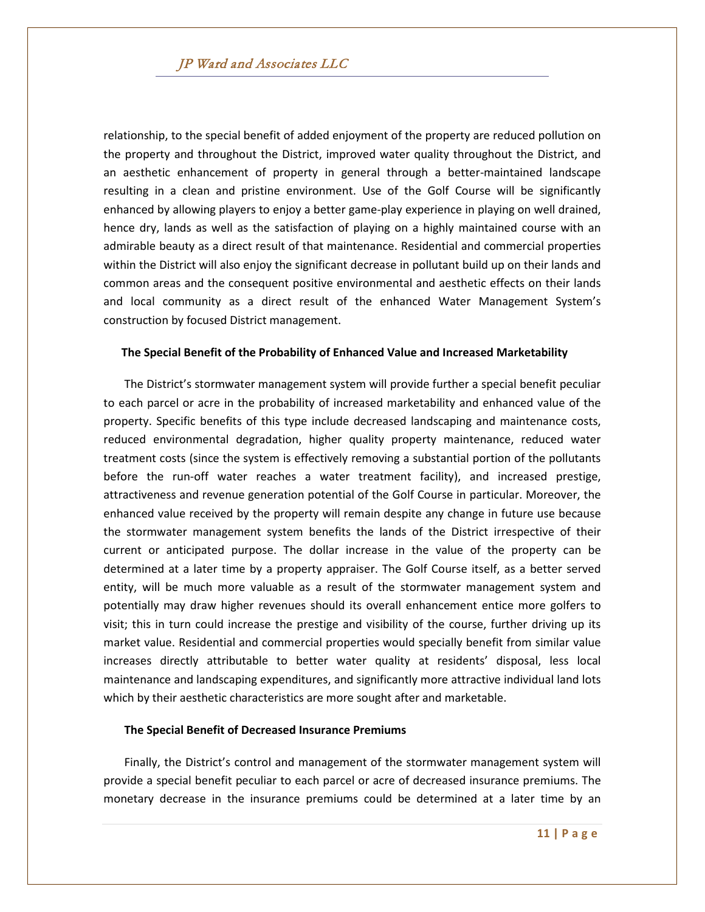relationship, to the special benefit of added enjoyment of the property are reduced pollution on the property and throughout the District, improved water quality throughout the District, and an aesthetic enhancement of property in general through a better-maintained landscape resulting in a clean and pristine environment. Use of the Golf Course will be significantly enhanced by allowing players to enjoy a better game-play experience in playing on well drained, hence dry, lands as well as the satisfaction of playing on a highly maintained course with an admirable beauty as a direct result of that maintenance. Residential and commercial properties within the District will also enjoy the significant decrease in pollutant build up on their lands and common areas and the consequent positive environmental and aesthetic effects on their lands and local community as a direct result of the enhanced Water Management System's construction by focused District management.

#### **The Special Benefit of the Probability of Enhanced Value and Increased Marketability**

The District's stormwater management system will provide further a special benefit peculiar to each parcel or acre in the probability of increased marketability and enhanced value of the property. Specific benefits of this type include decreased landscaping and maintenance costs, reduced environmental degradation, higher quality property maintenance, reduced water treatment costs (since the system is effectively removing a substantial portion of the pollutants before the run-off water reaches a water treatment facility), and increased prestige, attractiveness and revenue generation potential of the Golf Course in particular. Moreover, the enhanced value received by the property will remain despite any change in future use because the stormwater management system benefits the lands of the District irrespective of their current or anticipated purpose. The dollar increase in the value of the property can be determined at a later time by a property appraiser. The Golf Course itself, as a better served entity, will be much more valuable as a result of the stormwater management system and potentially may draw higher revenues should its overall enhancement entice more golfers to visit; this in turn could increase the prestige and visibility of the course, further driving up its market value. Residential and commercial properties would specially benefit from similar value increases directly attributable to better water quality at residents' disposal, less local maintenance and landscaping expenditures, and significantly more attractive individual land lots which by their aesthetic characteristics are more sought after and marketable.

#### **The Special Benefit of Decreased Insurance Premiums**

Finally, the District's control and management of the stormwater management system will provide a special benefit peculiar to each parcel or acre of decreased insurance premiums. The monetary decrease in the insurance premiums could be determined at a later time by an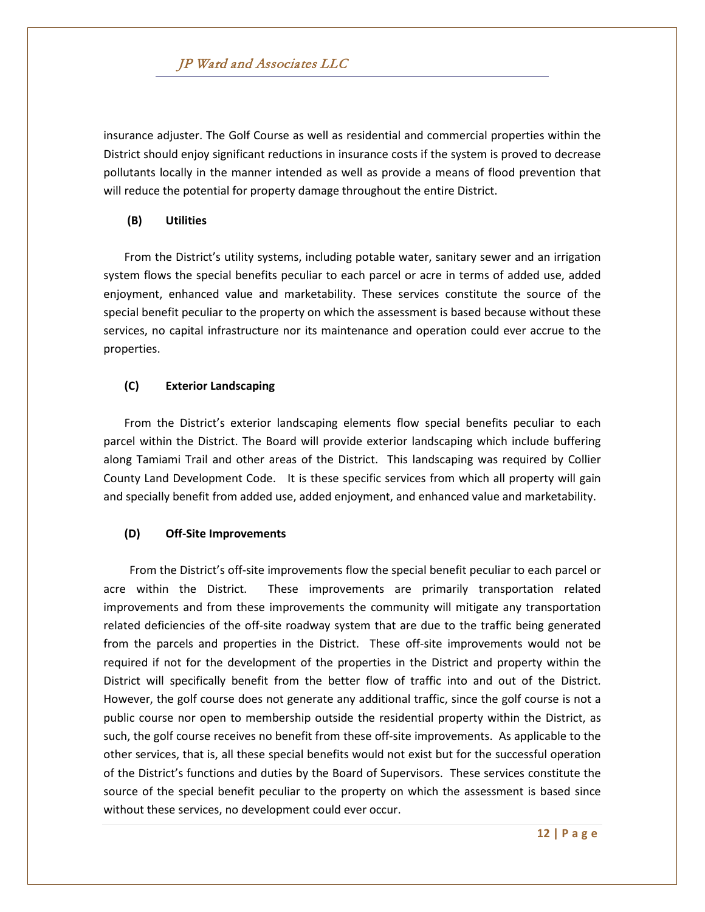insurance adjuster. The Golf Course as well as residential and commercial properties within the District should enjoy significant reductions in insurance costs if the system is proved to decrease pollutants locally in the manner intended as well as provide a means of flood prevention that will reduce the potential for property damage throughout the entire District.

# **(B) Utilities**

From the District's utility systems, including potable water, sanitary sewer and an irrigation system flows the special benefits peculiar to each parcel or acre in terms of added use, added enjoyment, enhanced value and marketability. These services constitute the source of the special benefit peculiar to the property on which the assessment is based because without these services, no capital infrastructure nor its maintenance and operation could ever accrue to the properties.

# **(C) Exterior Landscaping**

From the District's exterior landscaping elements flow special benefits peculiar to each parcel within the District. The Board will provide exterior landscaping which include buffering along Tamiami Trail and other areas of the District. This landscaping was required by Collier County Land Development Code. It is these specific services from which all property will gain and specially benefit from added use, added enjoyment, and enhanced value and marketability.

#### **(D) Off-Site Improvements**

From the District's off-site improvements flow the special benefit peculiar to each parcel or acre within the District. These improvements are primarily transportation related improvements and from these improvements the community will mitigate any transportation related deficiencies of the off-site roadway system that are due to the traffic being generated from the parcels and properties in the District. These off-site improvements would not be required if not for the development of the properties in the District and property within the District will specifically benefit from the better flow of traffic into and out of the District. However, the golf course does not generate any additional traffic, since the golf course is not a public course nor open to membership outside the residential property within the District, as such, the golf course receives no benefit from these off-site improvements. As applicable to the other services, that is, all these special benefits would not exist but for the successful operation of the District's functions and duties by the Board of Supervisors. These services constitute the source of the special benefit peculiar to the property on which the assessment is based since without these services, no development could ever occur.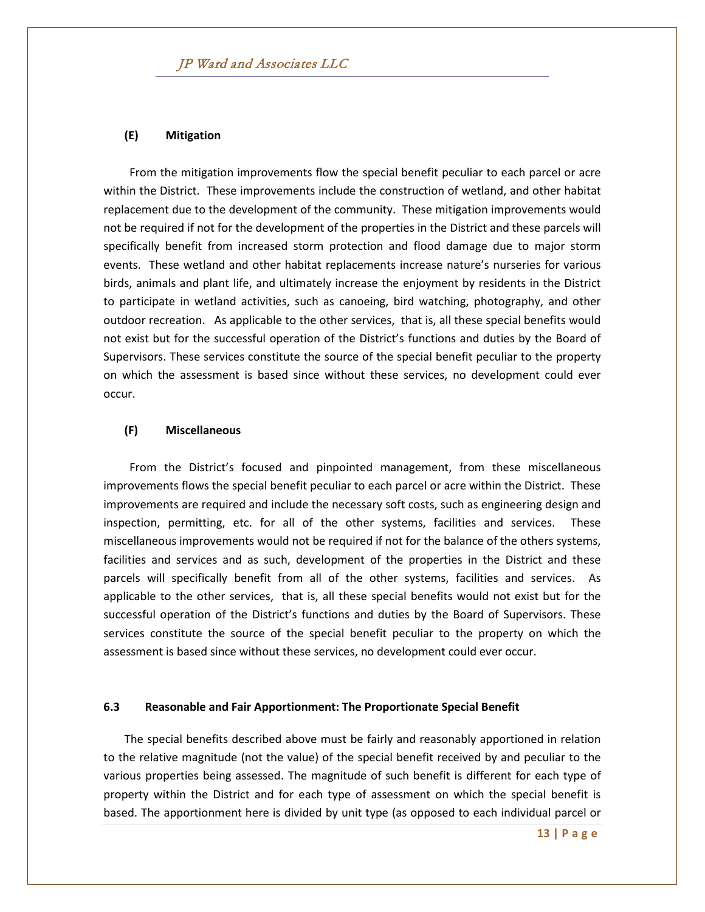#### **(E) Mitigation**

From the mitigation improvements flow the special benefit peculiar to each parcel or acre within the District. These improvements include the construction of wetland, and other habitat replacement due to the development of the community. These mitigation improvements would not be required if not for the development of the properties in the District and these parcels will specifically benefit from increased storm protection and flood damage due to major storm events. These wetland and other habitat replacements increase nature's nurseries for various birds, animals and plant life, and ultimately increase the enjoyment by residents in the District to participate in wetland activities, such as canoeing, bird watching, photography, and other outdoor recreation. As applicable to the other services, that is, all these special benefits would not exist but for the successful operation of the District's functions and duties by the Board of Supervisors. These services constitute the source of the special benefit peculiar to the property on which the assessment is based since without these services, no development could ever occur.

# **(F) Miscellaneous**

From the District's focused and pinpointed management, from these miscellaneous improvements flows the special benefit peculiar to each parcel or acre within the District. These improvements are required and include the necessary soft costs, such as engineering design and inspection, permitting, etc. for all of the other systems, facilities and services. These miscellaneous improvements would not be required if not for the balance of the others systems, facilities and services and as such, development of the properties in the District and these parcels will specifically benefit from all of the other systems, facilities and services. As applicable to the other services, that is, all these special benefits would not exist but for the successful operation of the District's functions and duties by the Board of Supervisors. These services constitute the source of the special benefit peculiar to the property on which the assessment is based since without these services, no development could ever occur.

#### **6.3 Reasonable and Fair Apportionment: The Proportionate Special Benefit**

The special benefits described above must be fairly and reasonably apportioned in relation to the relative magnitude (not the value) of the special benefit received by and peculiar to the various properties being assessed. The magnitude of such benefit is different for each type of property within the District and for each type of assessment on which the special benefit is based. The apportionment here is divided by unit type (as opposed to each individual parcel or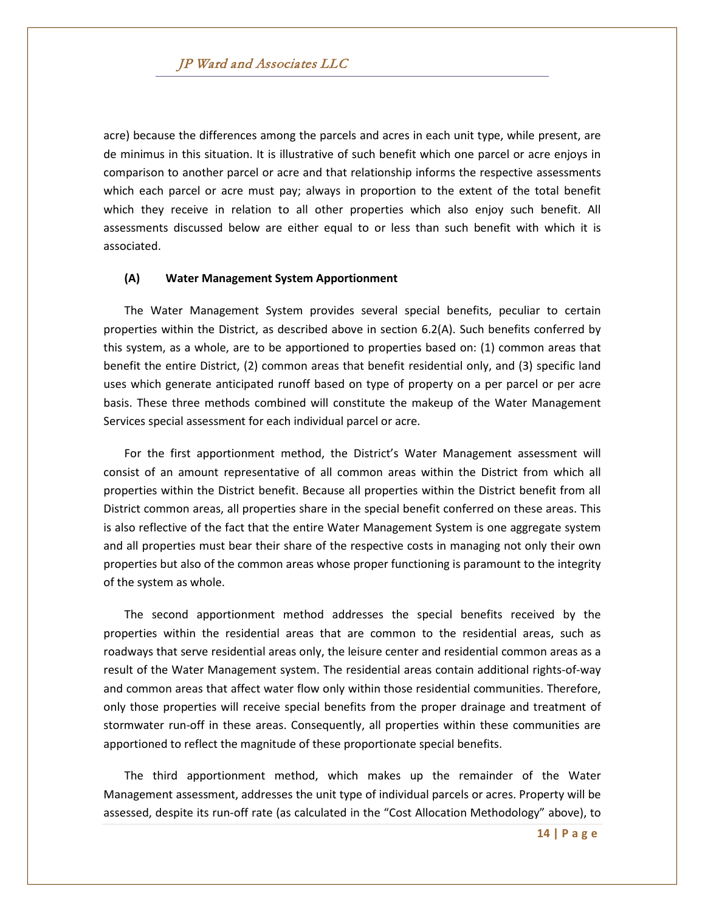acre) because the differences among the parcels and acres in each unit type, while present, are de minimus in this situation. It is illustrative of such benefit which one parcel or acre enjoys in comparison to another parcel or acre and that relationship informs the respective assessments which each parcel or acre must pay; always in proportion to the extent of the total benefit which they receive in relation to all other properties which also enjoy such benefit. All assessments discussed below are either equal to or less than such benefit with which it is associated.

# **(A) Water Management System Apportionment**

The Water Management System provides several special benefits, peculiar to certain properties within the District, as described above in section 6.2(A). Such benefits conferred by this system, as a whole, are to be apportioned to properties based on: (1) common areas that benefit the entire District, (2) common areas that benefit residential only, and (3) specific land uses which generate anticipated runoff based on type of property on a per parcel or per acre basis. These three methods combined will constitute the makeup of the Water Management Services special assessment for each individual parcel or acre.

For the first apportionment method, the District's Water Management assessment will consist of an amount representative of all common areas within the District from which all properties within the District benefit. Because all properties within the District benefit from all District common areas, all properties share in the special benefit conferred on these areas. This is also reflective of the fact that the entire Water Management System is one aggregate system and all properties must bear their share of the respective costs in managing not only their own properties but also of the common areas whose proper functioning is paramount to the integrity of the system as whole.

The second apportionment method addresses the special benefits received by the properties within the residential areas that are common to the residential areas, such as roadways that serve residential areas only, the leisure center and residential common areas as a result of the Water Management system. The residential areas contain additional rights-of-way and common areas that affect water flow only within those residential communities. Therefore, only those properties will receive special benefits from the proper drainage and treatment of stormwater run-off in these areas. Consequently, all properties within these communities are apportioned to reflect the magnitude of these proportionate special benefits.

The third apportionment method, which makes up the remainder of the Water Management assessment, addresses the unit type of individual parcels or acres. Property will be assessed, despite its run-off rate (as calculated in the "Cost Allocation Methodology" above), to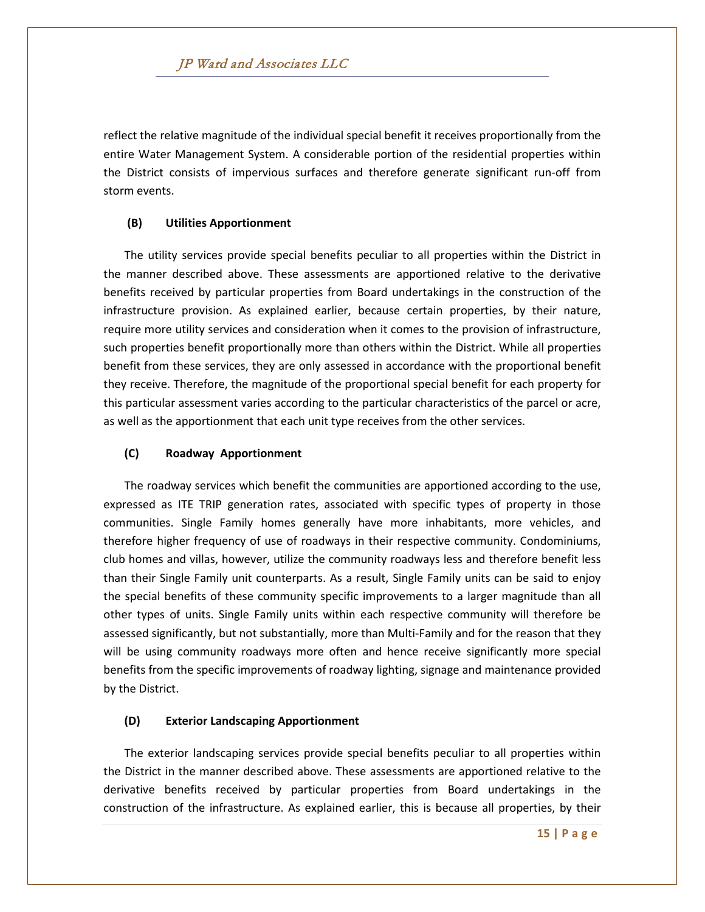reflect the relative magnitude of the individual special benefit it receives proportionally from the entire Water Management System. A considerable portion of the residential properties within the District consists of impervious surfaces and therefore generate significant run-off from storm events.

# **(B) Utilities Apportionment**

The utility services provide special benefits peculiar to all properties within the District in the manner described above. These assessments are apportioned relative to the derivative benefits received by particular properties from Board undertakings in the construction of the infrastructure provision. As explained earlier, because certain properties, by their nature, require more utility services and consideration when it comes to the provision of infrastructure, such properties benefit proportionally more than others within the District. While all properties benefit from these services, they are only assessed in accordance with the proportional benefit they receive. Therefore, the magnitude of the proportional special benefit for each property for this particular assessment varies according to the particular characteristics of the parcel or acre, as well as the apportionment that each unit type receives from the other services.

# **(C) Roadway Apportionment**

The roadway services which benefit the communities are apportioned according to the use, expressed as ITE TRIP generation rates, associated with specific types of property in those communities. Single Family homes generally have more inhabitants, more vehicles, and therefore higher frequency of use of roadways in their respective community. Condominiums, club homes and villas, however, utilize the community roadways less and therefore benefit less than their Single Family unit counterparts. As a result, Single Family units can be said to enjoy the special benefits of these community specific improvements to a larger magnitude than all other types of units. Single Family units within each respective community will therefore be assessed significantly, but not substantially, more than Multi-Family and for the reason that they will be using community roadways more often and hence receive significantly more special benefits from the specific improvements of roadway lighting, signage and maintenance provided by the District.

# **(D) Exterior Landscaping Apportionment**

The exterior landscaping services provide special benefits peculiar to all properties within the District in the manner described above. These assessments are apportioned relative to the derivative benefits received by particular properties from Board undertakings in the construction of the infrastructure. As explained earlier, this is because all properties, by their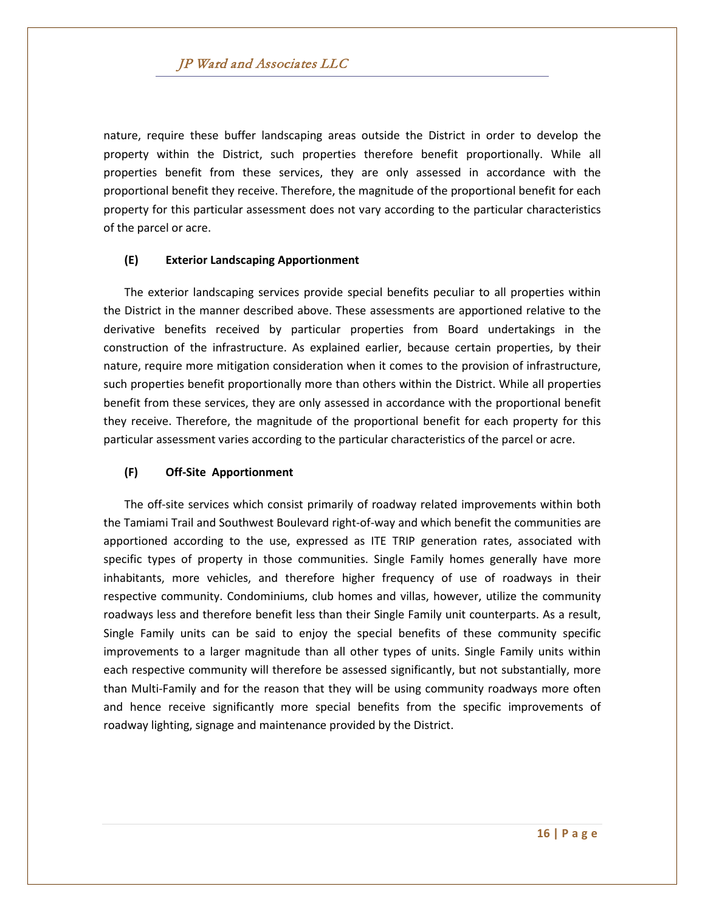nature, require these buffer landscaping areas outside the District in order to develop the property within the District, such properties therefore benefit proportionally. While all properties benefit from these services, they are only assessed in accordance with the proportional benefit they receive. Therefore, the magnitude of the proportional benefit for each property for this particular assessment does not vary according to the particular characteristics of the parcel or acre.

# **(E) Exterior Landscaping Apportionment**

The exterior landscaping services provide special benefits peculiar to all properties within the District in the manner described above. These assessments are apportioned relative to the derivative benefits received by particular properties from Board undertakings in the construction of the infrastructure. As explained earlier, because certain properties, by their nature, require more mitigation consideration when it comes to the provision of infrastructure, such properties benefit proportionally more than others within the District. While all properties benefit from these services, they are only assessed in accordance with the proportional benefit they receive. Therefore, the magnitude of the proportional benefit for each property for this particular assessment varies according to the particular characteristics of the parcel or acre.

# **(F) Off-Site Apportionment**

The off-site services which consist primarily of roadway related improvements within both the Tamiami Trail and Southwest Boulevard right-of-way and which benefit the communities are apportioned according to the use, expressed as ITE TRIP generation rates, associated with specific types of property in those communities. Single Family homes generally have more inhabitants, more vehicles, and therefore higher frequency of use of roadways in their respective community. Condominiums, club homes and villas, however, utilize the community roadways less and therefore benefit less than their Single Family unit counterparts. As a result, Single Family units can be said to enjoy the special benefits of these community specific improvements to a larger magnitude than all other types of units. Single Family units within each respective community will therefore be assessed significantly, but not substantially, more than Multi-Family and for the reason that they will be using community roadways more often and hence receive significantly more special benefits from the specific improvements of roadway lighting, signage and maintenance provided by the District.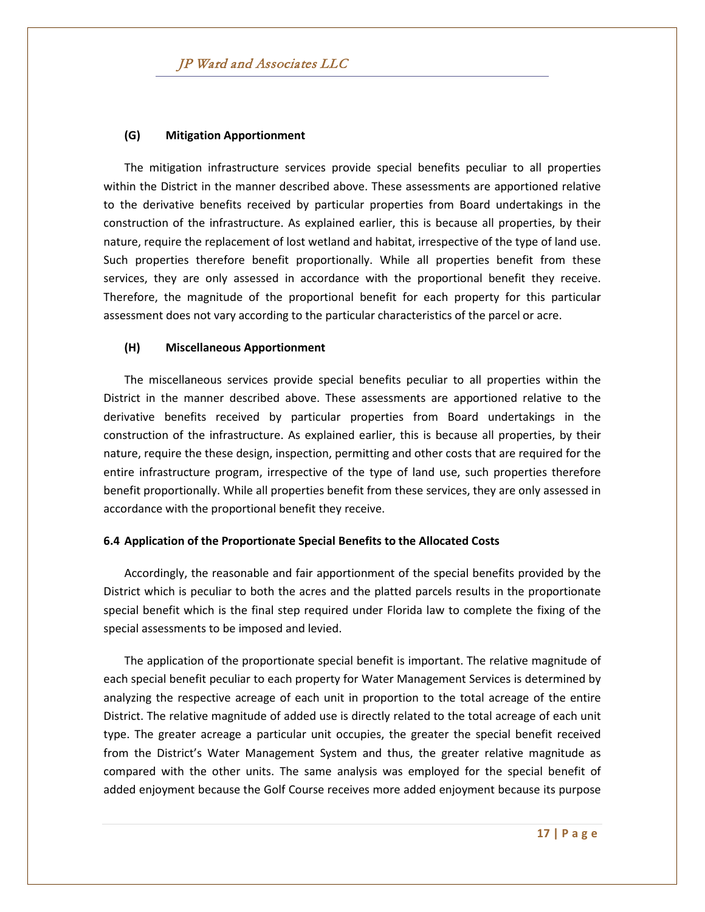## **(G) Mitigation Apportionment**

The mitigation infrastructure services provide special benefits peculiar to all properties within the District in the manner described above. These assessments are apportioned relative to the derivative benefits received by particular properties from Board undertakings in the construction of the infrastructure. As explained earlier, this is because all properties, by their nature, require the replacement of lost wetland and habitat, irrespective of the type of land use. Such properties therefore benefit proportionally. While all properties benefit from these services, they are only assessed in accordance with the proportional benefit they receive. Therefore, the magnitude of the proportional benefit for each property for this particular assessment does not vary according to the particular characteristics of the parcel or acre.

## **(H) Miscellaneous Apportionment**

The miscellaneous services provide special benefits peculiar to all properties within the District in the manner described above. These assessments are apportioned relative to the derivative benefits received by particular properties from Board undertakings in the construction of the infrastructure. As explained earlier, this is because all properties, by their nature, require the these design, inspection, permitting and other costs that are required for the entire infrastructure program, irrespective of the type of land use, such properties therefore benefit proportionally. While all properties benefit from these services, they are only assessed in accordance with the proportional benefit they receive.

# **6.4 Application of the Proportionate Special Benefits to the Allocated Costs**

Accordingly, the reasonable and fair apportionment of the special benefits provided by the District which is peculiar to both the acres and the platted parcels results in the proportionate special benefit which is the final step required under Florida law to complete the fixing of the special assessments to be imposed and levied.

The application of the proportionate special benefit is important. The relative magnitude of each special benefit peculiar to each property for Water Management Services is determined by analyzing the respective acreage of each unit in proportion to the total acreage of the entire District. The relative magnitude of added use is directly related to the total acreage of each unit type. The greater acreage a particular unit occupies, the greater the special benefit received from the District's Water Management System and thus, the greater relative magnitude as compared with the other units. The same analysis was employed for the special benefit of added enjoyment because the Golf Course receives more added enjoyment because its purpose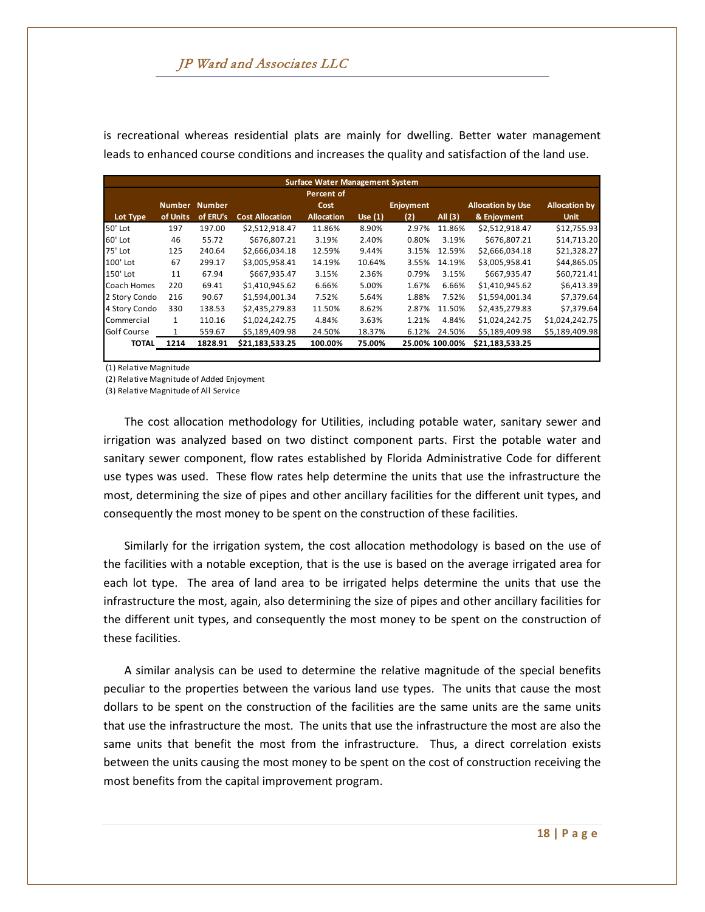is recreational whereas residential plats are mainly for dwelling. Better water management leads to enhanced course conditions and increases the quality and satisfaction of the land use.

|               | <b>Surface Water Management System</b> |               |                        |                   |           |                  |                |                          |                      |  |  |  |  |
|---------------|----------------------------------------|---------------|------------------------|-------------------|-----------|------------------|----------------|--------------------------|----------------------|--|--|--|--|
|               |                                        |               |                        | Percent of        |           |                  |                |                          |                      |  |  |  |  |
|               | <b>Number</b>                          | <b>Number</b> |                        | Cost              |           | <b>Enjoyment</b> |                | <b>Allocation by Use</b> | <b>Allocation by</b> |  |  |  |  |
| Lot Type      | of Units                               | of ERU's      | <b>Cost Allocation</b> | <b>Allocation</b> | Use $(1)$ | (2)              | All $(3)$      | & Enjoyment              | <b>Unit</b>          |  |  |  |  |
| 50' Lot       | 197                                    | 197.00        | \$2,512,918.47         | 11.86%            | 8.90%     | 2.97%            | 11.86%         | \$2,512,918.47           | \$12,755.93          |  |  |  |  |
| 60' Lot       | 46                                     | 55.72         | \$676.807.21           | 3.19%             | 2.40%     | 0.80%            | 3.19%          | \$676.807.21             | \$14,713.20          |  |  |  |  |
| 75' Lot       | 125                                    | 240.64        | \$2.666.034.18         | 12.59%            | 9.44%     | 3.15%            | 12.59%         | \$2.666.034.18           | \$21,328.27          |  |  |  |  |
| 100' Lot      | 67                                     | 299.17        | \$3,005,958.41         | 14.19%            | 10.64%    | 3.55%            | 14.19%         | \$3,005,958.41           | \$44,865.05          |  |  |  |  |
| 150' Lot      | 11                                     | 67.94         | \$667,935.47           | 3.15%             | 2.36%     | 0.79%            | 3.15%          | \$667.935.47             | \$60,721.41          |  |  |  |  |
| Coach Homes   | 220                                    | 69.41         | \$1,410,945.62         | 6.66%             | 5.00%     | 1.67%            | 6.66%          | \$1,410,945.62           | \$6,413.39           |  |  |  |  |
| 2 Story Condo | 216                                    | 90.67         | \$1,594,001.34         | 7.52%             | 5.64%     | 1.88%            | 7.52%          | \$1,594,001.34           | \$7,379.64           |  |  |  |  |
| 4 Story Condo | 330                                    | 138.53        | \$2.435.279.83         | 11.50%            | 8.62%     | 2.87%            | 11.50%         | \$2,435,279.83           | \$7,379.64           |  |  |  |  |
| Commercial    | $\mathbf{1}$                           | 110.16        | \$1,024,242.75         | 4.84%             | 3.63%     | 1.21%            | 4.84%          | \$1,024,242.75           | \$1,024,242.75       |  |  |  |  |
| Golf Course   |                                        | 559.67        | \$5,189,409.98         | 24.50%            | 18.37%    | 6.12%            | 24.50%         | \$5,189,409.98           | \$5,189,409.98       |  |  |  |  |
| TOTAL         | 1214                                   | 1828.91       | \$21,183,533.25        | 100.00%           | 75.00%    |                  | 25.00% 100.00% | \$21,183,533.25          |                      |  |  |  |  |
|               |                                        |               |                        |                   |           |                  |                |                          |                      |  |  |  |  |

(1) Relative Magnitude

(2) Relative Magnitude of Added Enjoyment

(3) Relative Magnitude of All Service

The cost allocation methodology for Utilities, including potable water, sanitary sewer and irrigation was analyzed based on two distinct component parts. First the potable water and sanitary sewer component, flow rates established by Florida Administrative Code for different use types was used. These flow rates help determine the units that use the infrastructure the most, determining the size of pipes and other ancillary facilities for the different unit types, and consequently the most money to be spent on the construction of these facilities.

Similarly for the irrigation system, the cost allocation methodology is based on the use of the facilities with a notable exception, that is the use is based on the average irrigated area for each lot type. The area of land area to be irrigated helps determine the units that use the infrastructure the most, again, also determining the size of pipes and other ancillary facilities for the different unit types, and consequently the most money to be spent on the construction of these facilities.

A similar analysis can be used to determine the relative magnitude of the special benefits peculiar to the properties between the various land use types. The units that cause the most dollars to be spent on the construction of the facilities are the same units are the same units that use the infrastructure the most. The units that use the infrastructure the most are also the same units that benefit the most from the infrastructure. Thus, a direct correlation exists between the units causing the most money to be spent on the cost of construction receiving the most benefits from the capital improvement program.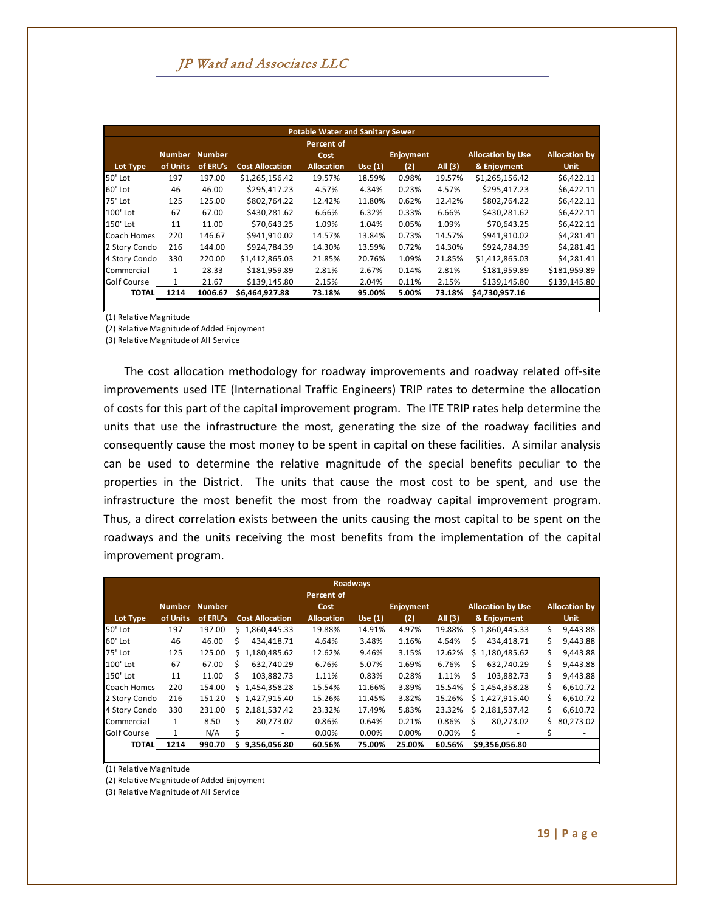|               |               |               |                        | <b>Potable Water and Sanitary Sewer</b> |           |           |           |                          |                      |
|---------------|---------------|---------------|------------------------|-----------------------------------------|-----------|-----------|-----------|--------------------------|----------------------|
|               |               |               |                        | <b>Percent of</b>                       |           |           |           |                          |                      |
|               | <b>Number</b> | <b>Number</b> |                        | Cost                                    |           | Enjoyment |           | <b>Allocation by Use</b> | <b>Allocation by</b> |
| Lot Type      | of Units      | of ERU's      | <b>Cost Allocation</b> | <b>Allocation</b>                       | Use $(1)$ | (2)       | All $(3)$ | & Enjoyment              | <b>Unit</b>          |
| 50' Lot       | 197           | 197.00        | \$1,265,156.42         | 19.57%                                  | 18.59%    | 0.98%     | 19.57%    | \$1,265,156.42           | \$6,422.11           |
| 60' Lot       | 46            | 46.00         | \$295.417.23           | 4.57%                                   | 4.34%     | 0.23%     | 4.57%     | \$295,417.23             | \$6,422.11           |
| 75' Lot       | 125           | 125.00        | \$802.764.22           | 12.42%                                  | 11.80%    | 0.62%     | 12.42%    | \$802.764.22             | \$6,422.11           |
| 100' Lot      | 67            | 67.00         | \$430.281.62           | 6.66%                                   | 6.32%     | 0.33%     | 6.66%     | \$430,281.62             | \$6,422.11           |
| 150' Lot      | 11            | 11.00         | \$70.643.25            | 1.09%                                   | 1.04%     | 0.05%     | 1.09%     | \$70.643.25              | \$6.422.11           |
| Coach Homes   | 220           | 146.67        | \$941.910.02           | 14.57%                                  | 13.84%    | 0.73%     | 14.57%    | \$941.910.02             | \$4,281.41           |
| 2 Story Condo | 216           | 144.00        | \$924.784.39           | 14.30%                                  | 13.59%    | 0.72%     | 14.30%    | \$924,784.39             | \$4,281.41           |
| 4 Story Condo | 330           | 220.00        | \$1,412,865.03         | 21.85%                                  | 20.76%    | 1.09%     | 21.85%    | \$1,412,865.03           | \$4.281.41           |
| Commercial    | 1             | 28.33         | \$181,959.89           | 2.81%                                   | 2.67%     | 0.14%     | 2.81%     | \$181,959.89             | \$181,959.89         |
| Golf Course   | 1             | 21.67         | \$139.145.80           | 2.15%                                   | 2.04%     | 0.11%     | 2.15%     | \$139,145.80             | \$139.145.80         |
| <b>TOTAL</b>  | 1214          | 1006.67       | \$6,464,927.88         | 73.18%                                  | 95.00%    | 5.00%     | 73.18%    | \$4,730,957.16           |                      |

(1) Relative Magnitude

(2) Relative Magnitude of Added Enjoyment

(3) Relative Magnitude of All Service

The cost allocation methodology for roadway improvements and roadway related off-site improvements used ITE (International Traffic Engineers) TRIP rates to determine the allocation of costs for this part of the capital improvement program. The ITE TRIP rates help determine the units that use the infrastructure the most, generating the size of the roadway facilities and consequently cause the most money to be spent in capital on these facilities. A similar analysis can be used to determine the relative magnitude of the special benefits peculiar to the properties in the District. The units that cause the most cost to be spent, and use the infrastructure the most benefit the most from the roadway capital improvement program. Thus, a direct correlation exists between the units causing the most capital to be spent on the roadways and the units receiving the most benefits from the implementation of the capital improvement program.

|               |              |               |    |                        |                   | <b>Roadways</b> |                  |           |                          |    |                      |
|---------------|--------------|---------------|----|------------------------|-------------------|-----------------|------------------|-----------|--------------------------|----|----------------------|
|               |              |               |    |                        | <b>Percent of</b> |                 |                  |           |                          |    |                      |
|               |              | Number Number |    |                        | Cost              |                 | <b>Enjoyment</b> |           | <b>Allocation by Use</b> |    | <b>Allocation by</b> |
| Lot Type      | of Units     | of ERU's      |    | <b>Cost Allocation</b> | <b>Allocation</b> | Use $(1)$       | (2)              | All $(3)$ | & Enjoyment              |    | <b>Unit</b>          |
| 50' Lot       | 197          | 197.00        | Ś. | 1.860.445.33           | 19.88%            | 14.91%          | 4.97%            | 19.88%    | \$1.860.445.33           | Ś. | 9,443.88             |
| 60' Lot       | 46           | 46.00         | Ś  | 434.418.71             | 4.64%             | 3.48%           | 1.16%            | 4.64%     | 434,418.71<br>Ś          | Ś  | 9.443.88             |
| 75' Lot       | 125          | 125.00        | Ś. | 1.180.485.62           | 12.62%            | 9.46%           | 3.15%            | 12.62%    | \$1.180.485.62           | Ś  | 9.443.88             |
| 100' Lot      | 67           | 67.00         | Ś  | 632.740.29             | 6.76%             | 5.07%           | 1.69%            | 6.76%     | S.<br>632.740.29         | Ś. | 9.443.88             |
| 150' Lot      | 11           | 11.00         | Ś  | 103.882.73             | 1.11%             | 0.83%           | 0.28%            | 1.11%     | 103.882.73<br>Ś.         | Ś. | 9.443.88             |
| Coach Homes   | 220          | 154.00        |    | \$1.454.358.28         | 15.54%            | 11.66%          | 3.89%            | 15.54%    | \$1.454.358.28           | Ś. | 6,610.72             |
| 2 Story Condo | 216          | 151.20        |    | \$1.427.915.40         | 15.26%            | 11.45%          | 3.82%            | 15.26%    | \$1.427.915.40           | Ś. | 6.610.72             |
| 4 Story Condo | 330          | 231.00        |    | \$2,181,537.42         | 23.32%            | 17.49%          | 5.83%            | 23.32%    | \$2,181,537.42           | Ś. | 6,610.72             |
| Commercial    | $\mathbf{1}$ | 8.50          | Ś. | 80.273.02              | 0.86%             | 0.64%           | 0.21%            | 0.86%     | Ŝ.<br>80,273.02          | Ś. | 80,273.02            |
| Golf Course   | 1            | N/A           | Ś  |                        | 0.00%             | 0.00%           | 0.00%            | 0.00%     | Ŝ.                       |    | ٠                    |
| <b>TOTAL</b>  | 1214         | 990.70        |    | \$9,356,056.80         | 60.56%            | 75.00%          | 25.00%           | 60.56%    | \$9,356,056.80           |    |                      |

(1) Relative Magnitude

(2) Relative Magnitude of Added Enjoyment

(3) Relative Magnitude of All Service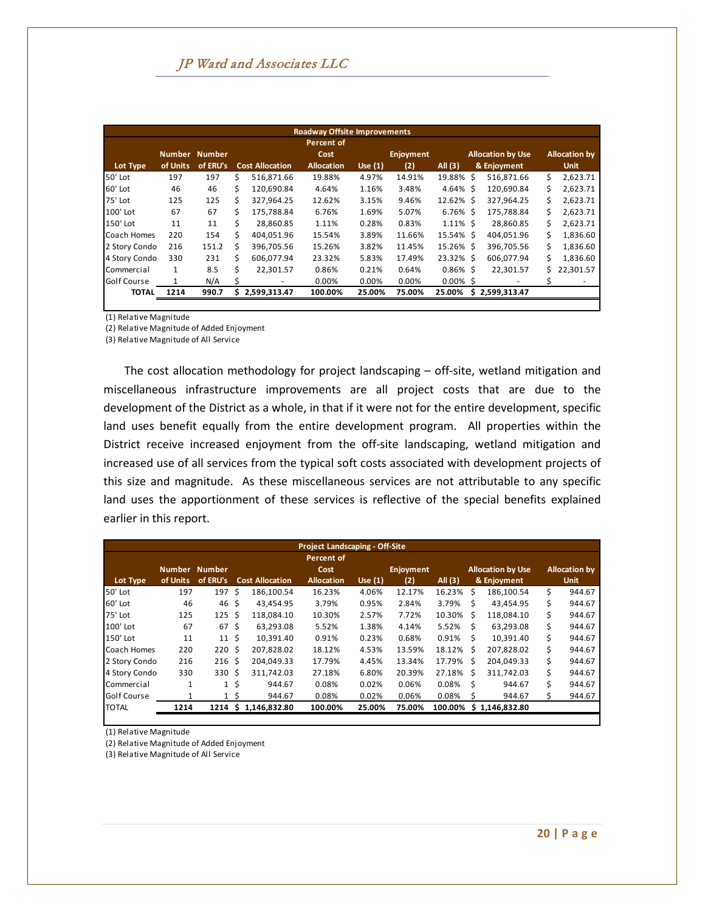|                 |               |               |    |                        | <b>Roadway Offsite Improvements</b> |           |           |              |                          |    |                      |
|-----------------|---------------|---------------|----|------------------------|-------------------------------------|-----------|-----------|--------------|--------------------------|----|----------------------|
|                 |               |               |    |                        | <b>Percent of</b>                   |           |           |              |                          |    |                      |
|                 | <b>Number</b> | <b>Number</b> |    |                        | Cost                                |           | Enjoyment |              | <b>Allocation by Use</b> |    | <b>Allocation by</b> |
| <b>Lot Type</b> | of Units      | of ERU's      |    | <b>Cost Allocation</b> | Allocation                          | Use $(1)$ | (2)       | All $(3)$    | & Enjoyment              |    | <b>Unit</b>          |
| 50' Lot         | 197           | 197           | Ś  | 516.871.66             | 19.88%                              | 4.97%     | 14.91%    | 19.88% \$    | 516,871.66               | Ś. | 2,623.71             |
| 60' Lot         | 46            | 46            | Ś  | 120.690.84             | 4.64%                               | 1.16%     | 3.48%     | 4.64% \$     | 120.690.84               | Ś. | 2,623.71             |
| 75' Lot         | 125           | 125           | Ś  | 327.964.25             | 12.62%                              | 3.15%     | 9.46%     | $12.62\%$ \$ | 327,964.25               | Ś  | 2,623.71             |
| 100' Lot        | 67            | 67            | Ś  | 175.788.84             | 6.76%                               | 1.69%     | 5.07%     | $6.76\%$ \$  | 175.788.84               | Ś  | 2.623.71             |
| 150' Lot        | 11            | 11            | Ś  | 28.860.85              | 1.11%                               | 0.28%     | 0.83%     | $1.11\%$ \$  | 28.860.85                | Ś. | 2,623.71             |
| Coach Homes     | 220           | 154           | Ś  | 404.051.96             | 15.54%                              | 3.89%     | 11.66%    | 15.54% \$    | 404.051.96               | Ś. | 1.836.60             |
| 2 Story Condo   | 216           | 151.2         | Ś  | 396.705.56             | 15.26%                              | 3.82%     | 11.45%    | 15.26% \$    | 396,705.56               | Ś. | 1,836.60             |
| 4 Story Condo   | 330           | 231           | Ś  | 606,077.94             | 23.32%                              | 5.83%     | 17.49%    | 23.32% \$    | 606,077.94               | Ś. | 1,836.60             |
| Commercial      | 1             | 8.5           | \$ | 22,301.57              | 0.86%                               | 0.21%     | 0.64%     | $0.86\%$ \$  | 22,301.57                | Ś. | 22,301.57            |
| Golf Course     |               | N/A           | Ś  | ۰                      | 0.00%                               | $0.00\%$  | 0.00%     | $0.00\%$ \$  |                          |    | ٠                    |
| <b>TOTAL</b>    | 1214          | 990.7         | S. | 2,599,313.47           | 100.00%                             | 25.00%    | 75.00%    | 25.00%       | \$2,599,313.47           |    |                      |

(1) Relative Magnitude

(2) Relative Magnitude of Added Enjoyment

(3) Relative Magnitude of All Service

The cost allocation methodology for project landscaping – off-site, wetland mitigation and miscellaneous infrastructure improvements are all project costs that are due to the development of the District as a whole, in that if it were not for the entire development, specific land uses benefit equally from the entire development program. All properties within the District receive increased enjoyment from the off-site landscaping, wetland mitigation and increased use of all services from the typical soft costs associated with development projects of this size and magnitude. As these miscellaneous services are not attributable to any specific land uses the apportionment of these services is reflective of the special benefits explained earlier in this report.

|                 |          |                  |          |                        | <b>Project Landscaping - Off-Site</b> |           |                  |           |      |                          |    |                      |
|-----------------|----------|------------------|----------|------------------------|---------------------------------------|-----------|------------------|-----------|------|--------------------------|----|----------------------|
|                 |          |                  |          |                        | <b>Percent of</b>                     |           |                  |           |      |                          |    |                      |
|                 | Number   | <b>Number</b>    |          |                        | Cost                                  |           | <b>Enjoyment</b> |           |      | <b>Allocation by Use</b> |    | <b>Allocation by</b> |
| <b>Lot Type</b> | of Units | of ERU's         |          | <b>Cost Allocation</b> | <b>Allocation</b>                     | Use $(1)$ | (2)              | All $(3)$ |      | & Enjoyment              |    | <b>Unit</b>          |
| 50' Lot         | 197      | 197              | Ŝ        | 186.100.54             | 16.23%                                | 4.06%     | 12.17%           | 16.23%    | Ŝ    | 186.100.54               | Ś. | 944.67               |
| 60' Lot         | 46       | 46               | \$       | 43.454.95              | 3.79%                                 | 0.95%     | 2.84%            | 3.79%     | Ŝ.   | 43.454.95                | Ś. | 944.67               |
| 75' Lot         | 125      | 125              | Ŝ.       | 118.084.10             | 10.30%                                | 2.57%     | 7.72%            | 10.30%    | -S   | 118.084.10               | Ś  | 944.67               |
| 100' Lot        | 67       | 67               | \$       | 63.293.08              | 5.52%                                 | 1.38%     | 4.14%            | 5.52%     | S    | 63.293.08                | Ś. | 944.67               |
| 150' Lot        | 11       | 11               | Ŝ.       | 10.391.40              | 0.91%                                 | 0.23%     | 0.68%            | 0.91%     | Ŝ.   | 10.391.40                | Ś. | 944.67               |
| Coach Homes     | 220      | 220 <sup>5</sup> |          | 207,828.02             | 18.12%                                | 4.53%     | 13.59%           | 18.12%    | - \$ | 207,828.02               | \$ | 944.67               |
| 2 Story Condo   | 216      | 216 <sup>5</sup> |          | 204.049.33             | 17.79%                                | 4.45%     | 13.34%           | 17.79%    | - \$ | 204.049.33               | Ś. | 944.67               |
| 4 Story Condo   | 330      | 330 \$           |          | 311.742.03             | 27.18%                                | 6.80%     | 20.39%           | 27.18%    | -S   | 311.742.03               | Ś  | 944.67               |
| Commercial      | 1        |                  | $1\,$ \$ | 944.67                 | 0.08%                                 | 0.02%     | 0.06%            | 0.08%     | .S   | 944.67                   | Ś. | 944.67               |
| Golf Course     | 1        |                  | $1\;$ \$ | 944.67                 | 0.08%                                 | 0.02%     | 0.06%            | 0.08%     | Ś    | 944.67                   | Ś. | 944.67               |
| <b>TOTAL</b>    | 1214     | 1214S            |          | 1,146,832.80           | 100.00%                               | 25.00%    | 75.00%           | 100.00%   |      | \$1,146,832.80           |    |                      |

(1) Relative Magnitude

(2) Relative Magnitude of Added Enjoyment

(3) Relative Magnitude of All Service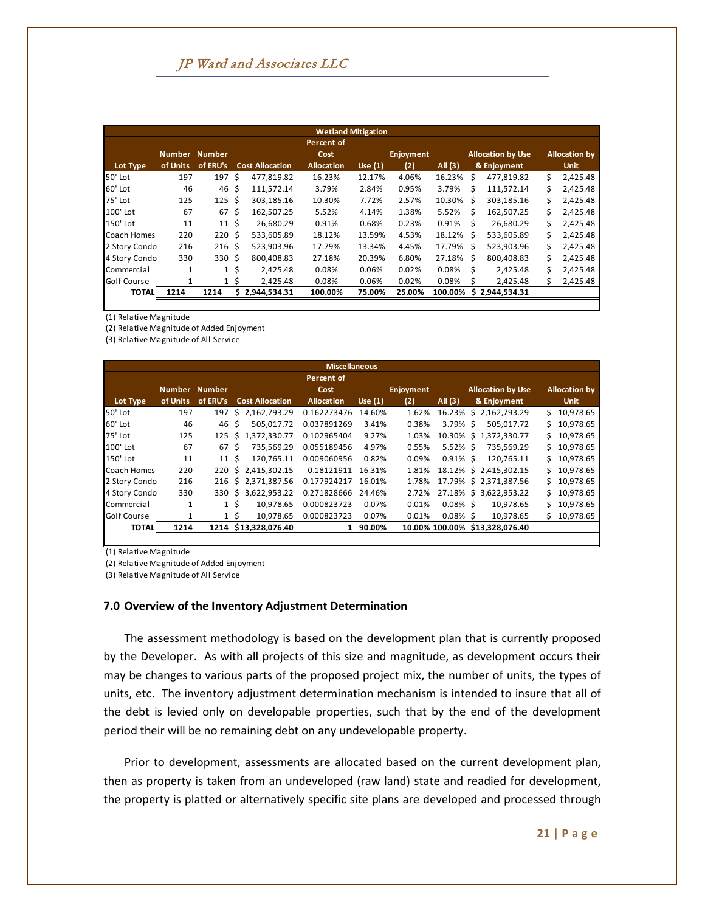|                    | <b>Wetland Mitigation</b> |                  |    |                        |                   |           |           |           |    |                          |    |                      |  |  |
|--------------------|---------------------------|------------------|----|------------------------|-------------------|-----------|-----------|-----------|----|--------------------------|----|----------------------|--|--|
|                    |                           |                  |    |                        | <b>Percent of</b> |           |           |           |    |                          |    |                      |  |  |
|                    | <b>Number</b>             | <b>Number</b>    |    |                        | Cost              |           | Enjoyment |           |    | <b>Allocation by Use</b> |    | <b>Allocation by</b> |  |  |
| Lot Type           | of Units                  | of ERU's         |    | <b>Cost Allocation</b> | <b>Allocation</b> | Use $(1)$ | (2)       | All $(3)$ |    | & Enjoyment              |    | <b>Unit</b>          |  |  |
| <b>50' Lot</b>     | 197                       | 197              | S  | 477.819.82             | 16.23%            | 12.17%    | 4.06%     | 16.23%    | Ŝ  | 477.819.82               | Ś. | 2,425.48             |  |  |
| 160' Lot           | 46                        | 46               | Ś  | 111.572.14             | 3.79%             | 2.84%     | 0.95%     | 3.79%     | Ś  | 111.572.14               | Ś. | 2.425.48             |  |  |
| 75' Lot            | 125                       | 125              | Ŝ. | 303.185.16             | 10.30%            | 7.72%     | 2.57%     | 10.30%    | S  | 303.185.16               | Ś. | 2,425.48             |  |  |
| 100' Lot           | 67                        | 67               | Ś  | 162.507.25             | 5.52%             | 4.14%     | 1.38%     | 5.52%     | Ś  | 162.507.25               | Ś. | 2,425.48             |  |  |
| 150' Lot           | 11                        | 11               | Ś  | 26.680.29              | 0.91%             | 0.68%     | 0.23%     | 0.91%     | Ś  | 26.680.29                | Ś  | 2,425.48             |  |  |
| Coach Homes        | 220                       | 220 <sub>5</sub> |    | 533.605.89             | 18.12%            | 13.59%    | 4.53%     | 18.12%    | Ŝ. | 533,605.89               | Ś. | 2,425.48             |  |  |
| 2 Story Condo      | 216                       | 216              | Ś  | 523.903.96             | 17.79%            | 13.34%    | 4.45%     | 17.79%    | Ŝ  | 523.903.96               | Ś. | 2.425.48             |  |  |
| 4 Story Condo      | 330                       | 330              | Ŝ. | 800.408.83             | 27.18%            | 20.39%    | 6.80%     | 27.18%    | S  | 800,408.83               | Ś  | 2,425.48             |  |  |
| Commercial         | 1                         | $\mathbf{1}$     | \$ | 2.425.48               | 0.08%             | 0.06%     | 0.02%     | 0.08%     | Ś  | 2.425.48                 | Ś  | 2,425.48             |  |  |
| <b>Golf Course</b> |                           | $\mathbf{1}$     | \$ | 2.425.48               | 0.08%             | 0.06%     | 0.02%     | 0.08%     |    | 2.425.48                 | Ś. | 2,425.48             |  |  |
| <b>TOTAL</b>       | 1214                      | 1214             |    | \$2,944,534.31         | 100.00%           | 75.00%    | 25.00%    | 100.00%   |    | \$2.944.534.31           |    |                      |  |  |

(1) Relative Magnitude

(2) Relative Magnitude of Added Enjoyment

(3) Relative Magnitude of All Service

|                   |               |          |                |                        | <b>Miscellaneous</b> |           |                  |             |                                |    |                      |
|-------------------|---------------|----------|----------------|------------------------|----------------------|-----------|------------------|-------------|--------------------------------|----|----------------------|
|                   |               |          |                |                        | <b>Percent of</b>    |           |                  |             |                                |    |                      |
|                   | Number Number |          |                |                        | Cost                 |           | <b>Enjoyment</b> |             | <b>Allocation by Use</b>       |    | <b>Allocation by</b> |
| Lot Type          | of Units      | of ERU's |                | <b>Cost Allocation</b> | <b>Allocation</b>    | Use $(1)$ | (2)              | All $(3)$   | & Enjoyment                    |    | <b>Unit</b>          |
| 50' Lot           | 197           | 197      | S.             | 2,162,793.29           | 0.162273476          | 14.60%    | 1.62%            | 16.23%      | \$2,162,793.29                 | Ś. | 10,978.65            |
| 60' Lot           | 46            | 46       | Ŝ.             | 505.017.72             | 0.037891269          | 3.41%     | 0.38%            | $3.79\%$ \$ | 505.017.72                     | Ś. | 10.978.65            |
| 75' Lot           | 125           | 125      | S.             | 1.372.330.77           | 0.102965404          | 9.27%     | 1.03%            |             | 10.30% \$ 1,372,330.77         | Ś. | 10.978.65            |
| 100' Lot          | 67            | 67       | Ŝ              | 735.569.29             | 0.055189456          | 4.97%     | 0.55%            | $5.52\%$ \$ | 735.569.29                     | Ś. | 10.978.65            |
| 150' Lot          | 11            | 11       | Ŝ.             | 120.765.11             | 0.009060956          | 0.82%     | 0.09%            | $0.91\%$ \$ | 120.765.11                     | Ŝ. | 10.978.65            |
| Coach Homes       | 220           | 220      |                | \$2.415.302.15         | 0.18121911           | 16.31%    | 1.81%            |             | 18.12% \$ 2,415,302.15         | Ś. | 10,978.65            |
| 2 Story Condo     | 216           |          |                | 216 \$ 2.371.387.56    | 0.177924217          | 16.01%    | 1.78%            |             | 17.79% \$ 2,371,387.56         | Ś. | 10.978.65            |
| 4 Story Condo     | 330           | 330      | S.             | 3,622,953.22           | 0.271828666          | 24.46%    | 2.72%            |             | 27.18% \$ 3,622,953.22         | Ś. | 10,978.65            |
| <b>Commercial</b> | $\mathbf{1}$  |          | $1\,$ S        | 10,978.65              | 0.000823723          | 0.07%     | 0.01%            | $0.08\%$ \$ | 10,978.65                      | Ś. | 10,978.65            |
| Golf Course       |               |          | 1 <sup>5</sup> | 10.978.65              | 0.000823723          | 0.07%     | 0.01%            | $0.08\%$ \$ | 10.978.65                      | S. | 10,978.65            |
| <b>TOTAL</b>      | 1214          |          |                | 1214 \$13,328,076.40   | $\mathbf{1}$         | 90.00%    |                  |             | 10.00% 100.00% \$13.328.076.40 |    |                      |
|                   |               |          |                |                        |                      |           |                  |             |                                |    |                      |

(1) Relative Magnitude

(2) Relative Magnitude of Added Enjoyment

(3) Relative Magnitude of All Service

#### **7.0 Overview of the Inventory Adjustment Determination**

The assessment methodology is based on the development plan that is currently proposed by the Developer. As with all projects of this size and magnitude, as development occurs their may be changes to various parts of the proposed project mix, the number of units, the types of units, etc. The inventory adjustment determination mechanism is intended to insure that all of the debt is levied only on developable properties, such that by the end of the development period their will be no remaining debt on any undevelopable property.

Prior to development, assessments are allocated based on the current development plan, then as property is taken from an undeveloped (raw land) state and readied for development, the property is platted or alternatively specific site plans are developed and processed through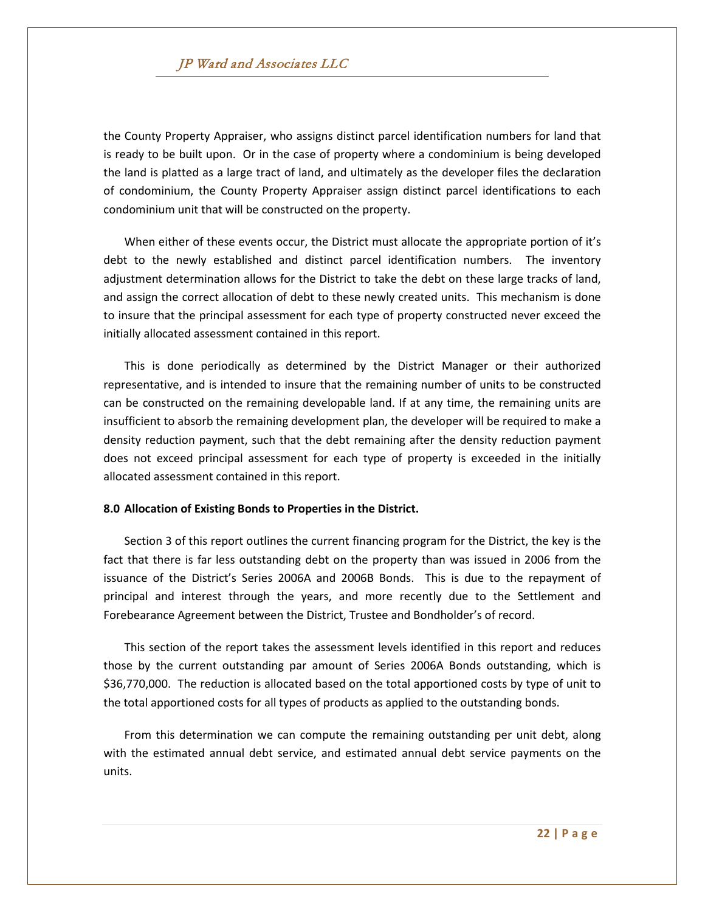the County Property Appraiser, who assigns distinct parcel identification numbers for land that is ready to be built upon. Or in the case of property where a condominium is being developed the land is platted as a large tract of land, and ultimately as the developer files the declaration of condominium, the County Property Appraiser assign distinct parcel identifications to each condominium unit that will be constructed on the property.

When either of these events occur, the District must allocate the appropriate portion of it's debt to the newly established and distinct parcel identification numbers. The inventory adjustment determination allows for the District to take the debt on these large tracks of land, and assign the correct allocation of debt to these newly created units. This mechanism is done to insure that the principal assessment for each type of property constructed never exceed the initially allocated assessment contained in this report.

This is done periodically as determined by the District Manager or their authorized representative, and is intended to insure that the remaining number of units to be constructed can be constructed on the remaining developable land. If at any time, the remaining units are insufficient to absorb the remaining development plan, the developer will be required to make a density reduction payment, such that the debt remaining after the density reduction payment does not exceed principal assessment for each type of property is exceeded in the initially allocated assessment contained in this report.

#### **8.0 Allocation of Existing Bonds to Properties in the District.**

Section 3 of this report outlines the current financing program for the District, the key is the fact that there is far less outstanding debt on the property than was issued in 2006 from the issuance of the District's Series 2006A and 2006B Bonds. This is due to the repayment of principal and interest through the years, and more recently due to the Settlement and Forebearance Agreement between the District, Trustee and Bondholder's of record.

This section of the report takes the assessment levels identified in this report and reduces those by the current outstanding par amount of Series 2006A Bonds outstanding, which is \$36,770,000. The reduction is allocated based on the total apportioned costs by type of unit to the total apportioned costs for all types of products as applied to the outstanding bonds.

From this determination we can compute the remaining outstanding per unit debt, along with the estimated annual debt service, and estimated annual debt service payments on the units.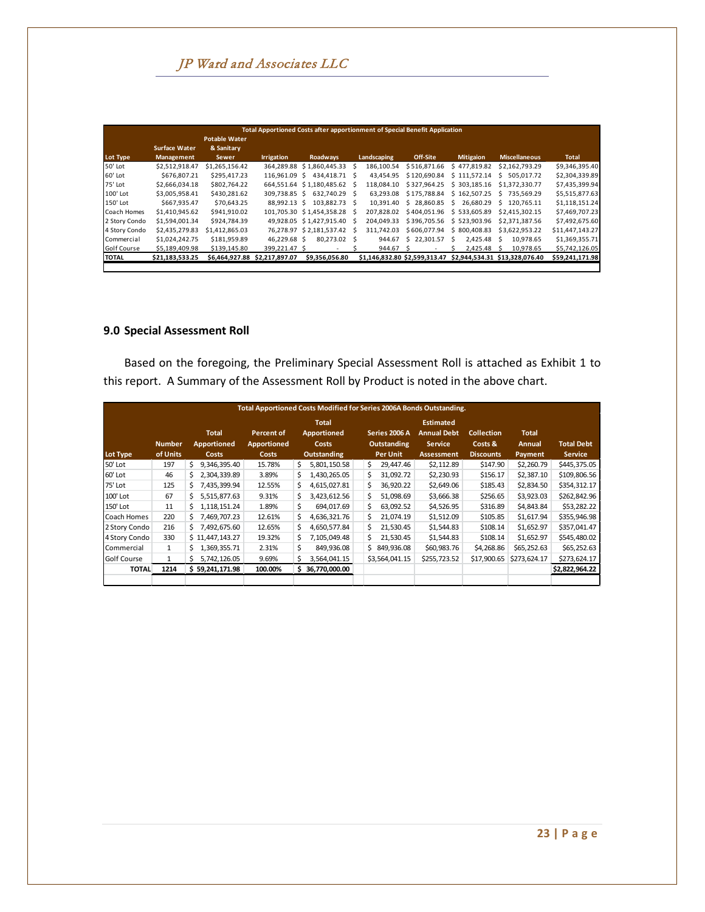|                   |                   |                                    |                   | <b>Total Apportioned Costs after apportionment of Special Benefit Application</b> |   |             |                               |   |                                |                |                      |                 |
|-------------------|-------------------|------------------------------------|-------------------|-----------------------------------------------------------------------------------|---|-------------|-------------------------------|---|--------------------------------|----------------|----------------------|-----------------|
|                   | Surface Water     | <b>Potable Water</b><br>& Sanitary |                   |                                                                                   |   |             |                               |   |                                |                |                      |                 |
| Lot Type          | <b>Management</b> | <b>Sewer</b>                       | <b>Irrigation</b> | <b>Roadways</b>                                                                   |   | Landscaping | Off-Site                      |   | <b>Mitigaion</b>               |                | <b>Miscellaneous</b> | Total           |
| 50' Lot           | \$2.512.918.47    | \$1,265,156.42                     |                   | 364,289.88 \$1,860,445.33                                                         |   | 186.100.54  | \$516.871.66                  |   | \$477.819.82                   |                | \$2.162.793.29       | \$9,346,395.40  |
| 60' Lot           | \$676,807.21      | \$295,417.23                       | 116.961.09 \$     | 434.418.71 \$                                                                     |   | 43.454.95   | \$120,690.84                  |   | \$111,572.14                   | S.             | 505.017.72           | \$2,304,339.89  |
| 75' Lot           | \$2,666,034.18    | \$802,764.22                       |                   | 664.551.64 \$1.180.485.62                                                         |   | 118.084.10  | \$327.964.25                  |   | \$303.185.16                   |                | \$1,372,330.77       | \$7,435,399.94  |
| 100' Lot          | \$3,005,958.41    | \$430,281.62                       | 309.738.85 \$     | 632.740.29 \$                                                                     |   | 63.293.08   | \$175.788.84                  |   | \$162,507.25                   | S.             | 735.569.29           | \$5,515,877.63  |
| 150' Lot          | \$667,935.47      | \$70,643.25                        | 88.992.13 \$      | 103.882.73 \$                                                                     |   | 10.391.40   | \$28,860.85                   |   | $5$ 26.680.29                  | S.             | 120.765.11           | \$1,118,151.24  |
| Coach Homes       | \$1,410,945.62    | \$941,910.02                       |                   | 101.705.30 \$1.454.358.28                                                         | S | 207.828.02  | \$404.051.96                  |   | \$533,605.89                   |                | \$2.415.302.15       | \$7,469,707.23  |
| 2 Story Condo     | \$1,594,001.34    | \$924,784.39                       |                   | 49,928.05 \$1,427,915.40 \$                                                       |   | 204.049.33  | \$396.705.56                  |   | \$523,903.96                   |                | \$2,371,387.56       | \$7,492,675.60  |
| 4 Story Condo     | \$2,435,279.83    | \$1,412,865.03                     |                   | 76,278.97 \$2,181,537.42 \$                                                       |   | 311.742.03  | \$606.077.94                  |   | \$800,408.83                   | \$3.622.953.22 |                      | \$11,447,143.27 |
| <b>Commercial</b> | \$1,024,242.75    | \$181,959.89                       | 46.229.68 \$      | 80.273.02 \$                                                                      |   | 944.67      | \$22,301.57                   | S | 2,425.48                       | - S            | 10.978.65            | \$1,369,355.71  |
| Golf Course       | \$5,189,409.98    | \$139,145.80                       | 399,221.47 \$     |                                                                                   |   | 944.67 \$   |                               |   | 2.425.48 \$                    |                | 10.978.65            | \$5,742,126.05  |
| <b>TOTAL</b>      | \$21,183,533.25   | \$6,464,927.88                     | \$2,217,897.07    | \$9,356,056.80                                                                    |   |             | \$1,146,832.80 \$2,599,313.47 |   | \$2,944,534.31 \$13,328,076.40 |                |                      | \$59,241,171.98 |
|                   |                   |                                    |                   |                                                                                   |   |             |                               |   |                                |                |                      |                 |

# **9.0 Special Assessment Roll**

Based on the foregoing, the Preliminary Special Assessment Roll is attached as Exhibit 1 to this report. A Summary of the Assessment Roll by Product is noted in the above chart.

|                    |               |                                    |                                         | <b>Total Apportioned Costs Modified for Series 2006A Bonds Outstanding.</b> |                                     |                                                          |                              |                               |                   |
|--------------------|---------------|------------------------------------|-----------------------------------------|-----------------------------------------------------------------------------|-------------------------------------|----------------------------------------------------------|------------------------------|-------------------------------|-------------------|
|                    | <b>Number</b> | <b>Total</b><br><b>Apportioned</b> | <b>Percent of</b><br><b>Apportioned</b> | <b>Total</b><br><b>Apportioned</b><br><b>Costs</b>                          | Series 2006 A<br><b>Outstanding</b> | <b>Estimated</b><br><b>Annual Debt</b><br><b>Service</b> | <b>Collection</b><br>Costs & | <b>Total</b><br><b>Annual</b> | <b>Total Debt</b> |
| Lot Type           | of Units      | Costs                              | Costs                                   | <b>Outstanding</b>                                                          | <b>Per Unit</b>                     | Assessment                                               | <b>Discounts</b>             | Payment                       | <b>Service</b>    |
| 50' Lot            | 197           | Ś.<br>9.346.395.40                 | 15.78%                                  | Ś<br>5.801.150.58                                                           | \$.<br>29.447.46                    | \$2,112.89                                               | \$147.90                     | \$2,260.79                    | \$445,375.05      |
| 60' Lot            | 46            | 2,304,339.89<br>Ś.                 | 3.89%                                   | Ś<br>1,430,265.05                                                           | \$<br>31,092.72                     | \$2,230.93                                               | \$156.17                     | \$2,387.10                    | \$109,806.56      |
| 75' Lot            | 125           | 7,435,399.94<br>S                  | 12.55%                                  | \$<br>4,615,027.81                                                          | \$<br>36,920.22                     | \$2,649.06                                               | \$185.43                     | \$2,834.50                    | \$354,312.17      |
| 100' Lot           | 67            | 5,515,877.63<br>Ś.                 | 9.31%                                   | Ś<br>3,423,612.56                                                           | \$<br>51,098.69                     | \$3,666.38                                               | \$256.65                     | \$3,923.03                    | \$262,842.96      |
| 150' Lot           | 11            | 1,118,151.24<br>Ś.                 | 1.89%                                   | Ś.<br>694,017.69                                                            | 63,092.52<br>\$.                    | \$4,526.95                                               | \$316.89                     | \$4,843.84                    | \$53,282.22       |
| Coach Homes        | 220           | 7,469,707.23<br>Ś.                 | 12.61%                                  | Ŝ.<br>4,636,321.76                                                          | \$<br>21,074.19                     | \$1,512.09                                               | \$105.85                     | \$1,617.94                    | \$355,946.98      |
| 2 Story Condo      | 216           | Ś.<br>7,492,675.60                 | 12.65%                                  | Ś<br>4,650,577.84                                                           | Ś.<br>21,530.45                     | \$1,544.83                                               | \$108.14                     | \$1,652.97                    | \$357,041.47      |
| 4 Story Condo      | 330           | \$11,447,143.27                    | 19.32%                                  | Ś<br>7,105,049.48                                                           | \$.<br>21,530.45                    | \$1,544.83                                               | \$108.14                     | \$1,652.97                    | \$545,480.02      |
| Commercial         | $\mathbf{1}$  | 1,369,355.71<br>Ś.                 | 2.31%                                   | \$<br>849,936.08                                                            | \$849,936.08                        | \$60,983.76                                              | \$4,268.86                   | \$65,252.63                   | \$65,252.63       |
| <b>Golf Course</b> | $\mathbf{1}$  | 5,742,126.05<br>S                  | 9.69%                                   | Ŝ<br>3,564,041.15                                                           | \$3,564,041.15                      | \$255,723.52                                             | \$17,900.65                  | \$273,624.17                  | \$273,624.17      |
| <b>TOTAL</b>       | 1214          | \$59,241,171.98                    | 100.00%                                 | 36,770,000.00<br>Ś                                                          |                                     |                                                          |                              |                               | \$2,822,964.22    |
|                    |               |                                    |                                         |                                                                             |                                     |                                                          |                              |                               |                   |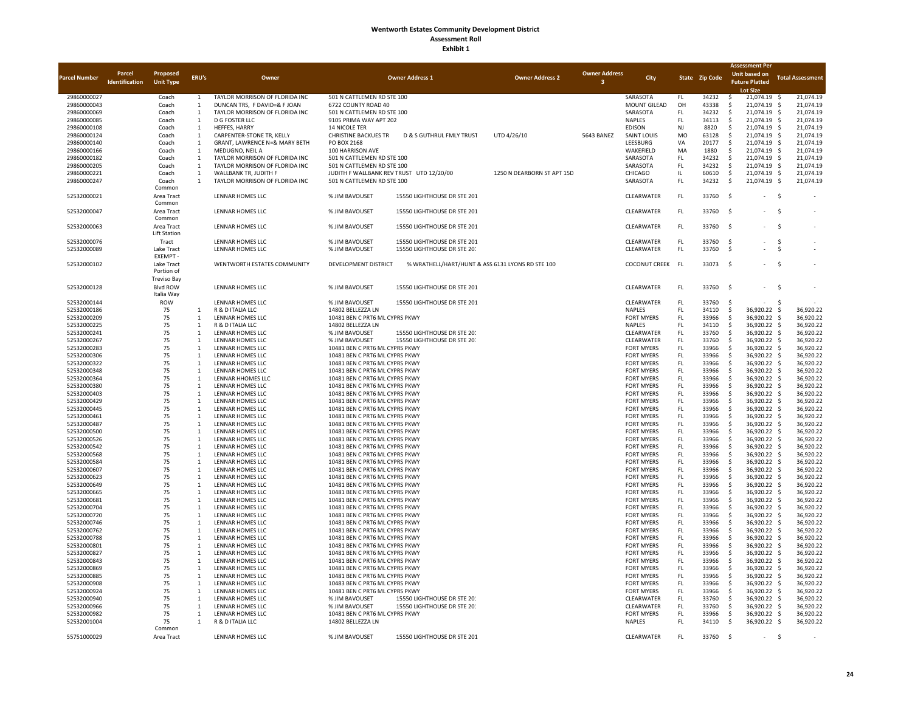|                            |                       |                     |                                |                                      |                                                                  |                                                  |                            |                      |                                        |            |                | <b>Assessment Per</b>                    |                                 |
|----------------------------|-----------------------|---------------------|--------------------------------|--------------------------------------|------------------------------------------------------------------|--------------------------------------------------|----------------------------|----------------------|----------------------------------------|------------|----------------|------------------------------------------|---------------------------------|
| <b>Parcel Number</b>       | Parcel                | Proposed            | ERU's                          | Owner                                |                                                                  | <b>Owner Address 1</b>                           | <b>Owner Address 2</b>     | <b>Owner Address</b> | City                                   |            | State Zip Code | Unit based on                            | <b>Total Assessment</b>         |
|                            | <b>Identification</b> | <b>Unit Type</b>    |                                |                                      |                                                                  |                                                  |                            |                      |                                        |            |                | <b>Future Platted</b>                    |                                 |
|                            |                       |                     |                                |                                      |                                                                  |                                                  |                            |                      |                                        |            |                | <b>Lot Size</b>                          |                                 |
| 29860000027                |                       | Coach               | $\mathbf{1}$                   | TAYLOR MORRISON OF FLORIDA INC       | 501 N CATTLEMEN RD STE 100                                       |                                                  |                            |                      | SARASOTA                               | FL.        | 34232          | \$<br>21,074.19 \$                       | 21,074.19                       |
| 29860000043                |                       | Coach               | 1                              | DUNCAN TRS, F DAVID=& F JOAN         | 6722 COUNTY ROAD 40                                              |                                                  |                            |                      | MOUNT GILEAD                           | OH         | 43338          | 21,074.19<br>Ŝ                           | 21,074.19<br>-Ś                 |
| 29860000069                |                       | Coach               | 1                              | TAYLOR MORRISON OF FLORIDA INC       | 501 N CATTLEMEN RD STE 100                                       |                                                  |                            |                      | SARASOTA                               | FL.        | 34232          | 21,074.19<br>Ŝ                           | 21,074.19<br>-S                 |
| 29860000085                |                       | Coach               | $\mathbf{1}$                   | <b>D G FOSTER LLC</b>                | 9105 PRIMA WAY APT 202                                           |                                                  |                            |                      | <b>NAPLES</b>                          | <b>FL</b>  | 34113          | 21,074.19<br>Ŝ                           | 21,074.19<br>-S                 |
| 29860000108                |                       | Coach               | $\mathbf{1}$                   | HEFFES, HARRY                        | 14 NICOLE TER                                                    |                                                  |                            |                      | EDISON                                 | NJ         | 8820           | 21,074.19<br>S                           | \$<br>21,074.19                 |
| 29860000124                |                       | Coach               | $\mathbf{1}$                   | CARPENTER-STONE TR, KELLY            | <b>CHRISTINE BACKUES TR</b>                                      | <b>D &amp; S GUTHRUL FMLY TRUST</b>              | UTD 4/26/10                | 5643 BANEZ           | SAINT LOUIS                            | MO         | 63128          | \$.<br>21,074.19                         | \$<br>21,074.19                 |
| 29860000140                |                       | Coach               | 1                              | GRANT, LAWRENCE N=& MARY BETH        | PO BOX 2168                                                      |                                                  |                            |                      | LEESBURG                               | VA         | 20177          | 21,074.19<br>Š.                          | $\dot{\mathbf{S}}$<br>21,074.19 |
| 29860000166                |                       | Coach               | 1                              | MEDUGNO, NEIL A                      | 100 HARRISON AVE                                                 |                                                  |                            |                      | WAKEFIELD                              | MA         | 1880           | 21,074.19<br>.S                          | $\dot{\mathbf{S}}$<br>21,074.19 |
| 29860000182                |                       | Coach               | 1                              | TAYLOR MORRISON OF FLORIDA INC       | 501 N CATTLEMEN RD STE 100                                       |                                                  |                            |                      | SARASOTA                               | FL.        | 34232          | 21,074.19<br>-S                          | $\dot{\mathbf{S}}$<br>21,074.19 |
| 29860000205                |                       | Coach               | $\overline{1}$                 | TAYLOR MORRISON OF FLORIDA INC       | 501 N CATTLEMEN RD STE 100                                       |                                                  |                            |                      | SARASOTA                               | FL.        | 34232          | 21,074.19<br>$\mathsf{S}$                | -\$<br>21,074.19                |
| 29860000221                |                       | Coach               | $\overline{1}$                 | <b>WALLBANK TR. JUDITH F</b>         |                                                                  | JUDITH F WALLBANK REV TRUST UTD 12/20/00         | 1250 N DEARBORN ST APT 15D |                      | CHICAGO                                | IL.        | 60610          | 21,074.19<br>-S                          | 21,074.19<br>- \$               |
| 29860000247                |                       | Coach               | 1                              | TAYLOR MORRISON OF FLORIDA INC       | 501 N CATTLEMEN RD STE 100                                       |                                                  |                            |                      | SARASOTA                               | FL.        | 34232          | -\$<br>21,074.19 \$                      | 21,074.19                       |
|                            |                       | Common              |                                |                                      |                                                                  |                                                  |                            |                      |                                        |            |                |                                          |                                 |
| 52532000021                |                       | Area Tract          |                                | LENNAR HOMES LLC                     | % JIM BAVOUSET                                                   | 15550 LIGHTHOUSE DR STE 201                      |                            |                      | CLEARWATER                             | FL         | 33760          | $\mathsf{S}$<br>$-5$                     |                                 |
|                            |                       | Common              |                                |                                      |                                                                  |                                                  |                            |                      |                                        |            |                |                                          |                                 |
| 52532000047                |                       | Area Tract          |                                | LENNAR HOMES LLC                     | % JIM BAVOUSET                                                   | 15550 LIGHTHOUSE DR STE 201                      |                            |                      | CLEARWATER                             | FL.        | 33760          | $\ddot{s}$                               | $\ddot{\mathsf{s}}$             |
|                            |                       | Common              |                                |                                      |                                                                  |                                                  |                            |                      |                                        |            |                |                                          |                                 |
| 52532000063                |                       | Area Tract          |                                | LENNAR HOMES LLC                     | % JIM BAVOUSET                                                   | 15550 LIGHTHOUSE DR STE 201                      |                            |                      | CLEARWATER                             | FL.        | 33760          | $\ddot{\mathsf{s}}$                      | -\$                             |
|                            |                       | <b>Lift Station</b> |                                |                                      |                                                                  |                                                  |                            |                      |                                        |            |                |                                          |                                 |
| 52532000076                |                       | Tract               |                                | LENNAR HOMES LLC                     | % JIM BAVOUSET                                                   | 15550 LIGHTHOUSE DR STE 201                      |                            |                      | CLEARWATER                             | FL.        | 33760          | $\ddot{\varsigma}$                       | $\dot{\mathbf{S}}$              |
| 52532000089                |                       | <b>Lake Tract</b>   |                                | LENNAR HOMES LLC                     | % JIM BAVOUSET                                                   | 15550 LIGHTHOUSE DR STE 201                      |                            |                      | CLEARWATER                             | FL.        | 33760          | - \$<br>٠                                | -S                              |
|                            |                       | EXEMPT -            |                                |                                      |                                                                  |                                                  |                            |                      |                                        |            |                |                                          |                                 |
| 52532000102                |                       | <b>Lake Tract</b>   |                                | WENTWORTH ESTATES COMMUNITY          | <b>DEVELOPMENT DISTRICT</b>                                      | % WRATHELL/HART/HUNT & ASS 6131 LYONS RD STE 100 |                            |                      | COCONUT CREEK FL                       |            | 33073          | $\sim$                                   | - \$                            |
|                            |                       | Portion of          |                                |                                      |                                                                  |                                                  |                            |                      |                                        |            |                |                                          |                                 |
|                            |                       | <b>Treviso Bay</b>  |                                |                                      |                                                                  |                                                  |                            |                      |                                        |            |                |                                          |                                 |
| 52532000128                |                       | <b>Blvd ROW</b>     |                                | LENNAR HOMES LLC                     | % JIM BAVOUSET                                                   | 15550 LIGHTHOUSE DR STE 201                      |                            |                      | CLEARWATER                             | FL.        | 33760          | -\$<br>$\sim$                            | -\$                             |
|                            |                       | Italia Way          |                                |                                      |                                                                  |                                                  |                            |                      |                                        |            |                |                                          |                                 |
| 52532000144                |                       | <b>ROW</b>          |                                | LENNAR HOMES LLC                     | % JIM BAVOUSET                                                   | 15550 LIGHTHOUSE DR STE 201                      |                            |                      | CLEARWATER                             | FL.        | 33760          | -Ś                                       | -Ś                              |
| 52532000186                |                       | 75                  | 1                              | R & D ITALIA LLC                     | 14802 BELLEZZA LN                                                |                                                  |                            |                      | <b>NAPLES</b>                          | FL.        | 34110          | 36,920.22<br>Ŝ                           | 36,920.22<br>-S                 |
| 52532000209                |                       | 75                  | $\mathbf{1}$                   | LENNAR HOMES LLC                     | 10481 BEN C PRT6 ML CYPRS PKWY                                   |                                                  |                            |                      | <b>FORT MYERS</b>                      | FL.        | 33966          | -Ś<br>36,920.22                          | \$<br>36,920.22                 |
| 52532000225                |                       | 75                  | $\mathbf{1}$                   | R & D ITALIA LLC                     | 14802 BELLEZZA LN                                                |                                                  |                            |                      | NAPLES                                 | FL.        | 34110          | -Ś<br>36,920.22                          | -Ś<br>36,920.22                 |
| 52532000241                |                       | 75                  | $\overline{1}$                 | LENNAR HOMES LLC                     | % JIM BAVOUSET                                                   | 15550 LIGHTHOUSE DR STE 201                      |                            |                      | CLEARWATER                             | <b>FL</b>  | 33760          | 36,920.22<br>.S                          | $\dot{\mathbf{S}}$<br>36,920.22 |
| 52532000267                |                       | 75                  | $\overline{1}$                 | LENNAR HOMES LLC                     | % JIM BAVOUSET                                                   | 15550 LIGHTHOUSE DR STE 201                      |                            |                      | CLEARWATER                             | FL.        | 33760          | 36,920.22<br>-S                          | - \$<br>36,920.22               |
| 52532000283                |                       | 75                  | $\overline{1}$                 | LENNAR HOMES LLC                     | 10481 BEN C PRT6 ML CYPRS PKWY                                   |                                                  |                            |                      | <b>FORT MYERS</b>                      | FL.        | 33966          | 36,920.22<br>-S                          | 36,920.22<br>$\dot{\mathbf{S}}$ |
| 52532000306                |                       | 75                  | $\overline{1}$                 | LENNAR HOMES LLC                     | 10481 BEN C PRT6 ML CYPRS PKWY                                   |                                                  |                            |                      | <b>FORT MYERS</b>                      | FL.        | 33966          | 36,920.22<br>-S                          | 36,920.22<br>- \$               |
| 52532000322                |                       | 75                  | $\overline{1}$                 | LENNAR HOMES LLC                     | 10481 BEN C PRT6 ML CYPRS PKWY                                   |                                                  |                            |                      | <b>FORT MYERS</b>                      | FL.        | 33966          | 36.920.22<br>$\mathsf{S}$                | 36,920.22<br>- \$               |
| 52532000348                |                       | 75                  | 1                              | LENNAR HOMES LLC                     | 10481 BEN C PRT6 ML CYPRS PKWY                                   |                                                  |                            |                      | <b>FORT MYERS</b>                      | FL.        | 33966          | \$<br>36,920.22                          | - \$<br>36,920.22               |
| 52532000364                |                       | 75                  | 1                              | LENNAR HHOMES LLC                    | 10481 BEN C PRT6 ML CYPRS PKWY                                   |                                                  |                            |                      | <b>FORT MYERS</b>                      | FL.        | 33966          | \$<br>36,920.22 \$                       | 36,920.22                       |
| 52532000380                |                       | 75                  | $\overline{1}$                 | LENNAR HOMES LLC                     | 10481 BEN C PRT6 ML CYPRS PKWY                                   |                                                  |                            |                      | <b>FORT MYERS</b>                      | FL.        | 33966          | \$<br>36,920.22                          | - \$<br>36,920.22               |
|                            |                       | 75                  | 1                              | LENNAR HOMES LLC                     | 10481 BEN C PRT6 ML CYPRS PKWY                                   |                                                  |                            |                      |                                        | <b>FL</b>  | 33966          | 36,920.22<br>-Ś                          | 36,920.22<br>- \$               |
| 52532000403                |                       |                     | 1                              | LENNAR HOMES LLC                     |                                                                  |                                                  |                            |                      | <b>FORT MYERS</b><br><b>FORT MYERS</b> | FL.        | 33966          | -Ś                                       | - \$<br>36,920.22               |
| 52532000429<br>52532000445 |                       | 75<br>75            | $\mathbf{1}$                   | LENNAR HOMES LLC                     | 10481 BEN C PRT6 ML CYPRS PKWY<br>10481 BEN C PRT6 ML CYPRS PKWY |                                                  |                            |                      | <b>FORT MYERS</b>                      | FL.        | 33966          | 36,920.22<br>\$<br>36,920.22 \$          | 36,920.22                       |
|                            |                       | 75                  |                                |                                      |                                                                  |                                                  |                            |                      |                                        |            |                |                                          |                                 |
| 52532000461                |                       | 75                  | $\mathbf{1}$<br>$\mathbf 1$    | LENNAR HOMES LLC                     | 10481 BEN C PRT6 ML CYPRS PKWY                                   |                                                  |                            |                      | <b>FORT MYERS</b>                      | FL.        | 33966          | $\ddot{\varsigma}$<br>36,920.22 \$       | 36,920.22                       |
| 52532000487                |                       | 75                  | 1                              | LENNAR HOMES LLC<br>LENNAR HOMES LLC | 10481 BEN C PRT6 ML CYPRS PKWY                                   |                                                  |                            |                      | <b>FORT MYERS</b><br><b>FORT MYERS</b> | FL.<br>FL. | 33966<br>33966 | \$<br>36,920.22 \$<br>-Ś                 | 36,920.22<br>36,920.22          |
| 52532000500                |                       |                     |                                |                                      | 10481 BEN C PRT6 ML CYPRS PKWY                                   |                                                  |                            |                      |                                        | FL.        |                | 36,920.22 \$                             |                                 |
| 52532000526                |                       | 75<br>75            | $\mathbf{1}$<br>$\overline{1}$ | LENNAR HOMES LLC                     | 10481 BEN C PRT6 ML CYPRS PKWY                                   |                                                  |                            |                      | <b>FORT MYERS</b>                      | FL.        | 33966<br>33966 | 36,920.22 \$<br>\$<br>36,920.22 \$<br>-S | 36,920.22<br>36,920.22          |
| 52532000542                |                       |                     |                                | LENNAR HOMES LLC                     | 10481 BEN C PRT6 ML CYPRS PKWY                                   |                                                  |                            |                      | <b>FORT MYERS</b>                      |            |                |                                          |                                 |
| 52532000568                |                       | 75                  | $\overline{1}$                 | LENNAR HOMES LLC                     | 10481 BEN C PRT6 ML CYPRS PKWY                                   |                                                  |                            |                      | <b>FORT MYERS</b>                      | FL.        | 33966          | 36,920.22 \$<br>$\mathsf{S}$             | 36,920.22                       |
| 52532000584                |                       | 75                  | $\overline{1}$                 | LENNAR HOMES LLC                     | 10481 BEN C PRT6 ML CYPRS PKWY                                   |                                                  |                            |                      | <b>FORT MYFRS</b>                      | FL.        | 33966          | 36,920.22<br>$\mathsf{S}$                | 36.920.22<br>$\dot{\mathbf{S}}$ |
| 52532000607                |                       | 75                  | <sup>1</sup>                   | LENNAR HOMES LLC                     | 10481 BEN C PRT6 ML CYPRS PKWY                                   |                                                  |                            |                      | <b>FORT MYERS</b>                      | FL.        | 33966          | Ś<br>36,920.22                           | - \$<br>36,920.22               |
| 52532000623                |                       | 75                  | $\mathbf{1}$                   | LENNAR HOMES LLC                     | 10481 BEN C PRT6 ML CYPRS PKWY                                   |                                                  |                            |                      | <b>FORT MYERS</b>                      | FL.        | 33966          | 36,920.22<br>Ŝ                           | -\$<br>36,920.22                |
| 52532000649                |                       | 75                  | 1                              | LENNAR HOMES LLC                     | 10481 BEN C PRT6 ML CYPRS PKWY                                   |                                                  |                            |                      | <b>FORT MYERS</b>                      | <b>FL</b>  | 33966          | 36,920.22<br>Ŝ                           | 36,920.22<br>-Ś                 |
| 52532000665                |                       | 75                  | 1                              | LENNAR HOMES LLC                     | 10481 BEN C PRT6 ML CYPRS PKWY                                   |                                                  |                            |                      | <b>FORT MYERS</b>                      | FL.        | 33966          | 36,920.22<br>Ŝ                           | 36,920.22<br>-Ś                 |
| 52532000681                |                       | 75                  | 1                              | LENNAR HOMES LLC                     | 10481 BEN C PRT6 ML CYPRS PKWY                                   |                                                  |                            |                      | <b>FORT MYERS</b>                      | FL.        | 33966          | 36,920.22<br>Ŝ                           | 36,920.22<br>-Ś                 |
| 52532000704                |                       | 75                  | $\mathbf{1}$                   | LENNAR HOMES LLC                     | 10481 BEN C PRT6 ML CYPRS PKWY                                   |                                                  |                            |                      | <b>FORT MYERS</b>                      | FL.        | 33966          | Ś<br>36,920.22                           | \$<br>36,920.22                 |
| 52532000720                |                       | 75                  | $\mathbf{1}$                   | LENNAR HOMES LLC                     | 10481 BEN C PRT6 ML CYPRS PKWY                                   |                                                  |                            |                      | <b>FORT MYERS</b>                      | FL.        | 33966          | Ś<br>36,920.22                           | -Ś<br>36,920.22                 |
| 52532000746                |                       | 75                  | $\overline{1}$                 | LENNAR HOMES LLC                     | 10481 BEN C PRT6 ML CYPRS PKWY                                   |                                                  |                            |                      | <b>FORT MYERS</b>                      | FL.        | 33966          | 36,920.22<br>.S                          | $\dot{\mathbf{S}}$<br>36,920.22 |
| 52532000762                |                       | 75                  | $\overline{1}$                 | LENNAR HOMES LLC                     | 10481 BEN C PRT6 ML CYPRS PKWY                                   |                                                  |                            |                      | <b>FORT MYERS</b>                      | FL.        | 33966          | 36,920.22<br>-Ś                          | $\dot{\mathbf{S}}$<br>36,920.22 |
| 52532000788                |                       | 75                  | 1                              | LENNAR HOMES LLC                     | 10481 BEN C PRT6 ML CYPRS PKWY                                   |                                                  |                            |                      | <b>FORT MYERS</b>                      | FL.        | 33966          | 36,920.22<br>-Ś                          | 36,920.22<br>$\dot{\mathbf{S}}$ |
| 52532000801                |                       | 75                  | $\overline{1}$                 | LENNAR HOMES LLC                     | 10481 BEN C PRT6 ML CYPRS PKWY                                   |                                                  |                            |                      | <b>FORT MYERS</b>                      | FL.        | 33966          | 36,920.22<br>$\mathsf{S}$                | 36,920.22<br>$\dot{\mathbf{S}}$ |
| 52532000827                |                       | 75                  | $\overline{1}$                 | LENNAR HOMES LLC                     | 10481 BEN C PRT6 ML CYPRS PKWY                                   |                                                  |                            |                      | <b>FORT MYERS</b>                      | FL.        | 33966          | 36.920.22<br>$\mathsf{S}$                | 36.920.22<br>$\dot{\mathbf{S}}$ |
| 52532000843                |                       | 75                  | 1                              | LENNAR HOMES LLC                     | 10481 BEN C PRT6 ML CYPRS PKWY                                   |                                                  |                            |                      | <b>FORT MYERS</b>                      | FL.        | 33966          | \$<br>36,920.22                          | - \$<br>36,920.22               |
| 52532000869                |                       | 75                  | <sup>1</sup>                   | LENNAR HOMES LLC                     | 10481 BEN C PRT6 ML CYPRS PKWY                                   |                                                  |                            |                      | <b>FORT MYERS</b>                      | FL.        | 33966          | \$<br>36,920.22 \$                       | 36,920.22                       |
| 52532000885                |                       | 75                  | <sup>1</sup>                   | LENNAR HOMES LLC                     | 10481 BEN C PRT6 ML CYPRS PKWY                                   |                                                  |                            |                      | <b>FORT MYERS</b>                      | FL.        | 33966          | \$<br>36,920.22                          | - \$<br>36,920.22               |
| 52532000908                |                       | 75                  | 1                              | LENNAR HOMES LLC                     | 10483 BEN C PRT6 ML CYPRS PKWY                                   |                                                  |                            |                      | <b>FORT MYERS</b>                      | FL.        | 33966          | -\$<br>36,920.22 \$                      | 36,920.22                       |
| 52532000924                |                       | 75                  | 1                              | LENNAR HOMES LLC                     | 10481 BEN C PRT6 ML CYPRS PKWY                                   |                                                  |                            |                      | <b>FORT MYERS</b>                      | FL.        | 33966          | \$<br>36,920.22 \$                       | 36,920.22                       |
| 52532000940                |                       | 75                  | $\mathbf{1}$                   | LENNAR HOMES LLC                     | % JIM BAVOUSET                                                   | 15550 LIGHTHOUSE DR STE 201                      |                            |                      | CLEARWATER                             | FL.        | 33760          | $\ddot{\varsigma}$<br>36,920.22 \$       | 36,920.22                       |
| 52532000966                |                       | 75                  | $\mathbf{1}$                   | LENNAR HOMES LLC                     | % JIM BAVOUSET                                                   | 15550 LIGHTHOUSE DR STE 201                      |                            |                      | CLEARWATER                             | FL.        | 33760          | $\ddot{\mathsf{S}}$<br>36,920.22 \$      | 36,920.22                       |
| 52532000982                |                       | 75                  | $\mathbf{1}$                   | LENNAR HOMES LLC                     | 10481 BEN C PRT6 ML CYPRS PKWY                                   |                                                  |                            |                      | <b>FORT MYERS</b>                      | FL.        | 33966          | $\ddot{\mathsf{S}}$<br>36,920.22 \$      | 36,920.22                       |
| 52532001004                |                       | 75                  | 1                              | R & D ITALIA LLC                     | 14802 BELLEZZA LN                                                |                                                  |                            |                      | <b>NAPLES</b>                          | FL.        | 34110          | 36,920.22 \$<br>- \$                     | 36,920.22                       |
|                            |                       | Common              |                                |                                      |                                                                  |                                                  |                            |                      |                                        |            |                |                                          |                                 |
| 55751000029                |                       | Area Tract          |                                | LENNAR HOMES LLC                     | % JIM BAVOUSET                                                   | 15550 LIGHTHOUSE DR STE 201                      |                            |                      | CLEARWATER                             | FL.        | 33760          | $\sim$<br>$\sim 10^{-1}$                 | $\dot{\mathbf{S}}$              |
|                            |                       |                     |                                |                                      |                                                                  |                                                  |                            |                      |                                        |            |                |                                          |                                 |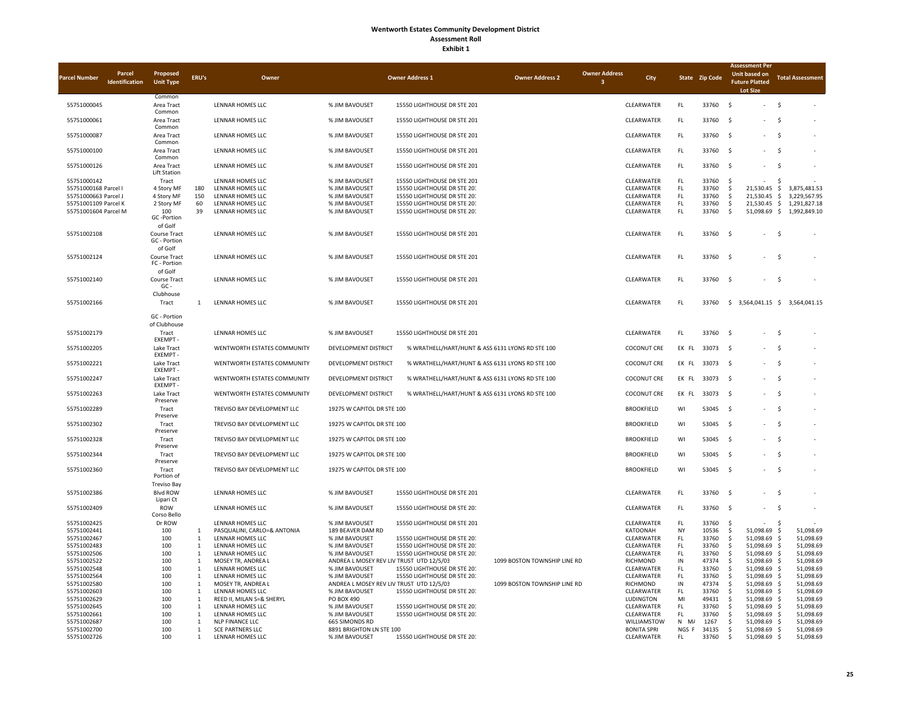| <b>Parcel Number</b>                | Parcel<br>Identification | Proposed<br><b>Unit Type</b>                   | ERU's                        | Owner                                           |                                                            | <b>Owner Address 1</b>                                     | <b>Owner Address 2</b>       | <b>Owner Address</b><br>$\overline{\mathbf{3}}$ | City                             |                  | State Zip Code |                                           | Assessment Per<br><b>Unit based on</b><br><b>Future Platted</b><br>Lot Size | <b>Total Assessment</b>                   |
|-------------------------------------|--------------------------|------------------------------------------------|------------------------------|-------------------------------------------------|------------------------------------------------------------|------------------------------------------------------------|------------------------------|-------------------------------------------------|----------------------------------|------------------|----------------|-------------------------------------------|-----------------------------------------------------------------------------|-------------------------------------------|
| 55751000045                         |                          | Common<br>Area Tract<br>Common                 |                              | LENNAR HOMES LLC                                | % JIM BAVOUSET                                             | 15550 LIGHTHOUSE DR STE 201                                |                              |                                                 | CLEARWATER                       | FL.              | 33760          | - \$                                      | $\ddot{s}$                                                                  |                                           |
| 55751000061                         |                          | Area Tract<br>Common                           |                              | LENNAR HOMES LLC                                | % JIM BAVOUSET                                             | 15550 LIGHTHOUSE DR STE 201                                |                              |                                                 | CLEARWATER                       | FL               | 33760          | -\$                                       | - \$                                                                        |                                           |
| 55751000087                         |                          | Area Tract<br>Common                           |                              | LENNAR HOMES LLC                                | % JIM BAVOUSET                                             | 15550 LIGHTHOUSE DR STE 201                                |                              |                                                 | CLEARWATER                       | FL.              | 33760          | - \$                                      |                                                                             | - \$                                      |
| 55751000100                         |                          | Area Tract<br>Common                           |                              | LENNAR HOMES LLC                                | % JIM BAVOUSET                                             | 15550 LIGHTHOUSE DR STE 201                                |                              |                                                 | CLEARWATER                       | FL.              | 33760          | - \$                                      |                                                                             | - \$                                      |
| 55751000126                         |                          | Area Tract<br>Lift Station                     |                              | LENNAR HOMES LLC                                | % JIM BAVOUSET                                             | 15550 LIGHTHOUSE DR STE 201                                |                              |                                                 | CLEARWATER                       | FL.              | 33760          | -\$                                       |                                                                             | - \$                                      |
| 55751000142<br>55751000168 Parcel I |                          | Tract<br>4 Story MF                            | 180                          | LENNAR HOMES LLC<br>LENNAR HOMES LLC            | % JIM BAVOUSET<br>% JIM BAVOUSET                           | 15550 LIGHTHOUSE DR STE 201<br>15550 LIGHTHOUSE DR STE 201 |                              |                                                 | CLEARWATER<br>CLEARWATER         | FL.<br>FL.       | 33760<br>33760 | S,<br>-Ś                                  | 21,530.45                                                                   | \$<br>$\ddot{\mathsf{s}}$<br>3.875.481.53 |
| 55751000663 Parcel J                |                          | 4 Story MF                                     | 150                          | LENNAR HOMES LLC                                | % JIM BAVOUSET                                             | 15550 LIGHTHOUSE DR STE 201                                |                              |                                                 | CLEARWATER                       | FL.              | 33760          | -Ś                                        | 21.530.45                                                                   | $\frac{1}{2}$<br>3.229.567.95             |
| 55751001109 Parcel K                |                          | 2 Story MF                                     | 60                           | LENNAR HOMES LLC                                | % JIM BAVOUSET                                             | 15550 LIGHTHOUSE DR STE 201                                |                              |                                                 | CLEARWATER                       | FL.              | 33760          | S,                                        | 21,530.45 \$                                                                | 1,291,827.18                              |
| 55751001604 Parcel M                |                          | 100<br>GC-Portion<br>of Golf                   | 39                           | LENNAR HOMES LLC                                | % JIM BAVOUSET                                             | 15550 LIGHTHOUSE DR STE 201                                |                              |                                                 | CLEARWATER                       | FL.              | 33760          | $\ddot{\mathsf{S}}$                       |                                                                             | 51,098.69 \$ 1,992,849.10                 |
| 55751002108                         |                          | Course Tract<br>GC - Portion                   |                              | LENNAR HOMES LLC                                | % JIM BAVOUSET                                             | 15550 LIGHTHOUSE DR STE 201                                |                              |                                                 | CLEARWATER                       | FL.              | 33760          | -\$                                       |                                                                             | S.                                        |
| 55751002124                         |                          | of Golf<br><b>Course Tract</b><br>FC - Portion |                              | LENNAR HOMES LLC                                | % JIM BAVOUSET                                             | 15550 LIGHTHOUSE DR STE 201                                |                              |                                                 | CLEARWATER                       | FL.              | 33760          | - \$                                      |                                                                             | - \$                                      |
| 55751002140                         |                          | of Golf<br>Course Tract<br>$GC -$              |                              | LENNAR HOMES LLC                                | % JIM BAVOUSET                                             | 15550 LIGHTHOUSE DR STE 201                                |                              |                                                 | CLEARWATER                       | FL               | 33760          | -\$                                       |                                                                             | -\$                                       |
| 55751002166                         |                          | Clubhouse<br>Tract                             | $\mathbf{1}$                 | LENNAR HOMES LLC                                | % JIM BAVOUSET                                             | 15550 LIGHTHOUSE DR STE 201                                |                              |                                                 | CLEARWATER                       | FL.              | 33760          |                                           |                                                                             | \$3,564,041.15 \$3,564,041.15             |
|                                     |                          | GC - Portion<br>of Clubhouse                   |                              |                                                 |                                                            |                                                            |                              |                                                 |                                  |                  |                |                                           |                                                                             |                                           |
| 55751002179                         |                          | Tract<br>EXEMPT -                              |                              | LENNAR HOMES LLC                                | % JIM BAVOUSET                                             | 15550 LIGHTHOUSE DR STE 201                                |                              |                                                 | CLEARWATER                       | FL.              | 33760          | $\ddot{\mathsf{S}}$                       |                                                                             | -\$                                       |
| 55751002205                         |                          | Lake Tract<br>EXEMPT -                         |                              | WENTWORTH ESTATES COMMUNITY                     | DEVELOPMENT DISTRICT                                       | % WRATHELL/HART/HUNT & ASS 6131 LYONS RD STE 100           |                              |                                                 | <b>COCONUT CRE</b>               | FK FL            | 33073          | - \$                                      |                                                                             | $\mathsf{S}$                              |
| 55751002221                         |                          | Lake Tract<br>EXEMPT -                         |                              | WENTWORTH ESTATES COMMUNITY                     | DEVELOPMENT DISTRICT                                       | % WRATHELL/HART/HUNT & ASS 6131 LYONS RD STE 100           |                              |                                                 | <b>COCONUT CRE</b>               | FK FL            | 33073          | - \$                                      |                                                                             | -\$                                       |
| 55751002247                         |                          | Lake Tract<br>EXEMPT -                         |                              | WENTWORTH ESTATES COMMUNITY                     | DEVELOPMENT DISTRICT                                       | % WRATHELL/HART/HUNT & ASS 6131 LYONS RD STE 100           |                              |                                                 | <b>COCONUT CRE</b>               | EK FL            | 33073          | -\$                                       |                                                                             | -S                                        |
| 55751002263                         |                          | Lake Tract<br>Preserve                         |                              | WENTWORTH ESTATES COMMUNITY                     | DEVELOPMENT DISTRICT                                       | % WRATHELL/HART/HUNT & ASS 6131 LYONS RD STE 100           |                              |                                                 | <b>COCONUT CRE</b>               | EK FL            | 33073          | -\$                                       |                                                                             | -\$                                       |
| 55751002289                         |                          | Tract<br>Preserve                              |                              | TREVISO BAY DEVELOPMENT LLC                     | 19275 W CAPITOL DR STE 100                                 |                                                            |                              |                                                 | <b>BROOKFIELD</b>                | WI               | 53045          | -\$                                       |                                                                             | -\$                                       |
| 55751002302                         |                          | Tract<br>Preserve                              |                              | TREVISO BAY DEVELOPMENT LLC                     | 19275 W CAPITOL DR STE 100                                 |                                                            |                              |                                                 | <b>BROOKFIELD</b>                | WI               | 53045          | -\$                                       |                                                                             | $\ddot{\varsigma}$                        |
| 55751002328                         |                          | Tract<br>Preserve                              |                              | TREVISO BAY DEVELOPMENT LLC                     | 19275 W CAPITOL DR STE 100                                 |                                                            |                              |                                                 | <b>BROOKFIELD</b>                | WI               | 53045          | $\mathsf{S}$                              |                                                                             | -\$                                       |
| 55751002344                         |                          | Tract<br>Preserve                              |                              | TREVISO BAY DEVELOPMENT LLC                     | 19275 W CAPITOL DR STE 100                                 |                                                            |                              |                                                 | <b>BROOKFIELD</b>                | WI               | 53045          | - \$                                      |                                                                             | - \$                                      |
| 55751002360                         |                          | Tract<br>Portion of<br><b>Treviso Bay</b>      |                              | TREVISO BAY DEVELOPMENT LLC                     | 19275 W CAPITOL DR STE 100                                 |                                                            |                              |                                                 | <b>BROOKFIELD</b>                | WI               | 53045          | - \$                                      | - \$                                                                        |                                           |
| 55751002386                         |                          | <b>Blvd ROW</b><br>Lipari Ct                   |                              | LENNAR HOMES LLC                                | % JIM BAVOUSET                                             | 15550 LIGHTHOUSE DR STE 201                                |                              |                                                 | CLEARWATER                       | FL.              | 33760          | -\$                                       |                                                                             | - \$                                      |
| 55751002409                         |                          | ROW<br>Corso Bello                             |                              | LENNAR HOMES LLC                                | % JIM BAVOUSET                                             | 15550 LIGHTHOUSE DR STE 201                                |                              |                                                 | CLEARWATER                       | FL               | 33760          | $\mathsf{S}$                              | $\sim$                                                                      |                                           |
| 55751002425<br>55751002441          |                          | Dr ROW<br>100                                  | $\mathbf{1}$                 | LENNAR HOMES LLC<br>PASQUALINI, CARLO=& ANTONIA | % JIM BAVOUSET<br>189 BEAVER DAM RD                        | 15550 LIGHTHOUSE DR STE 201                                |                              |                                                 | CLEARWATER<br>KATOONAH           | FL.<br><b>NY</b> | 33760<br>10536 | -Ś<br>-Ś                                  | 51,098.69                                                                   | - S<br>51,098.69<br>- \$                  |
| 55751002467                         |                          | 100                                            | $\mathbf{1}$                 | LENNAR HOMES LLC                                | % JIM BAVOUSET                                             | 15550 LIGHTHOUSE DR STE 201                                |                              |                                                 | CLEARWATER                       | FL.              | 33760          | $\mathsf{\hat{S}}$                        | 51,098.69                                                                   | $\ddot{\mathsf{s}}$<br>51,098.69          |
| 55751002483                         |                          | 100                                            | $\mathbf{1}$                 | LENNAR HOMES LLC                                | % JIM BAVOUSET                                             | 15550 LIGHTHOUSE DR STE 201                                |                              |                                                 | CLEARWATER                       | FL.              | 33760          |                                           | 51,098.69 \$                                                                | 51,098.69                                 |
| 55751002506                         |                          | 100                                            | $\mathbf{1}$                 | LENNAR HOMES LLC                                | % JIM BAVOUSET                                             | 15550 LIGHTHOUSE DR STE 201                                |                              |                                                 | CLEARWATER                       | FL.              | 33760          |                                           | 51,098.69 \$                                                                | 51,098.69                                 |
| 55751002522                         |                          | 100                                            | $\overline{1}$               | MOSEY TR, ANDREA L                              | ANDREA L MOSEY REV LIV TRUST UTD 12/5/03                   |                                                            | 1099 BOSTON TOWNSHIP LINE RD |                                                 | RICHMOND                         | IN               | 47374          |                                           | 51,098.69                                                                   | $\ddot{\mathsf{S}}$<br>51,098.69          |
| 55751002548                         |                          | 100                                            | $\mathbf{1}$                 | LENNAR HOMES LLC                                | % JIM BAVOUSET                                             | 15550 LIGHTHOUSE DR STE 201                                |                              |                                                 | CLEARWATER                       | FL.              | 33760          |                                           | 51,098.69                                                                   | - \$<br>51,098.69                         |
| 55751002564                         |                          | 100                                            | $\mathbf{1}$                 | LENNAR HOMES LLC                                | % JIM BAVOUSET                                             | 15550 LIGHTHOUSE DR STE 201                                |                              |                                                 | CLEARWATER                       | FL.              | 33760          |                                           | 51,098.69                                                                   | - \$<br>51,098.69                         |
| 55751002580<br>55751002603          |                          | 100<br>100                                     | $\mathbf{1}$<br>1            | MOSEY TR, ANDREA L<br>LENNAR HOMES LLC          | ANDREA L MOSEY REV LIV TRUST UTD 12/5/03<br>% JIM BAVOUSET | 15550 LIGHTHOUSE DR STE 201                                | 1099 BOSTON TOWNSHIP LINE RD |                                                 | RICHMOND<br>CLEARWATER           | IN<br>FL.        | 47374<br>33760 | -S                                        | 51,098.69<br>51,098.69                                                      | - \$<br>51,098.69<br>- \$<br>51,098.69    |
| 55751002629                         |                          | 100                                            | 1                            | REED II, MILAN S=& SHERYL                       | PO BOX 490                                                 |                                                            |                              |                                                 | LUDINGTON                        | MI               | 49431          |                                           | 51,098.69                                                                   | - \$<br>51,098.69                         |
| 55751002645                         |                          | 100                                            | 1                            | LENNAR HOMES LLC                                | % JIM BAVOUSET                                             | 15550 LIGHTHOUSE DR STE 201                                |                              |                                                 | CLEARWATER                       | FL.              | 33760          | S,                                        | 51,098.69                                                                   | - \$<br>51,098.69                         |
| 55751002661                         |                          | 100                                            | 1                            | LENNAR HOMES LLC                                | % JIM BAVOUSET                                             | 15550 LIGHTHOUSE DR STE 201                                |                              |                                                 | CLEARWATER                       | FL.              | 33760          | S.                                        | 51,098.69                                                                   | - \$<br>51,098.69                         |
| 55751002687                         |                          | 100                                            | 1                            | <b>NLP FINANCE LLC</b>                          | 665 SIMONDS RD                                             |                                                            |                              |                                                 | WILLIAMSTOW                      | $N$ $M/$         | 1267           | -Ś                                        | 51,098.69                                                                   | $\ddot{\mathsf{s}}$<br>51,098.69          |
| 55751002700<br>55751002726          |                          | 100<br>100                                     | $\mathbf{1}$<br>$\mathbf{1}$ | <b>SCE PARTNERS LLC</b><br>LENNAR HOMES LLC     | 8891 BRIGHTON LN STE 100<br>% JIM BAVOUSET                 | 15550 LIGHTHOUSE DR STE 201                                |                              |                                                 | <b>BONITA SPRI</b><br>CLEARWATER | NGS F<br>FL.     | 34135<br>33760 | $\ddot{\mathsf{s}}$<br>$\mathsf{\hat{S}}$ | 51,098.69 \$<br>51,098.69 \$                                                | 51,098.69<br>51,098.69                    |
|                                     |                          |                                                |                              |                                                 |                                                            |                                                            |                              |                                                 |                                  |                  |                |                                           |                                                                             |                                           |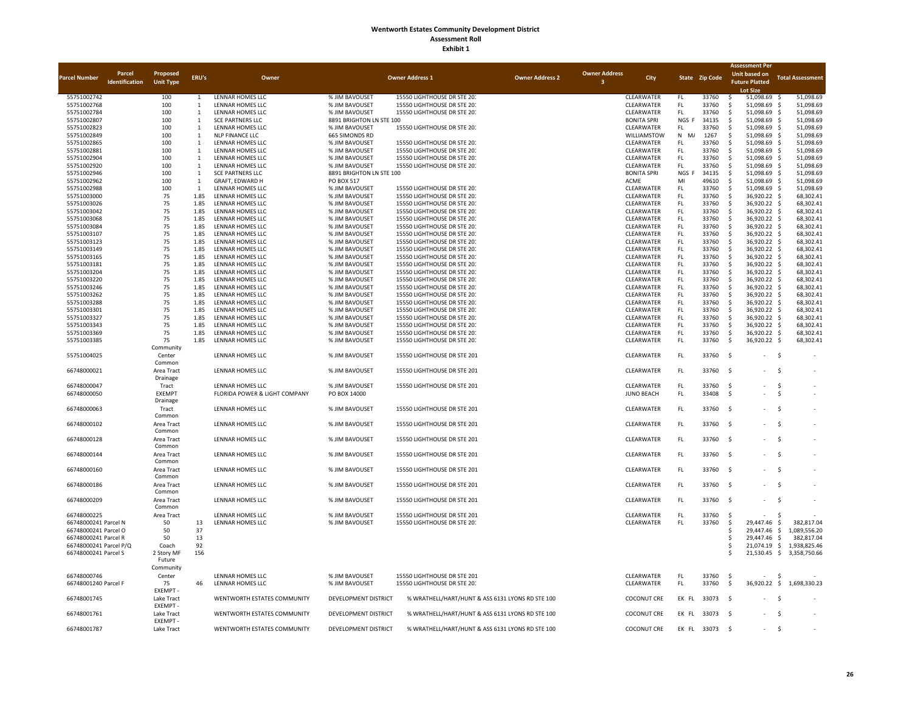|                            |                       |                      |                              |                                      |                                  |                                                            |                        |                      |                          |             |                | <b>Assessment Pe</b>                               |                            |                         |
|----------------------------|-----------------------|----------------------|------------------------------|--------------------------------------|----------------------------------|------------------------------------------------------------|------------------------|----------------------|--------------------------|-------------|----------------|----------------------------------------------------|----------------------------|-------------------------|
| <b>Parcel Number</b>       | Parcel                | Proposed             | ERU's                        | Owner                                |                                  | <b>Owner Address 1</b>                                     | <b>Owner Address 2</b> | <b>Owner Address</b> | City                     |             | State Zip Code | Unit based on                                      |                            | <b>Total Assessment</b> |
|                            | <b>Identification</b> | <b>Unit Type</b>     |                              |                                      |                                  |                                                            |                        | ♠                    |                          |             |                | <b>Future Platted</b>                              |                            |                         |
|                            |                       |                      |                              |                                      |                                  |                                                            |                        |                      |                          |             |                | <b>Lot Size</b>                                    |                            |                         |
| 55751002742<br>55751002768 |                       | 100<br>100           | $\mathbf{1}$<br>$\mathbf{1}$ | LENNAR HOMES LLC<br>LENNAR HOMES LLC | % JIM BAVOUSET<br>% JIM BAVOUSET | 15550 LIGHTHOUSE DR STE 201<br>15550 LIGHTHOUSE DR STE 201 |                        |                      | CLEARWATER<br>CLEARWATER | FL.<br>FL.  | 33760<br>33760 | 51,098.69<br>-Ś<br>51,098.69<br>$\dot{\mathbf{S}}$ | - \$<br>$\mathsf{\hat{S}}$ | 51,098.69<br>51,098.69  |
| 55751002784                |                       | 100                  | $\mathbf{1}$                 | LENNAR HOMES LLC                     | % JIM BAVOUSET                   | 15550 LIGHTHOUSE DR STE 201                                |                        |                      | CLEARWATER               | FL.         | 33760          | 51,098.69<br>$\dot{\mathbf{S}}$                    | $\mathbf{\hat{S}}$         | 51,098.69               |
| 55751002807                |                       | 100                  | $\mathbf{1}$                 | <b>SCE PARTNERS LLC</b>              | 8891 BRIGHTON LN STF 100         |                                                            |                        |                      | <b>BONITA SPRI</b>       | <b>NGS</b>  | 34135          | 51,098.69<br>- \$                                  | $\mathbf{\hat{S}}$         | 51,098.69               |
| 55751002823                |                       | 100                  | 1                            | LENNAR HOMES LLC                     | % JIM BAVOUSET                   | 15550 LIGHTHOUSE DR STE 201                                |                        |                      | CLEARWATER               | FL.         | 33760          | 51,098.69<br>-S                                    | $\mathsf{\hat{S}}$         | 51,098.69               |
| 55751002849                |                       | 100                  | $\mathbf{1}$                 | NLP FINANCE LLC                      | 665 SIMONDS RD                   |                                                            |                        |                      | WILLIAMSTOW              | N<br>M.     | 1267           | 51.098.69<br><sup>\$</sup>                         | s.                         | 51.098.69               |
| 55751002865                |                       | 100                  | $\mathbf{1}$                 | LENNAR HOMES LLC                     | % JIM BAVOUSET                   | 15550 LIGHTHOUSE DR STE 201                                |                        |                      | CLEARWATER               | FL.         | 33760          | 51,098.69<br>Ŝ.                                    | $\mathbf{\hat{S}}$         | 51,098.69               |
| 55751002881                |                       | 100                  | 1                            | LENNAR HOMES LLC                     | % JIM BAVOUSET                   | 15550 LIGHTHOUSE DR STE 201                                |                        |                      | CLEARWATER               | <b>FL</b>   | 33760          | 51,098.69<br>Ŝ.                                    | -\$                        | 51,098.69               |
| 55751002904                |                       | 100                  | $\mathbf{1}$                 | LENNAR HOMES LLC                     | % JIM BAVOUSET                   | 15550 LIGHTHOUSE DR STE 201                                |                        |                      | CLEARWATER               | FL.         | 33760          | 51.098.69<br><sup>\$</sup>                         | s.                         | 51.098.69               |
| 55751002920                |                       | 100                  | $\mathbf{1}$                 | LENNAR HOMES LLC                     | % JIM BAVOUSET                   | 15550 LIGHTHOUSE DR STE 201                                |                        |                      | CLEARWATER               | FL.         | 33760          | 51,098.69<br>Ŝ.                                    | $\mathbf{\hat{S}}$         | 51,098.69               |
| 55751002946                |                       | 100                  | 1                            | <b>SCE PARTNERS LLC</b>              | 8891 BRIGHTON LN STE 100         |                                                            |                        |                      | <b>BONITA SPRI</b>       | <b>NGS</b>  | 34135          | 51,098.69<br>Ŝ.                                    | -\$                        | 51,098.69               |
| 55751002962                |                       | 100                  | $\mathbf{1}$                 | GRAFT, EDWARD H                      | PO BOX 517                       |                                                            |                        |                      | <b>ACMF</b>              | MI          | 49610          | 51,098.69<br>-S                                    | $\mathbf{\hat{S}}$         | 51,098.69               |
| 55751002988                |                       | 100                  | $\overline{1}$               | LENNAR HOMES LLC                     | % JIM BAVOUSET                   | 15550 LIGHTHOUSE DR STE 201                                |                        |                      | CLEARWATER               | <b>FL</b>   | 33760          | 51,098.69<br>.\$                                   | $\mathbf{\hat{S}}$         | 51,098.69               |
| 55751003000                |                       | 75                   | 1.85                         | LENNAR HOMES LLC                     | % JIM BAVOUSET                   | 15550 LIGHTHOUSE DR STE 201                                |                        |                      | CLEARWATER               | <b>FL</b>   | 33760          | 36,920.22<br>Ŝ.                                    | -Ś                         | 68,302.41               |
| 55751003026                |                       | 75                   | 1.85                         | LENNAR HOMES LLC                     | % JIM BAVOUSET                   | 15550 LIGHTHOUSE DR STE 201                                |                        |                      | CLEARWATER               | <b>FL</b>   | 33760          | 36,920.22<br>Ŝ.                                    | - Ś                        | 68,302.41               |
| 55751003042                |                       | 75                   | 1.85                         | LENNAR HOMES LLC                     | % JIM BAVOUSET                   | 15550 LIGHTHOUSE DR STE 201                                |                        |                      | <b>CLEARWATER</b>        | FL.         | 33760          | 36,920.22<br><sup>\$</sup>                         | $\dot{\mathbf{S}}$         | 68.302.41               |
| 55751003068                |                       | 75                   | 1.85                         | LENNAR HOMES LLC                     | % JIM BAVOUSET                   | 15550 LIGHTHOUSE DR STE 201                                |                        |                      | CLEARWATER               | <b>FL</b>   | 33760          | 36,920.22<br>.s                                    | -Ś                         | 68,302.41               |
| 55751003084                |                       | 75                   | 1.85                         | LENNAR HOMES LLC                     | % JIM BAVOUSET                   | 15550 LIGHTHOUSE DR STE 201                                |                        |                      | CLEARWATER               | <b>FL</b>   | 33760          | 36,920.22<br>.s                                    | -\$                        | 68,302.41               |
| 55751003107                |                       | 75                   | 1.85                         | LENNAR HOMES LLC                     | % JIM BAVOUSET                   | 15550 LIGHTHOUSE DR STE 201                                |                        |                      | CLEARWATER               | FL          | 33760          | 36,920.22<br><sup>\$</sup>                         | $\dot{\mathbf{S}}$         | 68,302.41               |
| 55751003123                |                       | 75                   | 1.85                         | LENNAR HOMES LLC                     | % JIM BAVOUSET                   | 15550 LIGHTHOUSE DR STE 201                                |                        |                      | CLEARWATER               | <b>FL</b>   | 33760          | 36,920.22<br>.S                                    | -Ś                         | 68,302.41               |
| 55751003149                |                       | 75                   | 1.85                         | LENNAR HOMES LLC                     | % JIM BAVOUSET                   | 15550 LIGHTHOUSE DR STE 201                                |                        |                      | CLEARWATER               | <b>FL</b>   | 33760          | 36,920.22                                          | -\$                        | 68,302.41               |
| 55751003165                |                       | 75                   | 1.85                         | LENNAR HOMES LLC                     | % JIM BAVOUSET                   | 15550 LIGHTHOUSE DR STE 201                                |                        |                      | CLEARWATER               | FL          | 33760          | 36,920.22<br>.\$                                   | \$                         | 68,302.41               |
| 55751003181                |                       | 75                   | 1.85                         | LENNAR HOMES LLC                     | % JIM BAVOUSET                   | 15550 LIGHTHOUSE DR STE 201                                |                        |                      | CLEARWATER               | <b>FL</b>   | 33760          | 36,920.22<br>.\$                                   | -\$                        | 68,302.41               |
| 55751003204                |                       | 75                   | 1.85                         | LENNAR HOMES LLC                     | % JIM BAVOUSET                   | 15550 LIGHTHOUSE DR STE 201                                |                        |                      | CLEARWATER               | <b>FL</b>   | 33760          | 36,920.22                                          | -\$                        | 68,302.41               |
| 55751003220                |                       | 75                   | 1.85                         | LENNAR HOMES LLC                     | % JIM BAVOUSET                   | 15550 LIGHTHOUSE DR STE 201                                |                        |                      | CLEARWATER               | <b>FL</b>   | 33760          | 36,920.22<br>.S                                    | -\$                        | 68,302.41               |
| 55751003246                |                       | 75                   | 1.85                         | LENNAR HOMES LLC                     | % JIM BAVOUSET                   | 15550 LIGHTHOUSE DR STE 201                                |                        |                      | CLEARWATER               | <b>FL</b>   | 33760          | 36,920.22<br>.S                                    | -\$                        | 68,302.41               |
| 55751003262                |                       | 75                   | 1.85                         | LENNAR HOMES LLC                     | % JIM BAVOUSET                   | 15550 LIGHTHOUSE DR STE 201                                |                        |                      | CLEARWATER               | <b>FL</b>   | 33760          | .s<br>36,920.22                                    | - Ś                        | 68,302.41               |
| 55751003288                |                       | 75                   | 1.85                         | LENNAR HOMES LLC                     | % JIM BAVOUSET                   | 15550 LIGHTHOUSE DR STE 201                                |                        |                      | CLEARWATER               | <b>FL</b>   | 33760          | 36,920.22<br>-S                                    | - Ś                        | 68,302.41               |
| 55751003301                |                       | 75                   | 1.85                         | LENNAR HOMES LLC                     | % JIM BAVOUSET                   | 15550 LIGHTHOUSE DR STE 201                                |                        |                      | CLEARWATER               | FL          | 33760          | 36,920.22<br>.S                                    | \$                         | 68,302.41               |
| 55751003327                |                       | 75                   | 1.85                         | LENNAR HOMES LLC                     | % JIM BAVOUSET                   | 15550 LIGHTHOUSE DR STE 201                                |                        |                      | CLEARWATER               | <b>FL</b>   | 33760          | 36,920.22<br>.\$                                   | -\$                        | 68,302.41               |
| 55751003343                |                       | 75                   | 1.85<br>1.85                 | LENNAR HOMES LLC<br>LENNAR HOMES LLC | % JIM BAVOUSET                   | 15550 LIGHTHOUSE DR STE 201                                |                        |                      | CLEARWATER               | FL          | 33760          | 36,920.22<br>-S<br>.s                              | - Ś                        | 68,302.41               |
| 55751003369                |                       | 75                   | 1.85                         |                                      | % JIM BAVOUSET                   | 15550 LIGHTHOUSE DR STE 201                                |                        |                      | CLEARWATER               | <b>FL</b>   | 33760          | 36,920.22<br>-Ś                                    | \$<br>\$                   | 68,302.41               |
| 55751003385                |                       | 75<br>Community      |                              | LENNAR HOMES LLC                     | % JIM BAVOUSET                   | 15550 LIGHTHOUSE DR STE 201                                |                        |                      | CLEARWATER               | <b>FL</b>   | 33760          | 36,920.22                                          |                            | 68,302.41               |
| 55751004025                |                       | Center               |                              | LENNAR HOMES LLC                     | % JIM BAVOUSET                   | 15550 LIGHTHOUSE DR STE 201                                |                        |                      | CLEARWATER               | FL.         | 33760          | - \$                                               | $\mathsf{\hat{S}}$         |                         |
|                            |                       | Common               |                              |                                      |                                  |                                                            |                        |                      |                          |             |                |                                                    |                            |                         |
| 66748000021                |                       | Area Tract           |                              | LENNAR HOMES LLC                     | % JIM BAVOUSET                   | 15550 LIGHTHOUSE DR STE 201                                |                        |                      | CLEARWATER               | FL          | 33760          | - \$                                               | -Ś                         |                         |
|                            |                       | Drainage             |                              |                                      |                                  |                                                            |                        |                      |                          |             |                |                                                    |                            |                         |
| 66748000047                |                       | Tract                |                              | LENNAR HOMES LLC                     | % JIM BAVOUSET                   | 15550 LIGHTHOUSE DR STE 201                                |                        |                      | CLEARWATER               | FL          | 33760          | - \$                                               | $\leq$                     |                         |
| 66748000050                |                       | <b>EXEMPT</b>        |                              | FLORIDA POWER & LIGHT COMPANY        | PO BOX 14000                     |                                                            |                        |                      | <b>JUNO BEACH</b>        | FL          | 33408          | - \$                                               | -Ś                         |                         |
|                            |                       | Drainage             |                              |                                      |                                  |                                                            |                        |                      |                          |             |                |                                                    |                            |                         |
| 66748000063                |                       | Tract                |                              | LENNAR HOMES LLC                     | % JIM BAVOUSET                   | 15550 LIGHTHOUSE DR STE 201                                |                        |                      | CLEARWATER               | FL.         | 33760          | - \$                                               | s.                         |                         |
|                            |                       | Common               |                              |                                      |                                  |                                                            |                        |                      |                          |             |                |                                                    |                            |                         |
| 66748000102                |                       | Area Tract           |                              | LENNAR HOMES LLC                     | % JIM BAVOUSET                   | 15550 LIGHTHOUSE DR STE 201                                |                        |                      | CLEARWATER               | FL          | 33760          | - \$                                               | \$                         |                         |
|                            |                       | Common               |                              |                                      |                                  |                                                            |                        |                      |                          |             |                |                                                    |                            |                         |
| 66748000128                |                       | Area Tract           |                              | LENNAR HOMES LLC                     | % JIM BAVOUSET                   | 15550 LIGHTHOUSE DR STE 201                                |                        |                      | CLEARWATER               | FL.         | 33760          | - \$                                               | $\mathsf{\hat{S}}$         |                         |
|                            |                       | Common               |                              |                                      |                                  |                                                            |                        |                      |                          |             |                |                                                    |                            |                         |
| 66748000144                |                       | Area Tract           |                              | LENNAR HOMES LLC                     | % JIM BAVOUSET                   | 15550 LIGHTHOUSE DR STE 201                                |                        |                      | CLEARWATER               | FL.         | 33760          | $\ddot{\mathsf{s}}$                                | $\mathsf{\hat{S}}$         |                         |
|                            |                       | Common               |                              |                                      |                                  |                                                            |                        |                      |                          |             |                |                                                    |                            |                         |
| 66748000160                |                       | Area Tract           |                              | LENNAR HOMES LLC                     | % JIM BAVOUSET                   | 15550 LIGHTHOUSE DR STE 201                                |                        |                      | CLEARWATER               | FL          | 33760          | - \$                                               | $\mathsf{\hat{S}}$         |                         |
|                            |                       | Common               |                              |                                      |                                  |                                                            |                        |                      |                          |             |                |                                                    |                            |                         |
| 66748000186                |                       | Area Tract           |                              | LENNAR HOMES LLC                     | % JIM BAVOUSET                   | 15550 LIGHTHOUSE DR STE 201                                |                        |                      | CLEARWATER               | FL.         | 33760          | - \$                                               | $\ddot{\mathsf{s}}$        |                         |
|                            |                       | Common               |                              |                                      |                                  |                                                            |                        |                      |                          |             |                |                                                    |                            |                         |
| 66748000209                |                       | Area Tract           |                              | LENNAR HOMES LLC                     | % JIM BAVOUSET                   | 15550 LIGHTHOUSE DR STE 201                                |                        |                      | CLEARWATER               | FL          | 33760          | - \$                                               | -\$                        |                         |
|                            |                       | Common               |                              |                                      |                                  |                                                            |                        |                      |                          |             |                |                                                    |                            |                         |
| 66748000225                |                       | Area Tract           |                              | LENNAR HOMES LLC                     | % JIM BAVOUSET                   | 15550 LIGHTHOUSE DR STE 201                                |                        |                      | CLEARWATER               | <b>FL</b>   | 33760          | -\$                                                | $\dot{\mathbf{S}}$         |                         |
| 66748000241 Parcel N       |                       | 50                   | 13                           | LENNAR HOMES LLC                     | % JIM BAVOUSET                   | 15550 LIGHTHOUSE DR STE 201                                |                        |                      | CLEARWATER               | <b>FL</b>   | 33760          | 29,447.46<br>-Ś                                    | \$                         | 382,817.04              |
| 66748000241 Parcel O       |                       | 50                   | 37                           |                                      |                                  |                                                            |                        |                      |                          |             |                | 29,447.46 \$                                       |                            | 1.089.556.20            |
| 66748000241 Parcel R       |                       | 50                   | 13                           |                                      |                                  |                                                            |                        |                      |                          |             |                | 29,447.46                                          | $\ddot{\mathsf{s}}$        | 382,817.04              |
| 66748000241 Parcel P/Q     |                       | Coach                | 92                           |                                      |                                  |                                                            |                        |                      |                          |             |                | 21,074.19 \$ 1,938,825.46                          |                            |                         |
| 66748000241 Parcel S       |                       | 2 Story MF<br>Future | 156                          |                                      |                                  |                                                            |                        |                      |                          |             |                | 21,530.45 \$ 3,358,750.66                          |                            |                         |
|                            |                       | Community            |                              |                                      |                                  |                                                            |                        |                      |                          |             |                |                                                    |                            |                         |
|                            |                       |                      |                              |                                      |                                  |                                                            |                        |                      |                          |             |                |                                                    |                            |                         |
| 66748000746                |                       | Center               |                              | LENNAR HOMES LLC                     | % JIM BAVOUSET                   | 15550 LIGHTHOUSE DR STE 201                                |                        |                      | CLEARWATER               | <b>FL</b>   | 33760          | -\$                                                | .s                         |                         |
| 66748001240 Parcel F       |                       | 75<br><b>EXEMPT-</b> | 46                           | LENNAR HOMES LLC                     | % JIM BAVOUSET                   | 15550 LIGHTHOUSE DR STE 201                                |                        |                      | CLEARWATER               | FL          | 33760          | 36,920.22 \$<br>\$                                 |                            | 1,698,330.23            |
| 66748001745                |                       | Lake Tract           |                              | WENTWORTH ESTATES COMMUNITY          | DEVELOPMENT DISTRICT             | % WRATHELL/HART/HUNT & ASS 6131 LYONS RD STE 100           |                        |                      | <b>COCONUT CRE</b>       | EK FL       | 33073          | - \$                                               | -Ś                         |                         |
|                            |                       | EXEMPT-              |                              |                                      |                                  |                                                            |                        |                      |                          |             |                |                                                    |                            |                         |
| 66748001761                |                       | Lake Tract           |                              | WENTWORTH ESTATES COMMUNITY          | DEVELOPMENT DISTRICT             | % WRATHELL/HART/HUNT & ASS 6131 LYONS RD STE 100           |                        |                      | <b>COCONUT CRE</b>       | EK FL 33073 |                | - \$                                               | -\$                        |                         |
|                            |                       | EXEMPT -             |                              |                                      |                                  |                                                            |                        |                      |                          |             |                |                                                    |                            |                         |
| 66748001787                |                       | Lake Tract           |                              | WENTWORTH ESTATES COMMUNITY          | DEVELOPMENT DISTRICT             | % WRATHELL/HART/HUNT & ASS 6131 LYONS RD STE 100           |                        |                      | <b>COCONUT CRE</b>       |             | EK FL 33073 \$ | $\sim$                                             | -Ś                         |                         |
|                            |                       |                      |                              |                                      |                                  |                                                            |                        |                      |                          |             |                |                                                    |                            |                         |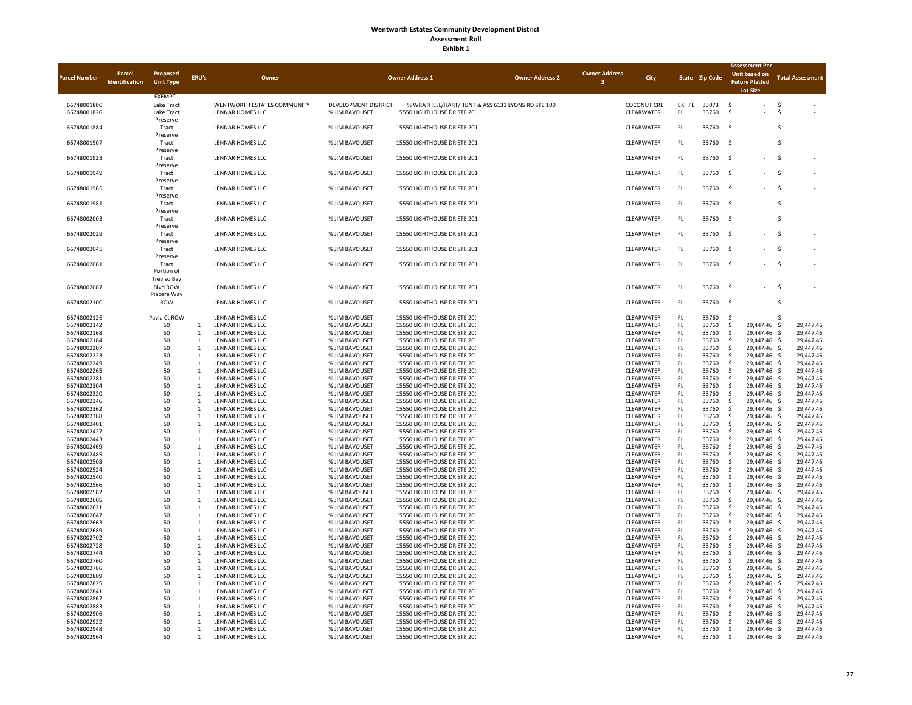| <b>Parcel Number</b>       | Parcel<br>Identification | Proposed<br><b>Unit Type</b>                     | ERU's                          | Owner                                           |                                        | <b>Owner Address 1</b>                                                          | <b>Owner Address 2</b> | <b>Owner Address</b><br>♠ | City                      |                 | State Zip Code | <b>Assessment Per</b><br><b>Unit based on</b><br><b>Future Platted</b><br>Lot Size |                                                      | <b>Total Assessment</b>          |
|----------------------------|--------------------------|--------------------------------------------------|--------------------------------|-------------------------------------------------|----------------------------------------|---------------------------------------------------------------------------------|------------------------|---------------------------|---------------------------|-----------------|----------------|------------------------------------------------------------------------------------|------------------------------------------------------|----------------------------------|
| 66748001800<br>66748001826 |                          | EXEMPT -<br>Lake Tract<br>Lake Tract<br>Preserve |                                | WENTWORTH ESTATES COMMUNITY<br>LENNAR HOMES LLC | DEVELOPMENT DISTRICT<br>% JIM BAVOUSET | % WRATHELL/HART/HUNT & ASS 6131 LYONS RD STE 100<br>15550 LIGHTHOUSE DR STE 201 |                        |                           | COCONUT CRE<br>CLEARWATER | EK FL<br>FL.    | 33073<br>33760 | $\ddot{\mathsf{S}}$<br>$\mathsf{\hat{S}}$                                          | $\mathsf{\hat{S}}$<br>$\overline{\phantom{a}}$<br>÷, | $\ddot{\mathsf{s}}$              |
| 66748001884                |                          | Tract<br>Preserve                                |                                | LENNAR HOMES LLC                                | % JIM BAVOUSET                         | 15550 LIGHTHOUSE DR STE 201                                                     |                        |                           | CLEARWATER                | FL.             | 33760          | - \$                                                                               | -\$                                                  |                                  |
| 66748001907                |                          | Tract<br>Preserve                                |                                | LENNAR HOMES LLC                                | % JIM BAVOUSET                         | 15550 LIGHTHOUSE DR STE 201                                                     |                        |                           | CLEARWATER                | FL              | 33760          | -Ś                                                                                 | $\ddot{\mathsf{s}}$                                  |                                  |
| 66748001923                |                          | Tract<br>Preserve                                |                                | LENNAR HOMES LLC                                | % JIM BAVOUSET                         | 15550 LIGHTHOUSE DR STE 201                                                     |                        |                           | CLEARWATER                | FL              | 33760          | $\mathbf{\hat{S}}$                                                                 | $\mathsf{\hat{S}}$                                   |                                  |
| 66748001949                |                          | Tract<br>Preserve                                |                                | LENNAR HOMES LLC                                | % JIM BAVOUSET                         | 15550 LIGHTHOUSE DR STE 201                                                     |                        |                           | CLEARWATER                | <b>FL</b>       | 33760          | $\ddot{\mathsf{S}}$                                                                | \$                                                   |                                  |
| 66748001965                |                          | Tract<br>Preserve                                |                                | LENNAR HOMES LLC                                | % JIM BAVOUSET                         | 15550 LIGHTHOUSE DR STE 201                                                     |                        |                           | CLEARWATER                | FL.             | 33760          | -\$                                                                                | -\$<br>٠                                             |                                  |
| 66748001981                |                          | Tract<br>Preserve                                |                                | LENNAR HOMES LLC                                | % JIM BAVOUSET                         | 15550 LIGHTHOUSE DR STE 201                                                     |                        |                           | CLEARWATER                | FL.             | 33760          | -\$                                                                                | -\$                                                  |                                  |
| 66748002003                |                          | Tract<br>Preserve                                |                                | LENNAR HOMES LLC                                | % JIM BAVOUSET                         | 15550 LIGHTHOUSE DR STE 201                                                     |                        |                           | CLEARWATER                | FL              | 33760          | -\$                                                                                | -\$                                                  |                                  |
| 66748002029                |                          | Tract<br>Preserve                                |                                | LENNAR HOMES LLC                                | % JIM BAVOUSET                         | 15550 LIGHTHOUSE DR STE 201                                                     |                        |                           | CLEARWATER                | FL.             | 33760          | $\mathsf{\hat{S}}$                                                                 | $\mathsf{\hat{S}}$                                   |                                  |
| 66748002045                |                          | Tract<br>Preserve                                |                                | LENNAR HOMES LLC                                | % JIM BAVOUSET                         | 15550 LIGHTHOUSE DR STE 201                                                     |                        |                           | CLEARWATER                | ${\sf FL}$      | 33760          | -Ś                                                                                 | $\ddot{\mathsf{s}}$                                  |                                  |
| 66748002061                |                          | Tract<br>Portion of<br><b>Treviso Bay</b>        |                                | LENNAR HOMES LLC                                | % JIM BAVOUSET                         | 15550 LIGHTHOUSE DR STE 201                                                     |                        |                           | CLEARWATER                | <b>FL</b>       | 33760          | $\ddot{\mathsf{S}}$                                                                | -\$                                                  |                                  |
| 66748002087                |                          | <b>Blvd ROW</b><br>Piacere Way                   |                                | LENNAR HOMES LLC                                | % JIM BAVOUSET                         | 15550 LIGHTHOUSE DR STE 201                                                     |                        |                           | CLEARWATER                | FL.             | 33760          | - \$                                                                               | - \$<br>٠                                            |                                  |
| 66748002100                |                          | <b>ROW</b>                                       |                                | LENNAR HOMES LLC                                | % JIM BAVOUSET                         | 15550 LIGHTHOUSE DR STE 201                                                     |                        |                           | CLEARWATER                | FL.             | 33760          | - \$                                                                               | - \$<br>$\sim$                                       |                                  |
| 66748002126<br>66748002142 |                          | Pavia Ct ROW<br>50                               | 1                              | LENNAR HOMES LLC<br>LENNAR HOMES LLC            | % JIM BAVOUSET<br>% JIM BAVOUSET       | 15550 LIGHTHOUSE DR STE 201<br>15550 LIGHTHOUSE DR STE 201                      |                        |                           | CLEARWATER<br>CLEARWATER  | FL.<br>FL.      | 33760<br>33760 | -Ś<br>\$                                                                           | 29,447.46<br>-\$                                     | -\$<br>29,447.46                 |
| 66748002168                |                          | 50                                               | 1                              | LENNAR HOMES LLC                                | % JIM BAVOUSET                         | 15550 LIGHTHOUSE DR STE 201                                                     |                        |                           | CLEARWATER                | FL.             | 33760          | S,                                                                                 | 29,447.46<br>-Ś                                      | 29.447.46                        |
| 66748002184                |                          | 50                                               | 1                              | LENNAR HOMES LLC                                | % JIM BAVOUSET                         | 15550 LIGHTHOUSE DR STE 201                                                     |                        |                           | CLEARWATER                | FL.             | 33760          | -Ś                                                                                 | 29,447.46<br>$\ddot{\mathsf{S}}$                     | 29,447.46                        |
| 66748002207                |                          | 50                                               | 1                              | <b>LENNAR HOMES LLC</b>                         | % JIM BAVOUSET                         | 15550 LIGHTHOUSE DR STE 201                                                     |                        |                           | CLEARWATER                | FL.             | 33760          | -Ś                                                                                 | 29,447.46<br>$\ddot{\mathsf{S}}$                     | 29,447.46                        |
| 66748002223                |                          | 50                                               | 1<br>$\mathbf{1}$              | LENNAR HOMES LLC                                | % JIM BAVOUSET                         | 15550 LIGHTHOUSE DR STE 201                                                     |                        |                           | CLEARWATER                | <b>FL</b>       | 33760          | -Ś<br>-Ś                                                                           | 29,447.46<br>$\ddot{\mathsf{S}}$                     | 29,447.46                        |
| 66748002249<br>66748002265 |                          | 50<br>50                                         | 1                              | LENNAR HOMES LLC<br>LENNAR HOMES LLC            | % JIM BAVOUSET<br>% JIM BAVOUSET       | 15550 LIGHTHOUSE DR STE 201<br>15550 LIGHTHOUSE DR STE 201                      |                        |                           | CLEARWATER<br>CLEARWATER  | <b>FL</b><br>FL | 33760<br>33760 | -Ś                                                                                 | 29,447.46 \$<br>29,447.46<br>-\$                     | 29,447.46<br>29,447.46           |
| 66748002281                |                          | 50                                               | 1                              | LENNAR HOMES LLC                                | % JIM BAVOUSET                         | 15550 LIGHTHOUSE DR STE 201                                                     |                        |                           | CLEARWATER                | FL.             | 33760          | -Ś                                                                                 | 29,447.46<br>-\$                                     | 29,447.46                        |
| 66748002304                |                          | 50                                               | 1                              | LENNAR HOMES LLC                                | % JIM BAVOUSET                         | 15550 LIGHTHOUSE DR STE 201                                                     |                        |                           | CLEARWATER                | FL.             | 33760          | -Ś                                                                                 | 29,447.46<br>-\$                                     | 29,447.46                        |
| 66748002320                |                          | 50                                               | $\overline{1}$                 | LENNAR HOMES LLC                                | % JIM BAVOUSET                         | 15550 LIGHTHOUSE DR STE 201                                                     |                        |                           | CLEARWATER                | FL.             | 33760          | $\mathsf{\hat{S}}$                                                                 | 29.447.46<br>-\$                                     | 29,447.46                        |
| 66748002346                |                          | 50                                               | $\overline{1}$                 | LENNAR HOMES LLC                                | % JIM BAVOUSET                         | 15550 LIGHTHOUSE DR STE 201                                                     |                        |                           | CLEARWATER                | FL.             | 33760          | $\mathsf{\hat{S}}$                                                                 | 29.447.46<br>-\$                                     | 29.447.46                        |
| 66748002362                |                          | 50                                               | 1                              | LENNAR HOMES LLC                                | % JIM BAVOUSET                         | 15550 LIGHTHOUSE DR STE 201                                                     |                        |                           | CLEARWATER                | FL              | 33760          | -Ś<br>-Ś                                                                           | 29,447.46                                            | -\$<br>29,447.46                 |
| 66748002388<br>66748002401 |                          | 50<br>50                                         | $\,$ 1 $\,$<br>1               | LENNAR HOMES LLC<br>LENNAR HOMES LLC            | % JIM BAVOUSET<br>% JIM BAVOUSET       | 15550 LIGHTHOUSE DR STE 201<br>15550 LIGHTHOUSE DR STE 201                      |                        |                           | CLEARWATER<br>CLEARWATER  | FL<br>FL        | 33760<br>33760 | -Ś                                                                                 | 29,447.46<br>-\$<br>29,447.46                        | 29,447.46<br>-\$<br>29,447.46    |
| 66748002427                |                          | 50                                               | $\mathbf{1}$                   | <b>LENNAR HOMES LLC</b>                         | % JIM BAVOUSET                         | 15550 LIGHTHOUSE DR STE 201                                                     |                        |                           | CLEARWATER                | <b>FL</b>       | 33760          | -Ś                                                                                 | 29,447.46                                            | $\ddot{\varsigma}$<br>29,447.46  |
| 66748002443                |                          | 50                                               | $\mathbf{1}$                   | <b>LENNAR HOMES LLC</b>                         | % JIM BAVOUSET                         | 15550 LIGHTHOUSE DR STE 201                                                     |                        |                           | CLEARWATER                | FL.             | 33760          | $\mathsf{\hat{S}}$                                                                 | 29,447.46                                            | $\ddot{\varsigma}$<br>29,447.46  |
| 66748002469                |                          | 50                                               | $\mathbf{1}$                   | LENNAR HOMES LLC                                | % JIM BAVOUSET                         | 15550 LIGHTHOUSE DR STE 201                                                     |                        |                           | CLEARWATER                | FL              | 33760          | \$                                                                                 | 29,447.46                                            | \$<br>29,447.46                  |
| 66748002485                |                          | 50                                               | $\mathbf{1}$                   | LENNAR HOMES LLC                                | % JIM BAVOUSET                         | 15550 LIGHTHOUSE DR STE 201                                                     |                        |                           | CLEARWATER                | FL              | 33760          | \$                                                                                 | 29,447.46                                            | \$<br>29,447.46                  |
| 66748002508<br>66748002524 |                          | 50<br>50                                         | $\mathbf{1}$<br>1              | LENNAR HOMES LLC<br>LENNAR HOMES LLC            | % JIM BAVOUSET<br>% JIM BAVOUSET       | 15550 LIGHTHOUSE DR STE 201<br>15550 LIGHTHOUSE DR STE 201                      |                        |                           | CLEARWATER<br>CLEARWATER  | FL<br>FL.       | 33760<br>33760 | -Ś<br>-Ś                                                                           | 29,447.46<br>29,447.46<br>- \$                       | \$<br>29,447.46<br>29,447.46     |
| 66748002540                |                          | 50                                               | 1                              | LENNAR HOMES LLC                                | % JIM BAVOUSET                         | 15550 LIGHTHOUSE DR STE 201                                                     |                        |                           | CLEARWATER                | FL.             | 33760          | -Ś                                                                                 | 29,447.46<br>-\$                                     | 29,447.46                        |
| 66748002566                |                          | 50                                               | $\overline{1}$                 | LENNAR HOMES LLC                                | % JIM BAVOUSET                         | 15550 LIGHTHOUSE DR STE 201                                                     |                        |                           | CLEARWATER                | FL.             | 33760          | $\mathsf{\hat{S}}$                                                                 | 29,447.46<br>-\$                                     | 29,447.46                        |
| 66748002582                |                          | 50                                               | $\overline{1}$                 | LENNAR HOMES LLC                                | % JIM BAVOUSET                         | 15550 LIGHTHOUSE DR STE 201                                                     |                        |                           | CLEARWATER                | FL.             | 33760          | $\mathsf{\hat{S}}$                                                                 | 29,447.46<br>-\$                                     | 29,447.46                        |
| 66748002605                |                          | 50                                               | $\overline{1}$                 | LENNAR HOMES LLC                                | % JIM BAVOUSET                         | 15550 LIGHTHOUSE DR STE 201                                                     |                        |                           | CLEARWATER                | FL.             | 33760          | $\mathsf{\hat{S}}$                                                                 | 29.447.46<br>-\$                                     | 29.447.46                        |
| 66748002621<br>66748002647 |                          | 50<br>50                                         | $\mathbf{1}$<br>1              | LENNAR HOMES LLC<br>LENNAR HOMES LLC            | % JIM BAVOUSET<br>% JIM BAVOUSET       | 15550 LIGHTHOUSE DR STE 201<br>15550 LIGHTHOUSE DR STE 201                      |                        |                           | CLEARWATER<br>CLEARWATER  | FL.<br>FL.      | 33760<br>33760 | -Ś<br>-Ś                                                                           | 29,447.46<br>-\$<br>29,447.46<br>-\$                 | 29,447.46<br>29,447.46           |
| 66748002663                |                          | 50                                               | 1                              | LENNAR HOMES LLC                                | % JIM BAVOUSET                         | 15550 LIGHTHOUSE DR STE 201                                                     |                        |                           | CLEARWATER                | FL.             | 33760          |                                                                                    | 29,447.46                                            | $\ddot{\varsigma}$<br>29,447.46  |
| 66748002689                |                          | 50                                               | $\mathbf{1}$                   | <b>LENNAR HOMES LLC</b>                         | % JIM BAVOUSET                         | 15550 LIGHTHOUSE DR STE 201                                                     |                        |                           | CLEARWATER                | FL.             | 33760          | -Ś                                                                                 | 29,447.46<br>$\ddot{\mathsf{S}}$                     | 29,447.46                        |
| 66748002702                |                          | 50                                               | $\mathbf{1}$                   | LENNAR HOMES LLC                                | % JIM BAVOUSET                         | 15550 LIGHTHOUSE DR STE 201                                                     |                        |                           | CLEARWATER                | FL.             | 33760          | -Ś                                                                                 | 29,447.46<br>$\ddot{\mathsf{S}}$                     | 29.447.46                        |
| 66748002728                |                          | 50                                               | $\mathbf{1}$                   | LENNAR HOMES LLC                                | % JIM BAVOUSET                         | 15550 LIGHTHOUSE DR STE 201                                                     |                        |                           | CLEARWATER                | <b>FL</b>       | 33760          | $\mathsf{\hat{S}}$                                                                 | 29,447.46<br>$\ddot{\mathsf{S}}$                     | 29,447.46                        |
| 66748002744                |                          | 50<br>50                                         | $\mathbf{1}$<br>$\overline{1}$ | LENNAR HOMES LLC<br>LENNAR HOMES LLC            | % JIM BAVOUSET                         | 15550 LIGHTHOUSE DR STE 201                                                     |                        |                           | CLEARWATER<br>CLEARWATER  | <b>FL</b><br>FL | 33760<br>33760 | $\mathsf{\hat{S}}$<br>-Ś                                                           | 29,447.46<br>$\ddot{\mathsf{S}}$<br>29,447.46<br>-\$ | 29,447.46<br>29,447.46           |
| 66748002760<br>66748002786 |                          | 50                                               | $\overline{1}$                 | LENNAR HOMES LLC                                | % JIM BAVOUSET<br>% JIM BAVOUSET       | 15550 LIGHTHOUSE DR STE 201<br>15550 LIGHTHOUSE DR STE 201                      |                        |                           | CLEARWATER                | FL              | 33760          | $\mathsf{\hat{S}}$                                                                 | 29,447.46<br>-\$                                     | 29,447.46                        |
| 66748002809                |                          | 50                                               | 1                              | LENNAR HOMES LLC                                | % JIM BAVOUSET                         | 15550 LIGHTHOUSE DR STE 201                                                     |                        |                           | CLEARWATER                | FL.             | 33760          | -Ś                                                                                 | 29,447.46<br>-\$                                     | 29,447.46                        |
| 66748002825                |                          | 50                                               | $\overline{1}$                 | LENNAR HOMES LLC                                | % JIM BAVOUSET                         | 15550 LIGHTHOUSE DR STE 201                                                     |                        |                           | CLEARWATER                | FL.             | 33760          | $\mathsf{\hat{S}}$                                                                 | 29,447.46<br>-\$                                     | 29,447.46                        |
| 66748002841                |                          | 50                                               | $\overline{1}$                 | LENNAR HOMES LLC                                | % JIM BAVOUSET                         | 15550 LIGHTHOUSE DR STE 201                                                     |                        |                           | CLEARWATER                | FL.             | 33760          | $\mathsf{\hat{S}}$                                                                 | 29.447.46<br>-\$                                     | 29,447.46                        |
| 66748002867                |                          | 50                                               | 1                              | LENNAR HOMES LLC                                | % JIM BAVOUSET                         | 15550 LIGHTHOUSE DR STE 201                                                     |                        |                           | CLEARWATER                | FL              | 33760          | -Ś<br>-Ś                                                                           | 29,447.46                                            | -\$<br>29,447.46                 |
| 66748002883<br>66748002906 |                          | 50<br>50                                         | $\mathbf{1}$<br>1              | LENNAR HOMES LLC<br>LENNAR HOMES LLC            | % JIM BAVOUSET<br>% JIM BAVOUSET       | 15550 LIGHTHOUSE DR STE 201<br>15550 LIGHTHOUSE DR STE 201                      |                        |                           | CLEARWATER<br>CLEARWATER  | FL<br>FL        | 33760<br>33760 | -Ś                                                                                 | 29,447.46<br>-\$<br>29,447.46                        | 29,447.46<br>-\$<br>29,447.46    |
| 66748002922                |                          | 50                                               | 1                              | LENNAR HOMES LLC                                | % JIM BAVOUSET                         | 15550 LIGHTHOUSE DR STE 201                                                     |                        |                           | CLEARWATER                | FL.             | 33760          | -Ś                                                                                 | 29,447.46                                            | $\ddot{\mathsf{S}}$<br>29,447.46 |
| 66748002948                |                          | 50                                               | $\mathbf{1}$                   | LENNAR HOMES LLC                                | % JIM BAVOUSET                         | 15550 LIGHTHOUSE DR STE 201                                                     |                        |                           | CLEARWATER                | FL.             | 33760          | -Ś                                                                                 | 29,447.46<br>-Ś                                      | 29.447.46                        |
| 66748002964                |                          | 50                                               | $\mathbf{1}$                   | LENNAR HOMES LLC                                | % JIM BAVOUSET                         | 15550 LIGHTHOUSE DR STE 201                                                     |                        |                           | CLEARWATER                | <b>FL</b>       | 33760          | $\ddot{\varsigma}$                                                                 | 29,447.46 \$                                         | 29,447.46                        |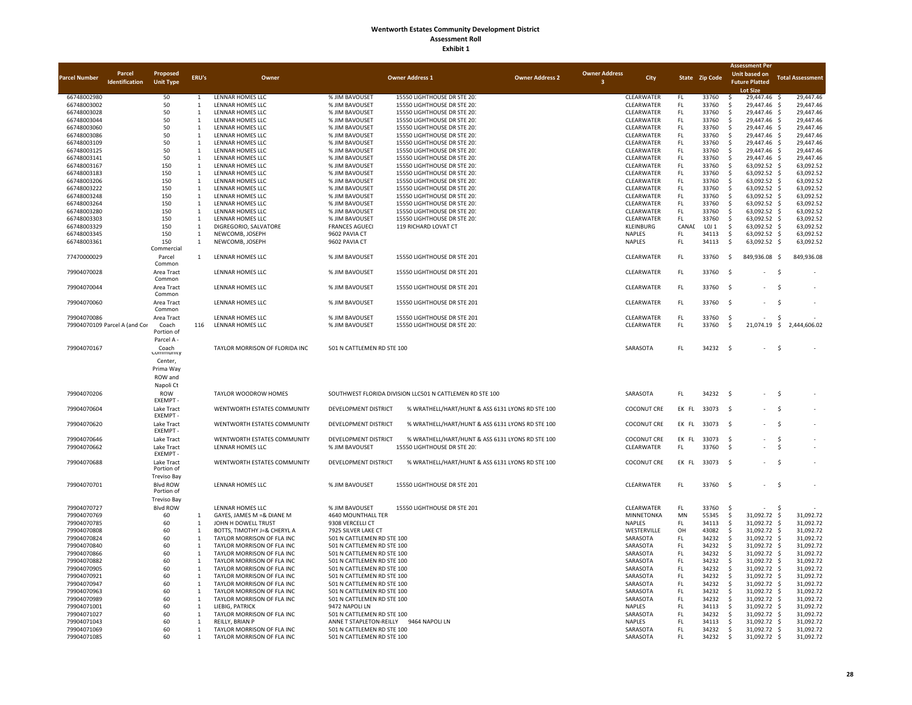|                                |                               |                                  |                                                          |                                                          |                                                            |                        |                      |                          |            |                | <b>Assessment Per</b>                                        |                                               |
|--------------------------------|-------------------------------|----------------------------------|----------------------------------------------------------|----------------------------------------------------------|------------------------------------------------------------|------------------------|----------------------|--------------------------|------------|----------------|--------------------------------------------------------------|-----------------------------------------------|
| Parcel<br><b>Parcel Number</b> | Proposed                      | ERU's                            | Owner                                                    |                                                          | <b>Owner Address 1</b>                                     | <b>Owner Address 2</b> | <b>Owner Address</b> | City                     |            | State Zip Code | Unit based on                                                | <b>Total Assessment</b>                       |
| <b>Identification</b>          | <b>Unit Type</b>              |                                  |                                                          |                                                          |                                                            |                        |                      |                          |            |                | <b>Future Platted</b>                                        |                                               |
| 66748002980                    | 50                            | $\mathbf{1}$                     | LENNAR HOMES LLC                                         | % JIM BAVOUSET                                           | 15550 LIGHTHOUSE DR STE 201                                |                        |                      | CLEARWATER               | FL.        | 33760          | <b>Lot Size</b><br>\$<br>29,447.46 \$                        | 29,447.46                                     |
| 66748003002                    | 50                            | 1                                | LENNAR HOMES LLC                                         | % JIM BAVOUSET                                           | 15550 LIGHTHOUSE DR STE 201                                |                        |                      | CLEARWATER               | <b>FL</b>  | 33760          | 29,447.46<br>-Ś                                              | $\ddot{\mathsf{s}}$<br>29,447.46              |
| 66748003028                    | 50                            | $\mathbf{1}$                     | LENNAR HOMES LLC                                         | % JIM BAVOUSET                                           | 15550 LIGHTHOUSE DR STE 201                                |                        |                      | CLEARWATER               | FL.        | 33760          | 29,447.46<br>Ś                                               | $\ddot{\mathsf{s}}$<br>29,447.46              |
| 66748003044                    | 50                            | $\overline{1}$                   | LENNAR HOMES LLC                                         | % JIM BAVOUSET                                           | 15550 LIGHTHOUSE DR STE 201                                |                        |                      | CLEARWATER               | FL.        | 33760          | 29,447.46<br>\$.                                             | $\ddot{\mathsf{s}}$<br>29,447.46              |
| 66748003060                    | 50                            | $\mathbf{1}$                     | LENNAR HOMES LLC                                         | % JIM BAVOUSET                                           | 15550 LIGHTHOUSE DR STE 201                                |                        |                      | CLEARWATER               | FL.        | 33760          | Ś<br>29,447.46                                               | \$<br>29,447.46                               |
| 66748003086                    | 50                            | $\mathbf{1}$                     | LENNAR HOMES LLC                                         | % JIM BAVOUSET                                           | 15550 LIGHTHOUSE DR STE 201                                |                        |                      | CLEARWATER               | FL.        | 33760          | 29,447.46<br>Ŝ                                               | -\$<br>29,447.46                              |
| 66748003109                    | 50                            | 1                                | LENNAR HOMES LLC                                         | % JIM BAVOUSET                                           | 15550 LIGHTHOUSE DR STE 201                                |                        |                      | CLEARWATER               | FL.        | 33760          | 29,447.46<br>Ŝ                                               | -\$<br>29,447.46                              |
| 66748003125                    | 50                            | 1                                | LENNAR HOMES LLC                                         | % JIM BAVOUSET                                           | 15550 LIGHTHOUSE DR STE 201                                |                        |                      | CLEARWATER               | FL.        | 33760          | 29,447.46<br>Ŝ                                               | -\$<br>29,447.46                              |
| 66748003141<br>66748003167     | 50<br>150                     | 1<br>1                           | LENNAR HOMES LLC<br>LENNAR HOMES LLC                     | % JIM BAVOUSET<br>% JIM BAVOUSET                         | 15550 LIGHTHOUSE DR STE 201<br>15550 LIGHTHOUSE DR STE 201 |                        |                      | CLEARWATER<br>CLEARWATER | FL.<br>FL. | 33760<br>33760 | 29,447.46<br>.S<br>63,092.52<br>-Ś                           | -\$<br>29,447.46<br>-\$<br>63,092.52          |
| 66748003183                    | 150                           | 1                                | LENNAR HOMES LLC                                         | % JIM BAVOUSET                                           | 15550 LIGHTHOUSE DR STE 201                                |                        |                      | CLEARWATER               | FL.        | 33760          | 63,092.52<br>-Ś                                              | -\$<br>63,092.52                              |
| 66748003206                    | 150                           | 1                                | LENNAR HOMES LLC                                         | % JIM BAVOUSET                                           | 15550 LIGHTHOUSE DR STE 201                                |                        |                      | CLEARWATER               | FL.        | 33760          | \$<br>63,092.52                                              | $\ddot{\mathsf{s}}$<br>63,092.52              |
| 66748003222                    | 150                           | <sup>1</sup>                     | LENNAR HOMES LLC                                         | % JIM BAVOUSET                                           | 15550 LIGHTHOUSE DR STE 201                                |                        |                      | CLEARWATER               | FL.        | 33760          | \$<br>63,092.52                                              | $\mathsf{S}$<br>63,092.52                     |
| 66748003248                    | 150                           | $\overline{1}$                   | LENNAR HOMES LLC                                         | % JIM BAVOUSET                                           | 15550 LIGHTHOUSE DR STE 201                                |                        |                      | CLEARWATER               | FL.        | 33760          | $\mathsf{S}$<br>63,092.52                                    | $\mathsf{S}$<br>63,092.52                     |
| 66748003264                    | 150                           | 1                                | LENNAR HOMES LLC                                         | % JIM BAVOUSET                                           | 15550 LIGHTHOUSE DR STE 201                                |                        |                      | CLEARWATER               | FL.        | 33760          | 63,092.52<br>$\ddot{\varsigma}$                              | -\$<br>63,092.52                              |
| 66748003280                    | 150                           | <sup>1</sup>                     | LENNAR HOMES LLC                                         | % JIM BAVOUSET                                           | 15550 LIGHTHOUSE DR STE 201                                |                        |                      | CLEARWATER               | FL.        | 33760          | 63,092.52 \$<br>\$                                           | 63,092.52                                     |
| 66748003303                    | 150                           | $\mathbf{1}$                     | LENNAR HOMES LLC                                         | % JIM BAVOUSET                                           | 15550 LIGHTHOUSE DR STE 201                                |                        |                      | CLEARWATER               | FL.        | 33760          | - \$<br>63,092.52 \$                                         | 63,092.52                                     |
| 66748003329                    | 150                           | <sup>1</sup>                     | DIGREGORIO, SALVATORE                                    | <b>FRANCES AGUECI</b>                                    | 119 RICHARD LOVAT CT                                       |                        |                      | KLEINBURG                | CANAD      | LOJ 1          | -\$<br>63,092.52 \$                                          | 63,092.52                                     |
| 66748003345                    | 150                           | $\mathbf{1}$                     | NEWCOMB, JOSEPH                                          | 9602 PAVIA CT                                            |                                                            |                        |                      | NAPLES                   | FL.        | 34113          | - \$<br>63,092.52 \$                                         | 63,092.52                                     |
| 66748003361                    | 150<br>Commercial             | $\mathbf{1}$                     | NEWCOMB, JOSEPH                                          | 9602 PAVIA CT                                            |                                                            |                        |                      | NAPLES                   | FL.        | 34113          | 63,092.52 \$<br>- \$                                         | 63,092.52                                     |
| 77470000029                    | Parcel<br>Common              | 1                                | LENNAR HOMES LLC                                         | % JIM BAVOUSET                                           | 15550 LIGHTHOUSE DR STE 201                                |                        |                      | CLEARWATER               | ${\sf FL}$ | 33760          | 849,936.08 \$<br>$\ddot{\varsigma}$                          | 849,936.08                                    |
| 79904070028                    | Area Tract<br>Common          |                                  | LENNAR HOMES LLC                                         | % JIM BAVOUSET                                           | 15550 LIGHTHOUSE DR STE 201                                |                        |                      | CLEARWATER               | FL.        | 33760          | $\ddot{\mathsf{S}}$<br>$\sim$                                | - \$                                          |
| 79904070044                    | Area Tract<br>Common          |                                  | LENNAR HOMES LLC                                         | % JIM BAVOUSET                                           | 15550 LIGHTHOUSE DR STE 201                                |                        |                      | CLEARWATER               | FL.        | 33760          | - \$                                                         | - \$                                          |
| 79904070060                    | Area Tract<br>Common          |                                  | LENNAR HOMES LLC                                         | % JIM BAVOUSET                                           | 15550 LIGHTHOUSE DR STE 201                                |                        |                      | CLEARWATER               | FL.        | 33760          | - \$                                                         | -\$                                           |
| 79904070086                    | Area Tract                    |                                  | LENNAR HOMES LLC                                         | % JIM BAVOUSET                                           | 15550 LIGHTHOUSE DR STE 201                                |                        |                      | CLEARWATER               | FL.        | 33760          | -Ś                                                           | -Ś                                            |
| 79904070109 Parcel A (and Cor  | Coach<br>Portion of           | 116                              | LENNAR HOMES LLC                                         | % JIM BAVOUSET                                           | 15550 LIGHTHOUSE DR STE 201                                |                        |                      | CLEARWATER               | FL.        | 33760          | 21,074.19<br>-Ś                                              | \$<br>2,444,606.02                            |
|                                | Parcel A -                    |                                  |                                                          |                                                          |                                                            |                        |                      |                          |            |                |                                                              |                                               |
| 79904070167                    |                               |                                  | TAYLOR MORRISON OF FLORIDA INC                           | 501 N CATTLEMEN RD STE 100                               |                                                            |                        |                      | SARASOTA                 | FL.        | 34232          | $\ddot{\mathsf{s}}$                                          | \$                                            |
|                                | Coach<br>community            |                                  |                                                          |                                                          |                                                            |                        |                      |                          |            |                |                                                              |                                               |
|                                | Center,                       |                                  |                                                          |                                                          |                                                            |                        |                      |                          |            |                |                                                              |                                               |
|                                | Prima Way                     |                                  |                                                          |                                                          |                                                            |                        |                      |                          |            |                |                                                              |                                               |
|                                | ROW and                       |                                  |                                                          |                                                          |                                                            |                        |                      |                          |            |                |                                                              |                                               |
|                                | Napoli Ct                     |                                  |                                                          |                                                          |                                                            |                        |                      |                          |            |                |                                                              |                                               |
| 79904070206                    | ROW                           |                                  | TAYLOR WOODROW HOMES                                     |                                                          | SOUTHWEST FLORIDA DIVISION LLC501 N CATTLEMEN RD STE 100   |                        |                      | SARASOTA                 | FL.        | 34232          | $\sim$                                                       | -\$                                           |
|                                | EXEMPT -                      |                                  |                                                          |                                                          |                                                            |                        |                      |                          |            |                |                                                              |                                               |
| 79904070604                    | Lake Tract<br>EXEMPT -        |                                  | WENTWORTH ESTATES COMMUNITY                              | DEVELOPMENT DISTRICT                                     | % WRATHELL/HART/HUNT & ASS 6131 LYONS RD STE 100           |                        |                      | <b>COCONUT CRE</b>       | EK FL      | 33073          | $\sim$                                                       | $\sim$                                        |
| 79904070620                    | Lake Tract                    |                                  | WENTWORTH ESTATES COMMUNITY                              | DEVELOPMENT DISTRICT                                     | % WRATHELL/HART/HUNT & ASS 6131 LYONS RD STE 100           |                        |                      | <b>COCONUT CRE</b>       | EK FL      | 33073          | - \$                                                         | \$                                            |
|                                | EXEMPT -                      |                                  |                                                          |                                                          |                                                            |                        |                      |                          |            |                |                                                              |                                               |
| 79904070646                    | Lake Tract                    |                                  | WENTWORTH ESTATES COMMUNITY                              | DEVELOPMENT DISTRICT                                     | % WRATHELL/HART/HUNT & ASS 6131 LYONS RD STE 100           |                        |                      | <b>COCONUT CRE</b>       | EK FL      | 33073          | - \$                                                         | -\$                                           |
| 79904070662                    | Lake Tract                    |                                  | LENNAR HOMES LLC                                         | % JIM BAVOUSET                                           | 15550 LIGHTHOUSE DR STE 201                                |                        |                      | CLEARWATER               | FL.        | 33760          | - \$                                                         | -Ś                                            |
|                                | EXEMPT -                      |                                  |                                                          |                                                          |                                                            |                        |                      |                          |            |                |                                                              |                                               |
| 79904070688                    | <b>Lake Tract</b>             |                                  | WENTWORTH ESTATES COMMUNITY                              | DEVELOPMENT DISTRICT                                     | % WRATHELL/HART/HUNT & ASS 6131 LYONS RD STE 100           |                        |                      | <b>COCONUT CRE</b>       |            | EK FL 33073 \$ |                                                              | - \$                                          |
|                                | Portion of                    |                                  |                                                          |                                                          |                                                            |                        |                      |                          |            |                |                                                              |                                               |
|                                | <b>Treviso Bay</b>            |                                  |                                                          |                                                          |                                                            |                        |                      |                          |            |                |                                                              |                                               |
| 79904070701                    | <b>Blvd ROW</b><br>Portion of |                                  | LENNAR HOMES LLC                                         | % JIM BAVOUSET                                           | 15550 LIGHTHOUSE DR STE 201                                |                        |                      | CLEARWATER               | FL.        | 33760          | $-5$<br>- \$                                                 |                                               |
|                                | <b>Treviso Bay</b>            |                                  |                                                          |                                                          |                                                            |                        |                      |                          |            |                |                                                              |                                               |
| 79904070727                    | <b>Blvd ROW</b>               |                                  | LENNAR HOMES LLC                                         | % JIM BAVOUSET                                           | 15550 LIGHTHOUSE DR STE 201                                |                        |                      | CLEARWATER               | FL.        | 33760          | -Ś                                                           | -\$                                           |
| 79904070769                    | 60                            | $\mathbf{1}$                     | GAYES, JAMES M = & DIANE M                               | 4640 MOUNTHALL TER                                       |                                                            |                        |                      | MINNETONKA               | MN         | 55345          | 31,092.72<br>Š.                                              | <sub>S</sub><br>31,092.72                     |
| 79904070785                    | 60                            | $\overline{1}$                   | JOHN H DOWELL TRUST                                      | 9308 VERCELLI CT                                         |                                                            |                        |                      | <b>NAPLES</b>            | FL.        | 34113          | \$.<br>31,092.72                                             | -\$<br>31,092.72                              |
| 79904070808                    | 60                            | $\mathbf{1}$                     | BOTTS. TIMOTHY J=& CHERYL A                              | 7925 SILVER LAKE CT                                      |                                                            |                        |                      | WESTERVILLE              | OH         | 43082          | 31,092.72<br>Ŝ                                               | 31,092.72<br>-S                               |
| 79904070824                    | 60                            | $\mathbf{1}$                     | TAYLOR MORRISON OF FLA INC                               | 501 N CATTLEMEN RD STE 100                               |                                                            |                        |                      | SARASOTA                 | FL.        | 34232          | 31,092.72<br>Ŝ                                               | -\$<br>31,092.72                              |
| 79904070840                    | 60                            | 1                                | TAYLOR MORRISON OF FLA INC                               | 501 N CATTLEMEN RD STE 100                               |                                                            |                        |                      | SARASOTA                 | FL.        | 34232          | -Ś<br>31,092.72                                              | -\$<br>31,092.72                              |
| 79904070866                    | 60                            | $\mathbf{1}$                     | TAYLOR MORRISON OF FLA INC                               | 501 N CATTLEMEN RD STE 100                               |                                                            |                        |                      | SARASOTA                 | FL.        | 34232          | Ŝ<br>31,092.72                                               | -\$<br>31,092.72                              |
| 79904070882                    | 60                            | $\mathbf{1}$                     | TAYLOR MORRISON OF FLA INC                               | 501 N CATTLEMEN RD STE 100                               |                                                            |                        |                      | SARASOTA                 | FL.        | 34232          | Ś<br>31,092.72                                               | -Ś<br>31,092.72                               |
| 79904070905                    | 60                            | $\overline{1}$                   | TAYLOR MORRISON OF FLA INC                               | 501 N CATTLEMEN RD STE 100                               |                                                            |                        |                      | SARASOTA                 | FL.        | 34232          | $\mathsf{\hat{S}}$<br>31,092.72                              | \$<br>31,092.72                               |
| 79904070921                    | 60<br>60                      | $\overline{1}$<br>$\overline{1}$ | TAYLOR MORRISON OF FLA INC<br>TAYLOR MORRISON OF FLA INC | 501 N CATTLEMEN RD STE 100<br>501 N CATTLEMEN RD STE 100 |                                                            |                        |                      | SARASOTA<br>SARASOTA     | FL.<br>FL. | 34232<br>34232 | 31,092.72<br>$\mathsf{\hat{S}}$<br>31,092.72<br>$\mathsf{S}$ | <sub>S</sub><br>31,092.72<br>-\$<br>31,092.72 |
| 79904070947<br>79904070963     | 60                            | $\overline{1}$                   | TAYLOR MORRISON OF FLA INC                               | 501 N CATTLEMEN RD STE 100                               |                                                            |                        |                      | SARASOTA                 | FL.        | 34232          | 31,092.72<br>$\mathsf{S}$                                    | - \$<br>31,092.72                             |
| 79904070989                    | 60                            | $\overline{1}$                   | TAYLOR MORRISON OF FLA INC                               | 501 N CATTLEMEN RD STE 100                               |                                                            |                        |                      | SARASOTA                 | FL.        | 34232          | 31,092.72<br>$\mathsf{S}$                                    | $\dot{\mathbf{S}}$<br>31,092.72               |
| 79904071001                    | 60                            | <sup>1</sup>                     | LIEBIG, PATRICK                                          | 9472 NAPOLI LN                                           |                                                            |                        |                      | NAPLES                   | FL.        | 34113          | \$<br>31,092.72                                              | -\$<br>31,092.72                              |
| 79904071027                    | 60                            | $\mathbf{1}$                     | TAYLOR MORRISON OF FLA INC                               | 501 N CATTLEMEN RD STE 100                               |                                                            |                        |                      | SARASOTA                 | FL.        | 34232          | -\$<br>31,092.72 \$                                          | 31,092.72                                     |
| 79904071043                    | 60                            | 1                                | REILLY, BRIAN P                                          | ANNE T STAPLETON-REILLY 9464 NAPOLI LN                   |                                                            |                        |                      | NAPLES                   | FL.        | 34113          | 31,092.72 \$<br>\$                                           | 31,092.72                                     |
| 79904071069                    | 60                            | $\mathbf{1}$                     | TAYLOR MORRISON OF FLA INC                               | 501 N CATTLEMEN RD STE 100                               |                                                            |                        |                      | SARASOTA                 | FL.        | 34232          | 31,092.72 \$<br>- \$                                         | 31,092.72                                     |
| 79904071085                    | 60                            | $\mathbf{1}$                     | TAYLOR MORRISON OF FLA INC                               | 501 N CATTLEMEN RD STE 100                               |                                                            |                        |                      | SARASOTA                 | FL.        | 34232          | 31,092.72 \$<br><b>S</b>                                     | 31,092.72                                     |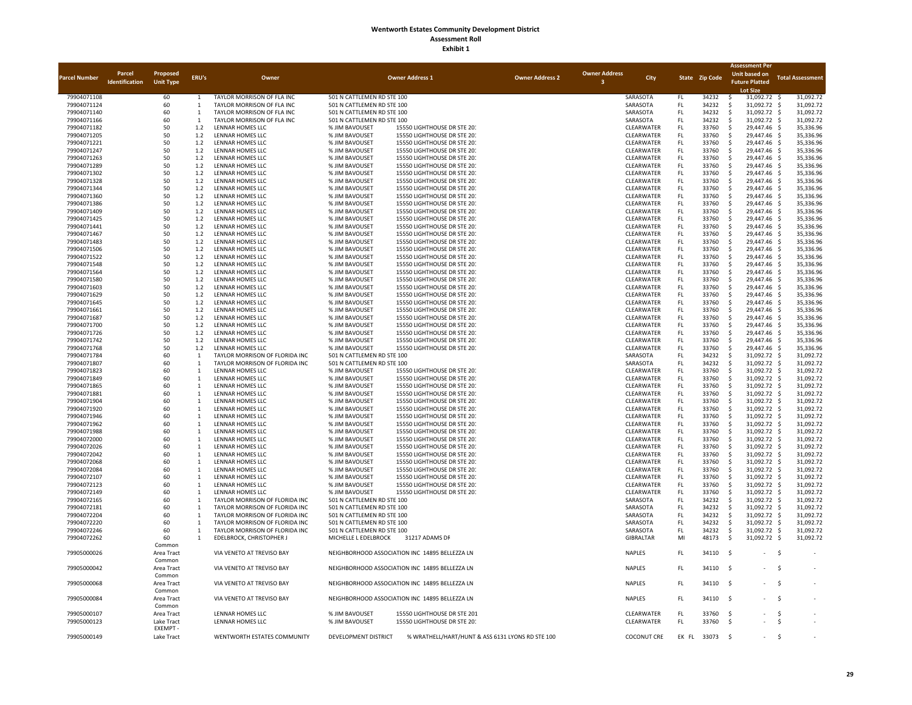|                            |                       |                      |                              |                                                          |                                                                                                |                        |                              |                        |                | <b>Assessment Per</b>                    |                                  |
|----------------------------|-----------------------|----------------------|------------------------------|----------------------------------------------------------|------------------------------------------------------------------------------------------------|------------------------|------------------------------|------------------------|----------------|------------------------------------------|----------------------------------|
| <b>Parcel Number</b>       | Parcel                | Proposed             | <b>ERU's</b>                 | Owner                                                    | <b>Owner Address 1</b>                                                                         | <b>Owner Address 2</b> | <b>Owner Address</b><br>City |                        | State Zip Code | Unit based on                            | <b>Total Assessment</b>          |
|                            | <b>Identification</b> | <b>Unit Type</b>     |                              |                                                          |                                                                                                |                        | $\overline{\mathbf{a}}$      |                        |                | <b>Future Platted</b>                    |                                  |
|                            |                       |                      |                              |                                                          |                                                                                                |                        |                              |                        |                | <b>Lot Size</b>                          |                                  |
| 79904071108<br>79904071124 |                       | 60<br>60             | $\mathbf{1}$<br>$\mathbf{1}$ | TAYLOR MORRISON OF FLA INC<br>TAYLOR MORRISON OF FLA INC | 501 N CATTLEMEN RD STE 100<br>501 N CATTLEMEN RD STE 100                                       |                        | SARASOTA<br>SARASOTA         | FL.<br><b>FL</b>       | 34232<br>34232 | 31,092.72 \$<br>\$<br>Ŝ.<br>31,092.72 \$ | 31,092.72<br>31,092.72           |
| 79904071140                |                       | 60                   | $\mathbf{1}$                 | TAYLOR MORRISON OF FLA INC                               | 501 N CATTLEMEN RD STE 100                                                                     |                        | SARASOTA                     | <b>FL</b>              | 34232          | 31,092.72<br>.\$                         | -\$<br>31,092.72                 |
| 79904071166                |                       | 60                   | $\mathbf{1}$                 | TAYLOR MORRISON OF FLA INC                               | 501 N CATTLEMEN RD STE 100                                                                     |                        | SARASOTA                     | <b>FL</b>              | 34232          | 31,092.72<br>.s                          | -\$<br>31,092.72                 |
| 79904071182                |                       | 50                   | 1.2                          | LENNAR HOMES LLC                                         | % JIM BAVOUSET<br>15550 LIGHTHOUSE DR STE 201                                                  |                        | CLEARWATER                   | <b>FL</b>              | 33760          | 29,447.46<br>.s                          | 35,336.96<br>-S                  |
| 79904071205                |                       | 50                   | 1.2                          | LENNAR HOMES LLC                                         | % JIM BAVOUSET<br>15550 LIGHTHOUSE DR STE 201                                                  |                        | CLEARWATER                   | <b>FL</b>              | 33760          | 29,447.46<br>.S                          | -\$<br>35,336.96                 |
| 79904071221                |                       | 50                   | 1.2                          | LENNAR HOMES LLC                                         | % JIM BAVOUSET<br>15550 LIGHTHOUSE DR STE 201                                                  |                        | CLEARWATER                   | <b>FL</b>              | 33760          | .s<br>29,447.46                          | -\$<br>35,336.96                 |
| 79904071247                |                       | 50                   | 1.2                          | LENNAR HOMES LLC                                         | % JIM BAVOUSET<br>15550 LIGHTHOUSE DR STE 201                                                  |                        | CLEARWATER                   | <b>FL</b>              | 33760          | .s<br>29,447.46                          | -\$<br>35,336.96                 |
| 79904071263                |                       | 50                   | 1.2                          | LENNAR HOMES LLC                                         | % JIM BAVOUSET<br>15550 LIGHTHOUSE DR STE 201                                                  |                        | CLEARWATER                   | <b>FL</b>              | 33760          | .s<br>29,447.46                          | -S<br>35,336.96                  |
| 79904071289                |                       | 50                   | 1.2                          | LENNAR HOMES LLC                                         | % JIM BAVOUSET<br>15550 LIGHTHOUSE DR STE 201                                                  |                        | CLEARWATER                   | FL.                    | 33760          | 29,447.46<br>S.                          | -Ś<br>35,336.96                  |
| 79904071302                |                       | 50                   | 1.2                          | LENNAR HOMES LLC                                         | % JIM BAVOUSET<br>15550 LIGHTHOUSE DR STE 201                                                  |                        | CLEARWATER                   | FL.                    | 33760          | 29,447.46<br>S.                          | -Ś<br>35,336.96                  |
| 79904071328                |                       | 50                   | 1.2                          | LENNAR HOMES LLC                                         | % JIM BAVOUSET<br>15550 LIGHTHOUSE DR STE 201                                                  |                        | CLEARWATER                   | FL.                    | 33760          | 29,447.46<br>$\mathsf{S}$                | 35,336.96<br>$\dot{\mathbf{S}}$  |
| 79904071344                |                       | 50                   | 1.2                          | LENNAR HOMES LLC                                         | % JIM BAVOUSET<br>15550 LIGHTHOUSE DR STE 201                                                  |                        | CLEARWATER                   | FL.                    | 33760          | 29,447.46<br>$\mathsf{S}$                | 35,336.96<br>- \$                |
| 79904071360                |                       | 50                   | 1.2                          | LENNAR HOMES LLC                                         | % JIM BAVOUSET<br>15550 LIGHTHOUSE DR STE 201                                                  |                        | CLEARWATER                   | FL.                    | 33760          | 29,447.46<br>$\mathsf{S}$                | 35,336.96<br>$\dot{\mathbf{S}}$  |
| 79904071386                |                       | 50                   | $1.2$                        | LENNAR HOMES LLC                                         | % JIM BAVOUSET<br>15550 LIGHTHOUSE DR STE 201                                                  |                        | CLEARWATER                   | FL                     | 33760          | 29,447.46<br>\$                          | \$<br>35,336.96                  |
| 79904071409                |                       | 50                   | 1.2                          | LENNAR HOMES LLC                                         | % JIM BAVOUSET<br>15550 LIGHTHOUSE DR STE 201                                                  |                        | CLEARWATER                   | <b>FL</b>              | 33760          | 29,447.46<br>\$                          | -\$<br>35,336.96                 |
| 79904071425                |                       | 50                   | 1.2                          | LENNAR HOMES LLC                                         | % JIM BAVOUSET<br>15550 LIGHTHOUSE DR STE 201                                                  |                        | CLEARWATER                   | <b>FL</b>              | 33760          | \$<br>29,447.46                          | -\$<br>35,336.96                 |
| 79904071441                |                       | 50                   | 1.2                          | LENNAR HOMES LLC                                         | % JIM BAVOUSET<br>15550 LIGHTHOUSE DR STE 201                                                  |                        | CLEARWATER                   | <b>FL</b>              | 33760          | \$<br>29,447.46                          | -\$<br>35,336.96                 |
| 79904071467                |                       | 50                   | 1.2                          | LENNAR HOMES LLC                                         | % JIM BAVOUSET<br>15550 LIGHTHOUSE DR STE 201                                                  |                        | CLEARWATER                   | <b>FL</b><br><b>FL</b> | 33760          | \$<br>29,447.46                          | -\$<br>35,336.96<br>-S           |
| 79904071483                |                       | 50                   | 1.2<br>1.2                   | LENNAR HOMES LLC<br>LENNAR HOMES LLC                     | % JIM BAVOUSET<br>15550 LIGHTHOUSE DR STE 201<br>% JIM BAVOUSET<br>15550 LIGHTHOUSE DR STE 201 |                        | CLEARWATER<br>CLEARWATER     | <b>FL</b>              | 33760<br>33760 | 29,447.46<br>-\$<br>29,447.46            | 35,336.96<br>35,336.96<br>-S     |
| 79904071506<br>79904071522 |                       | 50<br>50             | 1.2                          | LENNAR HOMES LLC                                         | % JIM BAVOUSET<br>15550 LIGHTHOUSE DR STE 201                                                  |                        | CLEARWATER                   | FL.                    | 33760          | -\$<br>29,447.46<br>-Ś                   | 35,336.96<br>-S                  |
| 79904071548                |                       | 50                   | 1.2                          | LENNAR HOMES LLC                                         | % JIM BAVOUSET<br>15550 LIGHTHOUSE DR STE 201                                                  |                        | CLEARWATER                   | FL.                    | 33760          | \$<br>29,447.46                          | $\dot{\mathbf{S}}$<br>35,336.96  |
| 79904071564                |                       | 50                   | 1.2                          | LENNAR HOMES LLC                                         | % JIM BAVOUSET<br>15550 LIGHTHOUSE DR STE 201                                                  |                        | CLEARWATER                   | FL.                    | 33760          | 29,447.46<br>-Ś                          | $\dot{\mathbf{S}}$<br>35,336.96  |
| 79904071580                |                       | 50                   | 1.2                          | LENNAR HOMES LLC                                         | % JIM BAVOUSET<br>15550 LIGHTHOUSE DR STE 201                                                  |                        | CLEARWATER                   | <b>FL</b>              | 33760          | \$<br>29,447.46                          | -\$<br>35,336.96                 |
| 79904071603                |                       | 50                   | 1.2                          | LENNAR HOMES LLC                                         | % JIM BAVOUSET<br>15550 LIGHTHOUSE DR STE 201                                                  |                        | CLEARWATER                   | FL.                    | 33760          | $\mathsf{\hat{S}}$<br>29,447.46          | $\ddot{\mathsf{s}}$<br>35,336.96 |
| 79904071629                |                       | 50                   | 1.2                          | LENNAR HOMES LLC                                         | % JIM BAVOUSET<br>15550 LIGHTHOUSE DR STE 201                                                  |                        | CLEARWATER                   | <b>FL</b>              | 33760          | 29,447.46<br>Ŝ.                          | -Ś<br>35.336.96                  |
| 79904071645                |                       | 50                   | 1.2                          | <b>LENNAR HOMES LLC</b>                                  | % JIM BAVOUSET<br>15550 LIGHTHOUSE DR STE 201                                                  |                        | CLEARWATER                   | <b>FL</b>              | 33760          | 29,447.46<br>Ŝ.                          | 35,336.96<br>-Ś                  |
| 79904071661                |                       | 50                   | $1.2\,$                      | <b>LENNAR HOMES LLC</b>                                  | % JIM BAVOUSET<br>15550 LIGHTHOUSE DR STE 201                                                  |                        | CLEARWATER                   | <b>FL</b>              | 33760          | 29,447.46<br>Ŝ.                          | 35,336.96<br>-Ś                  |
| 79904071687                |                       | 50                   | 1.2                          | LENNAR HOMES LLC                                         | % JIM BAVOUSET<br>15550 LIGHTHOUSE DR STE 201                                                  |                        | CLEARWATER                   | FL                     | 33760          | 29,447.46<br>.\$                         | \$<br>35,336.96                  |
| 79904071700                |                       | 50                   | 1.2                          | LENNAR HOMES LLC                                         | % JIM BAVOUSET<br>15550 LIGHTHOUSE DR STE 201                                                  |                        | CLEARWATER                   | FL                     | 33760          | $\mathsf{s}$<br>29,447.46                | \$<br>35,336.96                  |
| 79904071726                |                       | 50                   | 1.2                          | LENNAR HOMES LLC                                         | % JIM BAVOUSET<br>15550 LIGHTHOUSE DR STE 201                                                  |                        | CLEARWATER                   | FL                     | 33760          | 29,447.46<br>.\$                         | \$<br>35.336.96                  |
| 79904071742                |                       | 50                   | 1.2                          | LENNAR HOMES LLC                                         | % JIM BAVOUSET<br>15550 LIGHTHOUSE DR STE 201                                                  |                        | CLEARWATER                   | FL                     | 33760          | 29,447.46<br><sup>\$</sup>               | -\$<br>35,336.96                 |
| 79904071768                |                       | 50                   | 1.2                          | LENNAR HOMES LLC                                         | % JIM BAVOUSET<br>15550 LIGHTHOUSE DR STE 201                                                  |                        | CLEARWATER                   | FL                     | 33760          | 29,447.46<br>S.                          | $\dot{\mathbf{S}}$<br>35,336.96  |
| 79904071784                |                       | 60                   | $\overline{1}$               | TAYLOR MORRISON OF FLORIDA INC                           | 501 N CATTLEMEN RD STE 100                                                                     |                        | SARASOTA                     | FL.                    | 34232          | $\mathsf{S}$<br>31,092.72 \$             | 31,092.72                        |
| 79904071807                |                       | 60                   | $\mathbf{1}$                 | TAYLOR MORRISON OF FLORIDA INC.                          | 501 N CATTLEMEN RD STE 100                                                                     |                        | SARASOTA                     | FL.                    | 34232          | 31.092.72 \$<br>$\mathsf{S}$             | 31.092.72                        |
| 79904071823                |                       | 60                   | $\mathbf{1}$                 | LENNAR HOMES LLC                                         | % JIM BAVOUSET<br>15550 LIGHTHOUSE DR STE 201                                                  |                        | CLEARWATER                   | <b>FL</b>              | 33760          | Ŝ.<br>31,092.72 \$                       | 31,092.72                        |
| 79904071849                |                       | 60                   | $\mathbf{1}$                 | LENNAR HOMES LLC                                         | % JIM BAVOUSET<br>15550 LIGHTHOUSE DR STE 201                                                  |                        | CLEARWATER                   | <b>FL</b>              | 33760          | \$<br>31,092.72 \$                       | 31,092.72                        |
| 79904071865                |                       | 60                   | $\mathbf{1}$                 | LENNAR HOMES LLC                                         | % JIM BAVOUSET<br>15550 LIGHTHOUSE DR STE 201                                                  |                        | CLEARWATER                   | <b>FL</b>              | 33760          | \$<br>31,092.72 \$                       | 31,092.72                        |
| 79904071881                |                       | 60                   | $\mathbf{1}$                 | LENNAR HOMES LLC                                         | % JIM BAVOUSET<br>15550 LIGHTHOUSE DR STE 201                                                  |                        | CLEARWATER                   | <b>FL</b>              | 33760          | 31,092.72 \$<br>-Ś                       | 31,092.72                        |
| 79904071904                |                       | 60                   | $\mathbf{1}$<br>$\mathbf{1}$ | LENNAR HOMES LLC                                         | % JIM BAVOUSET<br>15550 LIGHTHOUSE DR STE 201                                                  |                        | CLEARWATER                   | <b>FL</b><br><b>FL</b> | 33760          | 31,092.72 \$<br>-Ś                       | 31,092.72                        |
| 79904071920                |                       | 60                   | 1                            | LENNAR HOMES LLC                                         | % JIM BAVOUSET<br>15550 LIGHTHOUSE DR STE 201                                                  |                        | CLEARWATER                   | <b>FL</b>              | 33760          | \$<br>31,092.72 \$                       | 31,092.72<br>31.092.72           |
| 79904071946<br>79904071962 |                       | 60<br>60             | 1                            | LENNAR HOMES LLC<br>LENNAR HOMES LLC                     | % JIM BAVOUSET<br>15550 LIGHTHOUSE DR STE 201<br>% JIM BAVOUSET<br>15550 LIGHTHOUSE DR STE 201 |                        | CLEARWATER<br>CLEARWATER     | <b>FL</b>              | 33760<br>33760 | \$<br>31,092.72 \$<br>31,092.72 \$<br>\$ | 31,092.72                        |
| 79904071988                |                       | 60                   | $\mathbf 1$                  | LENNAR HOMES LLC                                         | % JIM BAVOUSET<br>15550 LIGHTHOUSE DR STE 201                                                  |                        | CLEARWATER                   | FL.                    | 33760          | 31,092.72 \$<br>-S                       | 31,092.72                        |
| 79904072000                |                       | 60                   | $\mathbf{1}$                 | LENNAR HOMES LLC                                         | % JIM BAVOUSET<br>15550 LIGHTHOUSE DR STE 201                                                  |                        | CLEARWATER                   | FL.                    | 33760          | 31,092.72 \$<br>Ŝ.                       | 31,092.72                        |
| 79904072026                |                       | 60                   | $\mathbf{1}$                 | LENNAR HOMES LLC                                         | 15550 LIGHTHOUSE DR STE 201<br>% JIM BAVOUSET                                                  |                        | CLEARWATER                   | FL.                    | 33760          | 31,092.72<br><sup>\$</sup>               | 31,092.72<br>- \$                |
| 79904072042                |                       | 60                   | $\mathbf{1}$                 | LENNAR HOMES LLC                                         | 15550 LIGHTHOUSE DR STE 201<br>% JIM BAVOUSET                                                  |                        | CLEARWATER                   | FL.                    | 33760          | 31,092.72 \$<br><sup>\$</sup>            | 31,092.72                        |
| 79904072068                |                       | 60                   | $\mathbf{1}$                 | LENNAR HOMES LLC                                         | % JIM BAVOUSET<br>15550 LIGHTHOUSE DR STE 201                                                  |                        | CLEARWATER                   | FL.                    | 33760          | 31,092.72<br><sup>\$</sup>               | $\ddot{\mathsf{s}}$<br>31,092.72 |
| 79904072084                |                       | 60                   | $\mathbf{1}$                 | LENNAR HOMES LLC                                         | % JIM BAVOUSET<br>15550 LIGHTHOUSE DR STE 201                                                  |                        | CLEARWATER                   | FL                     | 33760          | $\mathsf{s}$<br>31,092.72                | \$<br>31,092.72                  |
| 79904072107                |                       | 60                   | $\mathbf{1}$                 | LENNAR HOMES LLC                                         | % JIM BAVOUSET<br>15550 LIGHTHOUSE DR STE 201                                                  |                        | CLEARWATER                   | FL                     | 33760          | 31,092.72                                | $\dot{\mathbf{S}}$<br>31,092.72  |
| 79904072123                |                       | 60                   | $\mathbf{1}$                 | LENNAR HOMES LLC                                         | % JIM BAVOUSET<br>15550 LIGHTHOUSE DR STE 201                                                  |                        | CLEARWATER                   | <b>FL</b>              | 33760          | 31,092.72<br>.S                          | -\$<br>31,092.72                 |
| 79904072149                |                       | 60                   | $\mathbf{1}$                 | LENNAR HOMES LLC                                         | % JIM BAVOUSET<br>15550 LIGHTHOUSE DR STE 201                                                  |                        | CLEARWATER                   | <b>FL</b>              | 33760          | 31,092.72<br>.\$                         | -\$<br>31,092.72                 |
| 79904072165                |                       | 60                   | $\mathbf{1}$                 | TAYLOR MORRISON OF FLORIDA INC                           | 501 N CATTLEMEN RD STE 100                                                                     |                        | SARASOTA                     | <b>FL</b>              | 34232          | 31,092.72<br>.\$                         | -\$<br>31,092.72                 |
| 79904072181                |                       | 60                   | $\mathbf{1}$                 | TAYLOR MORRISON OF FLORIDA INC                           | 501 N CATTLEMEN RD STE 100                                                                     |                        | SARASOTA                     | <b>FL</b>              | 34232          | .\$<br>31,092.72                         | -\$<br>31.092.72                 |
| 79904072204                |                       | 60                   | $\mathbf{1}$                 | TAYLOR MORRISON OF FLORIDA INC                           | 501 N CATTLEMEN RD STE 100                                                                     |                        | SARASOTA                     | <b>FL</b>              | 34232          | 31,092.72<br>.\$                         | -\$<br>31,092.72                 |
| 79904072220                |                       | 60                   | 1                            | TAYLOR MORRISON OF FLORIDA INC                           | 501 N CATTLEMEN RD STE 100                                                                     |                        | SARASOTA                     | <b>FL</b>              | 34232          | 31,092.72<br>-S                          | -\$<br>31,092.72                 |
| 79904072246                |                       | 60                   | $\mathbf{1}$                 | TAYLOR MORRISON OF FLORIDA INC                           | 501 N CATTLEMEN RD STE 100                                                                     |                        | SARASOTA                     | <b>FL</b>              | 34232          | 31,092.72 \$<br>-Ś                       | 31,092.72                        |
| 79904072262                |                       | 60                   | $\mathbf{1}$                 | EDELBROCK, CHRISTOPHER J                                 | MICHELLE L EDELBROCK<br>31217 ADAMS DF                                                         |                        | <b>GIBRALTAR</b>             | MI                     | 48173          | 31,092.72 \$<br>\$                       | 31,092.72                        |
|                            |                       | Common               |                              |                                                          |                                                                                                |                        |                              |                        |                |                                          |                                  |
| 79905000026                |                       | Area Tract           |                              | VIA VENETO AT TREVISO BAY                                | NEIGHBORHOOD ASSOCIATION INC 14895 BELLEZZA LN                                                 |                        | <b>NAPLES</b>                | <b>FL</b>              | 34110          | \$<br>$-5$                               |                                  |
|                            |                       | Common               |                              |                                                          |                                                                                                |                        | <b>NAPLES</b>                | FL.                    |                |                                          | $\mathsf{S}$                     |
| 79905000042                |                       | Area Tract<br>Common |                              | VIA VENETO AT TREVISO BAY                                | NEIGHBORHOOD ASSOCIATION INC 14895 BELLEZZA LN                                                 |                        |                              |                        | 34110          | - \$                                     |                                  |
| 79905000068                |                       | Area Tract           |                              | VIA VENETO AT TREVISO BAY                                | NEIGHBORHOOD ASSOCIATION INC 14895 BELLEZZA LN                                                 |                        | NAPLES                       | FL                     | 34110          | $\ddot{\mathsf{s}}$<br>- \$              |                                  |
|                            |                       | Common               |                              |                                                          |                                                                                                |                        |                              |                        |                |                                          |                                  |
| 79905000084                |                       | Area Tract           |                              | VIA VENETO AT TREVISO BAY                                | NEIGHBORHOOD ASSOCIATION INC 14895 BELLEZZA LN                                                 |                        | <b>NAPLES</b>                | FL.                    | 34110          | - \$<br>$\sim$                           | $\ddot{\varsigma}$               |
|                            |                       | Common               |                              |                                                          |                                                                                                |                        |                              |                        |                |                                          |                                  |
| 79905000107                |                       | Area Tract           |                              | LENNAR HOMES LLC                                         | % JIM BAVOUSET<br>15550 LIGHTHOUSE DR STE 201                                                  |                        | <b>CLEARWATER</b>            | FL.                    | 33760          | - Ś                                      | $\dot{\mathbf{S}}$               |
| 79905000123                |                       | <b>Lake Tract</b>    |                              | <b>LENNAR HOMES LLC</b>                                  | 15550 LIGHTHOUSE DR STE 201<br>% JIM BAVOUSET                                                  |                        | CLEARWATER                   | FL.                    | 33760          | - \$                                     | $\mathsf{S}$                     |
|                            |                       | EXEMPT -             |                              |                                                          |                                                                                                |                        |                              |                        |                |                                          |                                  |
| 79905000149                |                       | Lake Tract           |                              | WENTWORTH ESTATES COMMUNITY                              | DEVELOPMENT DISTRICT<br>% WRATHELL/HART/HUNT & ASS 6131 LYONS RD STE 100                       |                        | <b>COCONUT CRE</b>           | EK FL                  | 33073          | \$<br>$\sim$                             | -\$                              |
|                            |                       |                      |                              |                                                          |                                                                                                |                        |                              |                        |                |                                          |                                  |